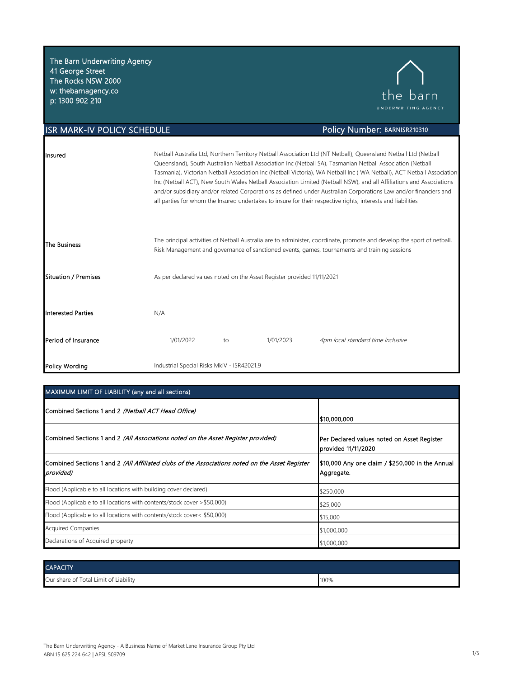The Barn Underwriting Agency 41 George Street The Rocks NSW 2000 w: thebarnagency.co p: 1300 902 210



Policy Number: BARNISR210310

### **ISR MARK-IV POLICY SCHEDULE**

| Insured                   |                                                                                                                                                                                                                         |    |           | Netball Australia Ltd, Northern Territory Netball Association Ltd (NT Netball), Queensland Netball Ltd (Netball<br>Queensland), South Australian Netball Association Inc (Netball SA), Tasmanian Netball Association (Netball<br>Tasmania), Victorian Netball Association Inc (Netball Victoria), WA Netball Inc (WA Netball), ACT Netball Association<br>Inc (Netball ACT), New South Wales Netball Association Limited (Netball NSW), and all Affiliations and Associations<br>and/or subsidiary and/or related Corporations as defined under Australian Corporations Law and/or financiers and<br>all parties for whom the Insured undertakes to insure for their respective rights, interests and liabilities |
|---------------------------|-------------------------------------------------------------------------------------------------------------------------------------------------------------------------------------------------------------------------|----|-----------|-------------------------------------------------------------------------------------------------------------------------------------------------------------------------------------------------------------------------------------------------------------------------------------------------------------------------------------------------------------------------------------------------------------------------------------------------------------------------------------------------------------------------------------------------------------------------------------------------------------------------------------------------------------------------------------------------------------------|
| The Business              | The principal activities of Netball Australia are to administer, coordinate, promote and develop the sport of netball,<br>Risk Management and governance of sanctioned events, games, tournaments and training sessions |    |           |                                                                                                                                                                                                                                                                                                                                                                                                                                                                                                                                                                                                                                                                                                                   |
| Situation / Premises      | As per declared values noted on the Asset Register provided 11/11/2021                                                                                                                                                  |    |           |                                                                                                                                                                                                                                                                                                                                                                                                                                                                                                                                                                                                                                                                                                                   |
| <b>Interested Parties</b> | N/A                                                                                                                                                                                                                     |    |           |                                                                                                                                                                                                                                                                                                                                                                                                                                                                                                                                                                                                                                                                                                                   |
| Period of Insurance       | 1/01/2022                                                                                                                                                                                                               | to | 1/01/2023 | 4pm local standard time inclusive                                                                                                                                                                                                                                                                                                                                                                                                                                                                                                                                                                                                                                                                                 |
| Policy Wording            | Industrial Special Risks MkIV - ISR42021.9                                                                                                                                                                              |    |           |                                                                                                                                                                                                                                                                                                                                                                                                                                                                                                                                                                                                                                                                                                                   |

### MAXIMUM LIMIT OF LIABILITY (any and all sections)

| Combined Sections 1 and 2 (Netball ACT Head Office)                                                          | 1\$10,000,000                                                      |
|--------------------------------------------------------------------------------------------------------------|--------------------------------------------------------------------|
| Combined Sections 1 and 2 (All Associations noted on the Asset Register provided)                            | Per Declared values noted on Asset Register<br>provided 11/11/2020 |
| Combined Sections 1 and 2 (All Affiliated clubs of the Associations noted on the Asset Register<br>provided) | \$10,000 Any one claim / \$250,000 in the Annual<br>Aggregate.     |
| Flood (Applicable to all locations with building cover declared)                                             | \$250,000                                                          |
| Flood (Applicable to all locations with contents/stock cover > \$50,000)                                     | \$25,000                                                           |
| Flood (Applicable to all locations with contents/stock cover< \$50,000)                                      | \$15,000                                                           |
| <b>Acquired Companies</b>                                                                                    | \$1,000,000                                                        |
| Declarations of Acquired property                                                                            | \$1,000,000                                                        |

| <b>CAPACITY</b>                       |      |
|---------------------------------------|------|
| Our share of Total Limit of Liability | 100% |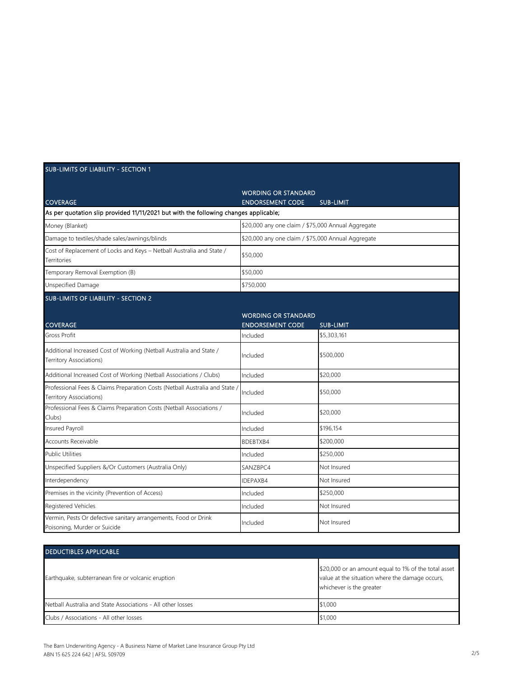| <b>SUB-LIMITS OF LIABILITY - SECTION 1</b>                                                             |                                                       |                  |
|--------------------------------------------------------------------------------------------------------|-------------------------------------------------------|------------------|
| <b>COVERAGE</b>                                                                                        | <b>WORDING OR STANDARD</b><br><b>ENDORSEMENT CODE</b> | <b>SUB-LIMIT</b> |
| As per quotation slip provided 11/11/2021 but with the following changes applicable;                   |                                                       |                  |
| Money (Blanket)                                                                                        | \$20,000 any one claim / \$75,000 Annual Aggregate    |                  |
| Damage to textiles/shade sales/awnings/blinds                                                          | \$20,000 any one claim / \$75,000 Annual Aggregate    |                  |
| Cost of Replacement of Locks and Keys - Netball Australia and State /<br>Territories                   | \$50,000                                              |                  |
| Temporary Removal Exemption (B)                                                                        | \$50,000                                              |                  |
| Unspecified Damage                                                                                     | \$750,000                                             |                  |
| <b>SUB-LIMITS OF LIABILITY - SECTION 2</b>                                                             |                                                       |                  |
| <b>COVERAGE</b>                                                                                        | <b>WORDING OR STANDARD</b><br><b>ENDORSEMENT CODE</b> | <b>SUB-LIMIT</b> |
| Gross Profit                                                                                           | Included                                              | \$5,303,161      |
| Additional Increased Cost of Working (Netball Australia and State /<br>Territory Associations)         | Included                                              | \$500,000        |
| Additional Increased Cost of Working (Netball Associations / Clubs)                                    | Included                                              | \$20,000         |
| Professional Fees & Claims Preparation Costs (Netball Australia and State /<br>Territory Associations) | Included                                              | \$50,000         |
| Professional Fees & Claims Preparation Costs (Netball Associations /<br>Clubs)                         | Included                                              | \$20,000         |
| Insured Payroll                                                                                        | Included                                              | \$196,154        |
| Accounts Receivable                                                                                    | BDEBTXB4                                              | \$200,000        |
| <b>Public Utilities</b>                                                                                | Included                                              | \$250,000        |
| Unspecified Suppliers &/Or Customers (Australia Only)                                                  | SANZBPC4                                              | Not Insured      |
| Interdependency                                                                                        | <b>IDFPAXB4</b>                                       | Not Insured      |
| Premises in the vicinity (Prevention of Access)                                                        | Included                                              | \$250,000        |
| Registered Vehicles                                                                                    | Included                                              | Not Insured      |
| Vermin, Pests Or defective sanitary arrangements, Food or Drink<br>Poisoning, Murder or Suicide        | Included                                              | Not Insured      |

| <b>DEDUCTIBLES APPLICABLE</b>                               |                                                                                                                                     |  |
|-------------------------------------------------------------|-------------------------------------------------------------------------------------------------------------------------------------|--|
| Earthquake, subterranean fire or volcanic eruption          | \$20,000 or an amount equal to 1% of the total asset<br>value at the situation where the damage occurs,<br>whichever is the greater |  |
| Netball Australia and State Associations - All other losses | \$1,000                                                                                                                             |  |
| Clubs / Associations - All other losses                     | \$1,000                                                                                                                             |  |

 $\mathbb{R}^2$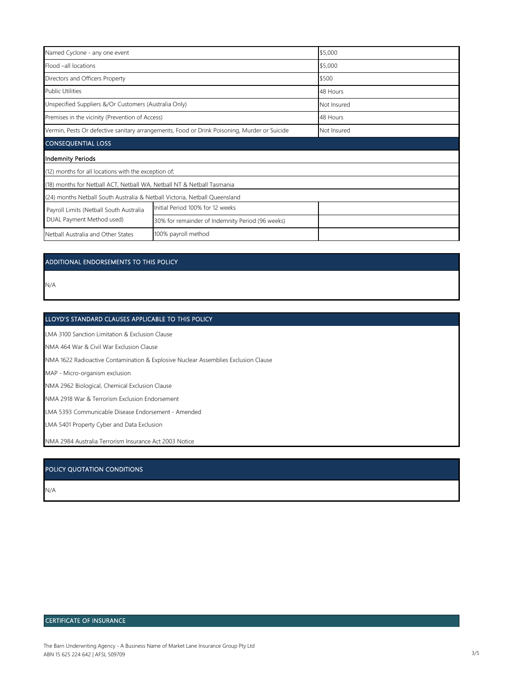| Named Cyclone - any one event                                                                |                                                  | \$5,000     |
|----------------------------------------------------------------------------------------------|--------------------------------------------------|-------------|
| Flood -all locations                                                                         |                                                  | \$5,000     |
| Directors and Officers Property                                                              |                                                  | \$500       |
| <b>Public Utilities</b>                                                                      |                                                  | 48 Hours    |
| Unspecified Suppliers &/Or Customers (Australia Only)                                        |                                                  | Not Insured |
| Premises in the vicinity (Prevention of Access)                                              |                                                  | 48 Hours    |
| Vermin, Pests Or defective sanitary arrangements, Food or Drink Poisoning, Murder or Suicide | Not Insured                                      |             |
| <b>CONSEQUENTIAL LOSS</b>                                                                    |                                                  |             |
| <b>Indemnity Periods</b>                                                                     |                                                  |             |
| (12) months for all locations with the exception of;                                         |                                                  |             |
| (18) months for Netball ACT, Netball WA, Netball NT & Netball Tasmania                       |                                                  |             |
| (24) months Netball South Australia & Netball Victoria, Netball Queensland                   |                                                  |             |
| Payroll Limits (Netball South Australia                                                      | Initial Period 100% for 12 weeks                 |             |
| DUAL Payment Method used)                                                                    | 30% for remainder of Indemnity Period (96 weeks) |             |
| Netball Australia and Other States                                                           | 100% payroll method                              |             |
|                                                                                              |                                                  |             |

### ADDITIONAL ENDORSEMENTS TO THIS POLICY

N/A

#### LLOYD'S STANDARD CLAUSES APPLICABLE TO THIS POLICY

LMA 3100 Sanction Limitation & Exclusion Clause

NMA 464 War & Civil War Exclusion Clause

NMA 1622 Radioactive Contamination & Explosive Nuclear Assemblies Exclusion Clause

MAP - Micro-organism exclusion

NMA 2962 Biological, Chemical Exclusion Clause

NMA 2918 War & Terrorism Exclusion Endorsement

LMA 5393 Communicable Disease Endorsement - Amended

LMA 5401 Property Cyber and Data Exclusion

NMA 2984 Australia Terrorism Insurance Act 2003 Notice

### POLICY QUOTATION CONDITIONS

N/A

### CERTIFICATE OF INSURANCE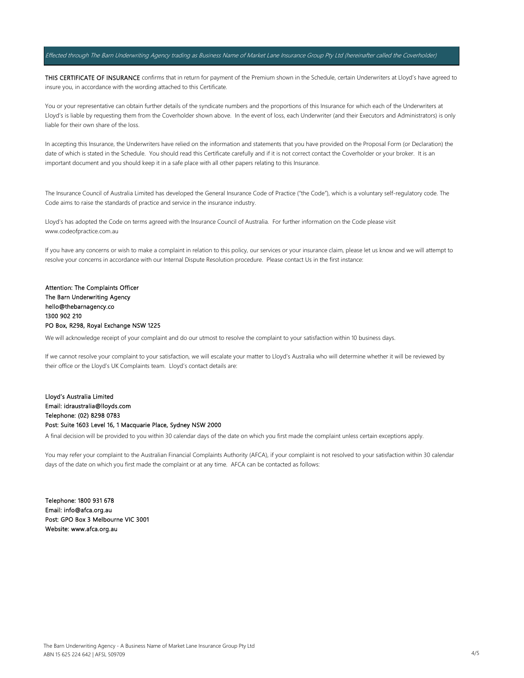#### Effected through The Barn Underwriting Agency trading as Business Name of Market Lane Insurance Group Pty Ltd (hereinafter called the Coverholder)

THIS CERTIFICATE OF INSURANCE confirms that in return for payment of the Premium shown in the Schedule, certain Underwriters at Lloyd's have agreed to insure you, in accordance with the wording attached to this Certificate.

You or your representative can obtain further details of the syndicate numbers and the proportions of this Insurance for which each of the Underwriters at Lloyd's is liable by requesting them from the Coverholder shown above. In the event of loss, each Underwriter (and their Executors and Administrators) is only liable for their own share of the loss.

In accepting this Insurance, the Underwriters have relied on the information and statements that you have provided on the Proposal Form (or Declaration) the date of which is stated in the Schedule. You should read this Certificate carefully and if it is not correct contact the Coverholder or your broker. It is an important document and you should keep it in a safe place with all other papers relating to this Insurance.

The Insurance Council of Australia Limited has developed the General Insurance Code of Practice ("the Code"), which is a voluntary self-regulatory code. The Code aims to raise the standards of practice and service in the insurance industry.

Lloyd's has adopted the Code on terms agreed with the Insurance Council of Australia. For further information on the Code please visit www.codeofpractice.com.au

If you have any concerns or wish to make a complaint in relation to this policy, our services or your insurance claim, please let us know and we will attempt to resolve your concerns in accordance with our Internal Dispute Resolution procedure. Please contact Us in the first instance:

### Attention: The Complaints Officer The Barn Underwriting Agency hello@thebarnagency.co 1300 902 210 PO Box, R298, Royal Exchange NSW 1225

We will acknowledge receipt of your complaint and do our utmost to resolve the complaint to your satisfaction within 10 business days.

If we cannot resolve your complaint to your satisfaction, we will escalate your matter to Lloyd's Australia who will determine whether it will be reviewed by their office or the Lloyd's UK Complaints team. Lloyd's contact details are:

Lloyd's Australia Limited Email: idraustralia@lloyds.com Telephone: (02) 8298 0783 Post: Suite 1603 Level 16, 1 Macquarie Place, Sydney NSW 2000

A final decision will be provided to you within 30 calendar days of the date on which you first made the complaint unless certain exceptions apply.

You may refer your complaint to the Australian Financial Complaints Authority (AFCA), if your complaint is not resolved to your satisfaction within 30 calendar days of the date on which you first made the complaint or at any time. AFCA can be contacted as follows:

Telephone: 1800 931 678 Email: info@afca.org.au Post: GPO Box 3 Melbourne VIC 3001 Website: www.afca.org.au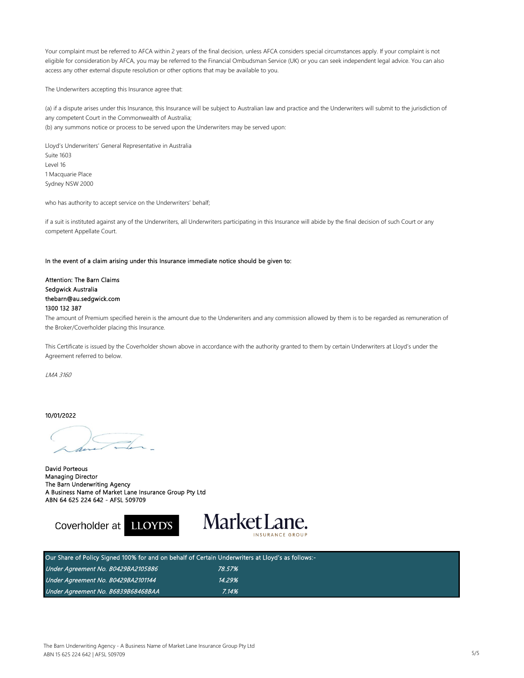Your complaint must be referred to AFCA within 2 years of the final decision, unless AFCA considers special circumstances apply. If your complaint is not eligible for consideration by AFCA, you may be referred to the Financial Ombudsman Service (UK) or you can seek independent legal advice. You can also access any other external dispute resolution or other options that may be available to you.

The Underwriters accepting this Insurance agree that:

(a) if a dispute arises under this Insurance, this Insurance will be subject to Australian law and practice and the Underwriters will submit to the jurisdiction of any competent Court in the Commonwealth of Australia; (b) any summons notice or process to be served upon the Underwriters may be served upon:

Lloyd's Underwriters' General Representative in Australia Suite 1603 Level 16 1 Macquarie Place Sydney NSW 2000

who has authority to accept service on the Underwriters' behalf;

if a suit is instituted against any of the Underwriters, all Underwriters participating in this Insurance will abide by the final decision of such Court or any competent Appellate Court.

#### In the event of a claim arising under this Insurance immediate notice should be given to:

Attention: The Barn Claims Sedgwick Australia thebarn@au.sedgwick.com 1300 132 387

The amount of Premium specified herein is the amount due to the Underwriters and any commission allowed by them is to be regarded as remuneration of the Broker/Coverholder placing this Insurance.

This Certificate is issued by the Coverholder shown above in accordance with the authority granted to them by certain Underwriters at Lloyd's under the Agreement referred to below.

LMA 3160

10/01/2022

Coverholder at

David Porteous Managing Director The Barn Underwriting Agency A Business Name of Market Lane Insurance Group Pty Ltd ABN 64 625 224 642 - AFSL 509709



| Our Share of Policy Signed 100% for and on behalf of Certain Underwriters at Lloyd's as follows:- |        |  |  |
|---------------------------------------------------------------------------------------------------|--------|--|--|
| Under Agreement No. B0429BA2105886                                                                | 78.57% |  |  |
| Under Agreement No. B0429BA2101144                                                                | 14.29% |  |  |
| Under Agreement No. B6839B68468BAA                                                                | 7.14%  |  |  |

**LLOYD'S**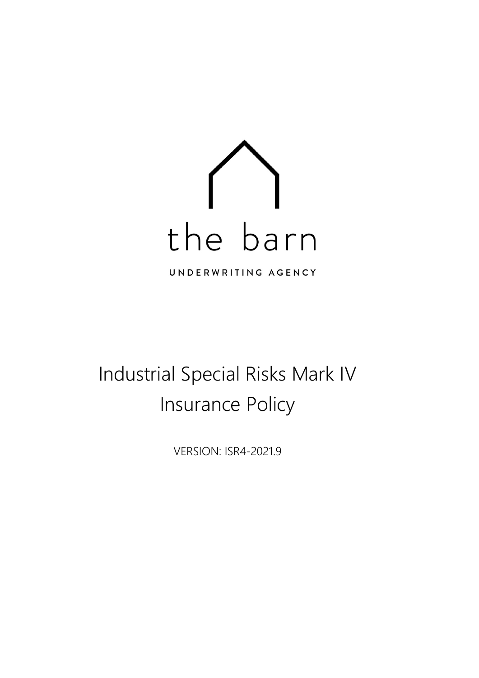

# Industrial Special Risks Mark IV Insurance Policy

VERSION: ISR4-2021.9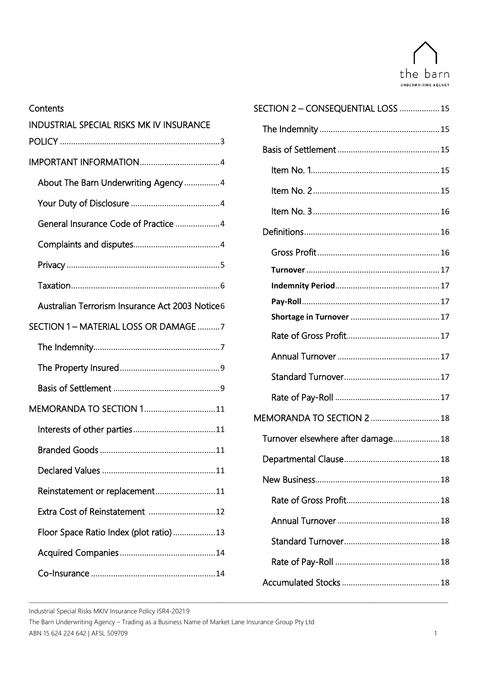

| Contents                                        |  |  |  |
|-------------------------------------------------|--|--|--|
| INDUSTRIAL SPECIAL RISKS MK IV INSURANCE        |  |  |  |
|                                                 |  |  |  |
|                                                 |  |  |  |
| About The Barn Underwriting Agency 4            |  |  |  |
|                                                 |  |  |  |
| General Insurance Code of Practice 4            |  |  |  |
|                                                 |  |  |  |
|                                                 |  |  |  |
|                                                 |  |  |  |
| Australian Terrorism Insurance Act 2003 Notice6 |  |  |  |
| SECTION 1 - MATERIAL LOSS OR DAMAGE 7           |  |  |  |
|                                                 |  |  |  |
|                                                 |  |  |  |
|                                                 |  |  |  |
| MEMORANDA TO SECTION 111                        |  |  |  |
|                                                 |  |  |  |
|                                                 |  |  |  |
|                                                 |  |  |  |
| Reinstatement or replacement11                  |  |  |  |
| Extra Cost of Reinstatement 12                  |  |  |  |
| Floor Space Ratio Index (plot ratio)13          |  |  |  |
|                                                 |  |  |  |
|                                                 |  |  |  |

| SECTION 2 - CONSEQUENTIAL LOSS  15 |  |
|------------------------------------|--|
|                                    |  |
|                                    |  |
|                                    |  |
|                                    |  |
|                                    |  |
|                                    |  |
|                                    |  |
|                                    |  |
|                                    |  |
|                                    |  |
|                                    |  |
|                                    |  |
|                                    |  |
|                                    |  |
|                                    |  |
| MEMORANDA TO SECTION 2  18         |  |
| Turnover elsewhere after damage 18 |  |
|                                    |  |
|                                    |  |
|                                    |  |
|                                    |  |
|                                    |  |
|                                    |  |
|                                    |  |
|                                    |  |

Industrial Special Risks MKIV Insurance Policy ISR4-2021.9

The Barn Underwriting Agency – Trading as a Business Name of Market Lane Insurance Group Pty Ltd ABN 15 624 224 642 | AFSL 509709 1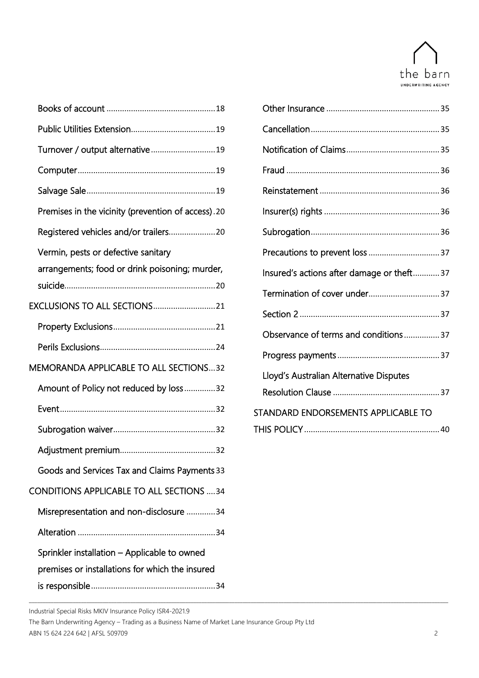

| Turnover / output alternative19                                                                 |                                           |  |
|-------------------------------------------------------------------------------------------------|-------------------------------------------|--|
|                                                                                                 |                                           |  |
|                                                                                                 |                                           |  |
| Premises in the vicinity (prevention of access).20                                              |                                           |  |
|                                                                                                 |                                           |  |
| Vermin, pests or defective sanitary                                                             |                                           |  |
| arrangements; food or drink poisoning; murder,                                                  | Insured's actions after damage or theft37 |  |
|                                                                                                 |                                           |  |
|                                                                                                 |                                           |  |
|                                                                                                 | Observance of terms and conditions37      |  |
|                                                                                                 |                                           |  |
| MEMORANDA APPLICABLE TO ALL SECTIONS32                                                          | Lloyd's Australian Alternative Disputes   |  |
| Amount of Policy not reduced by loss32                                                          |                                           |  |
|                                                                                                 | STANDARD ENDORSEMENTS APPLICABLE TO       |  |
|                                                                                                 |                                           |  |
|                                                                                                 |                                           |  |
| Goods and Services Tax and Claims Payments 33                                                   |                                           |  |
| CONDITIONS APPLICABLE TO ALL SECTIONS 34                                                        |                                           |  |
| Misrepresentation and non-disclosure 34                                                         |                                           |  |
|                                                                                                 |                                           |  |
| Sprinkler installation - Applicable to owned<br>premises or installations for which the insured |                                           |  |
|                                                                                                 |                                           |  |

| Insured's actions after damage or theft37 |  |
|-------------------------------------------|--|
|                                           |  |
|                                           |  |
| Observance of terms and conditions37      |  |
|                                           |  |
| Lloyd's Australian Alternative Disputes   |  |
|                                           |  |
| STANDARD ENDORSEMENTS APPLICABLE TO       |  |
|                                           |  |

Industrial Special Risks MKIV Insurance Policy ISR4-2021.9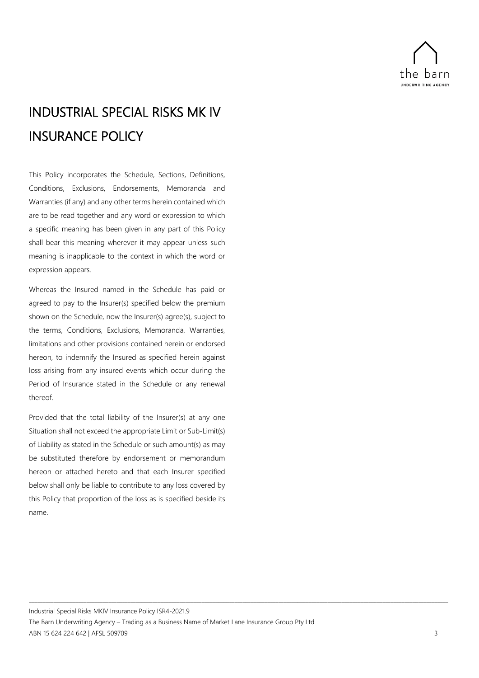

## <span id="page-8-0"></span>INDUSTRIAL SPECIAL RISKS MK IV INSURANCE POLICY

This Policy incorporates the Schedule, Sections, Definitions, Conditions, Exclusions, Endorsements, Memoranda and Warranties (if any) and any other terms herein contained which are to be read together and any word or expression to which a specific meaning has been given in any part of this Policy shall bear this meaning wherever it may appear unless such meaning is inapplicable to the context in which the word or expression appears.

Whereas the Insured named in the Schedule has paid or agreed to pay to the Insurer(s) specified below the premium shown on the Schedule, now the Insurer(s) agree(s), subject to the terms, Conditions, Exclusions, Memoranda, Warranties, limitations and other provisions contained herein or endorsed hereon, to indemnify the Insured as specified herein against loss arising from any insured events which occur during the Period of Insurance stated in the Schedule or any renewal thereof.

Provided that the total liability of the Insurer(s) at any one Situation shall not exceed the appropriate Limit or Sub-Limit(s) of Liability as stated in the Schedule or such amount(s) as may be substituted therefore by endorsement or memorandum hereon or attached hereto and that each Insurer specified below shall only be liable to contribute to any loss covered by this Policy that proportion of the loss as is specified beside its name.

Industrial Special Risks MKIV Insurance Policy ISR4-2021.9

The Barn Underwriting Agency – Trading as a Business Name of Market Lane Insurance Group Pty Ltd ABN 15 624 224 642 | AFSL 509709 3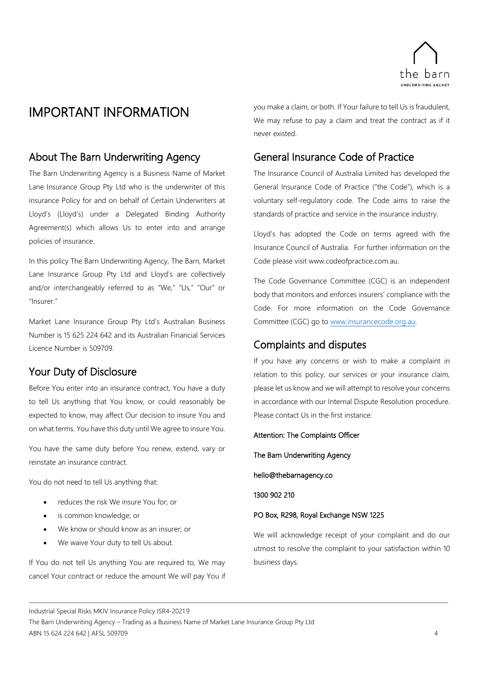

## <span id="page-9-0"></span>IMPORTANT INFORMATION

## <span id="page-9-1"></span>About The Barn Underwriting Agency

The Barn Underwriting Agency is a Business Name of Market Lane Insurance Group Pty Ltd who is the underwriter of this insurance Policy for and on behalf of Certain Underwriters at Lloyd's (Lloyd's) under a Delegated Binding Authority Agreement(s) which allows Us to enter into and arrange policies of insurance.

In this policy The Barn Underwriting Agency, The Barn, Market Lane Insurance Group Pty Ltd and Lloyd's are collectively and/or interchangeably referred to as "We," "Us," "Our" or "Insurer."

Market Lane Insurance Group Pty Ltd's Australian Business Number is 15 625 224 642 and its Australian Financial Services Licence Number is 509709.

## <span id="page-9-2"></span>Your Duty of Disclosure

Before You enter into an insurance contract, You have a duty to tell Us anything that You know, or could reasonably be expected to know, may affect Our decision to insure You and on what terms. You have this duty until We agree to insure You.

You have the same duty before You renew, extend, vary or reinstate an insurance contract.

You do not need to tell Us anything that:

- reduces the risk We insure You for; or
- is common knowledge; or
- We know or should know as an insurer; or
- We waive Your duty to tell Us about.

If You do not tell Us anything You are required to, We may cancel Your contract or reduce the amount We will pay You if you make a claim, or both. If Your failure to tell Us is fraudulent, We may refuse to pay a claim and treat the contract as if it never existed.

## <span id="page-9-3"></span>General Insurance Code of Practice

The Insurance Council of Australia Limited has developed the General Insurance Code of Practice ("the Code"), which is a voluntary self-regulatory code. The Code aims to raise the standards of practice and service in the insurance industry.

Lloyd's has adopted the Code on terms agreed with the Insurance Council of Australia. For further information on the Code please visit www.codeofpractice.com.au.

The Code Governance Committee (CGC) is an independent body that monitors and enforces insurers' compliance with the Code. For more information on the Code Governance Committee (CGC) go to [www.insurancecode.org.au.](http://www.insurancecode.org.au/)

## <span id="page-9-4"></span>Complaints and disputes

If you have any concerns or wish to make a complaint in relation to this policy, our services or your insurance claim, please let us know and we will attempt to resolve your concerns in accordance with our Internal Dispute Resolution procedure. Please contact Us in the first instance:

Attention: The Complaints Officer

The Barn Underwriting Agency

hello@thebarnagency.co

1300 902 210

\_\_\_\_\_\_\_\_\_\_\_\_\_\_\_\_\_\_\_\_\_\_\_\_\_\_\_\_\_\_\_\_\_\_\_\_\_\_\_\_\_\_\_\_\_\_\_\_\_\_\_\_\_\_\_\_\_\_\_\_\_\_\_\_\_\_\_\_\_\_\_\_\_\_\_\_\_\_\_\_\_\_\_\_\_\_\_\_\_\_\_\_\_\_\_\_\_\_\_\_\_\_\_\_\_\_\_\_\_\_\_\_\_\_\_\_\_\_\_\_\_\_\_\_\_\_\_\_\_\_\_\_\_\_\_\_\_\_\_\_\_\_\_\_\_\_\_\_\_\_\_\_\_

### PO Box, R298, Royal Exchange NSW 1225

We will acknowledge receipt of your complaint and do our utmost to resolve the complaint to your satisfaction within 10 business days.

Industrial Special Risks MKIV Insurance Policy ISR4-2021.9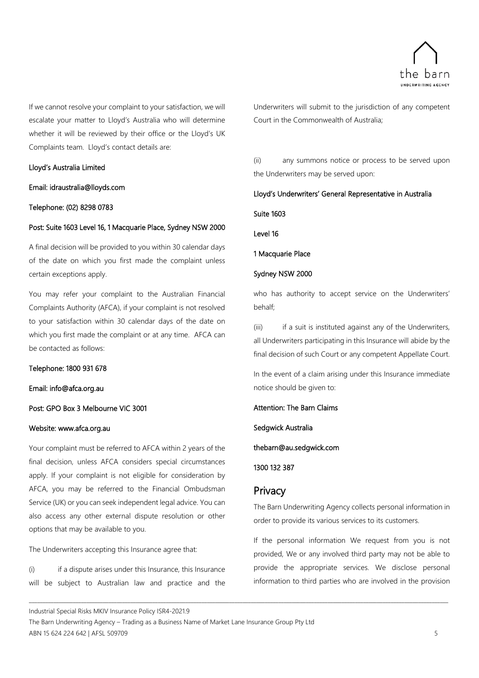

If we cannot resolve your complaint to your satisfaction, we will escalate your matter to Lloyd's Australia who will determine whether it will be reviewed by their office or the Lloyd's UK Complaints team. Lloyd's contact details are:

### Lloyd's Australia Limited

Email: idraustralia@lloyds.com

### Telephone: (02) 8298 0783

### Post: Suite 1603 Level 16, 1 Macquarie Place, Sydney NSW 2000

A final decision will be provided to you within 30 calendar days of the date on which you first made the complaint unless certain exceptions apply.

You may refer your complaint to the Australian Financial Complaints Authority (AFCA), if your complaint is not resolved to your satisfaction within 30 calendar days of the date on which you first made the complaint or at any time. AFCA can be contacted as follows:

### Telephone: 1800 931 678

### Email: info@afca.org.au

### Post: GPO Box 3 Melbourne VIC 3001

### Website: www.afca.org.au

Your complaint must be referred to AFCA within 2 years of the final decision, unless AFCA considers special circumstances apply. If your complaint is not eligible for consideration by AFCA, you may be referred to the Financial Ombudsman Service (UK) or you can seek independent legal advice. You can also access any other external dispute resolution or other options that may be available to you.

The Underwriters accepting this Insurance agree that:

(i) if a dispute arises under this Insurance, this Insurance will be subject to Australian law and practice and the

Underwriters will submit to the jurisdiction of any competent Court in the Commonwealth of Australia;

(ii) any summons notice or process to be served upon the Underwriters may be served upon:

### Lloyd's Underwriters' General Representative in Australia

Suite 1603

Level 16

1 Macquarie Place

### Sydney NSW 2000

who has authority to accept service on the Underwriters' behalf;

(iii) if a suit is instituted against any of the Underwriters, all Underwriters participating in this Insurance will abide by the final decision of such Court or any competent Appellate Court.

In the event of a claim arising under this Insurance immediate notice should be given to:

Attention: The Barn Claims

Sedgwick Australia

thebarn@au.sedgwick.com

1300 132 387

### <span id="page-10-0"></span>**Privacy**

\_\_\_\_\_\_\_\_\_\_\_\_\_\_\_\_\_\_\_\_\_\_\_\_\_\_\_\_\_\_\_\_\_\_\_\_\_\_\_\_\_\_\_\_\_\_\_\_\_\_\_\_\_\_\_\_\_\_\_\_\_\_\_\_\_\_\_\_\_\_\_\_\_\_\_\_\_\_\_\_\_\_\_\_\_\_\_\_\_\_\_\_\_\_\_\_\_\_\_\_\_\_\_\_\_\_\_\_\_\_\_\_\_\_\_\_\_\_\_\_\_\_\_\_\_\_\_\_\_\_\_\_\_\_\_\_\_\_\_\_\_\_\_\_\_\_\_\_\_\_\_\_\_

The Barn Underwriting Agency collects personal information in order to provide its various services to its customers.

If the personal information We request from you is not provided, We or any involved third party may not be able to provide the appropriate services. We disclose personal information to third parties who are involved in the provision

Industrial Special Risks MKIV Insurance Policy ISR4-2021.9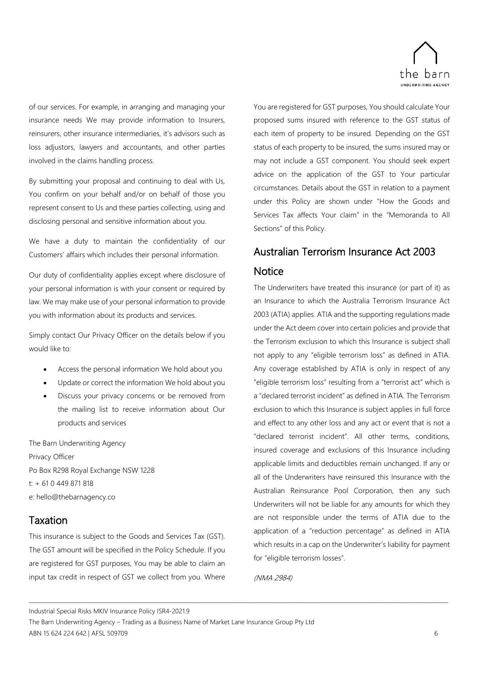

of our services. For example, in arranging and managing your insurance needs We may provide information to Insurers, reinsurers, other insurance intermediaries, it's advisors such as loss adjustors, lawyers and accountants, and other parties involved in the claims handling process.

By submitting your proposal and continuing to deal with Us, You confirm on your behalf and/or on behalf of those you represent consent to Us and these parties collecting, using and disclosing personal and sensitive information about you.

We have a duty to maintain the confidentiality of our Customers' affairs which includes their personal information.

Our duty of confidentiality applies except where disclosure of your personal information is with your consent or required by law. We may make use of your personal information to provide you with information about its products and services.

Simply contact Our Privacy Officer on the details below if you would like to:

- Access the personal information We hold about you
- Update or correct the information We hold about you
- Discuss your privacy concerns or be removed from the mailing list to receive information about Our products and services

The Barn Underwriting Agency Privacy Officer Po Box R298 Royal Exchange NSW 1228 t: + 61 0 449 871 818 e: hello@thebarnagency.co

## <span id="page-11-0"></span>Taxation

This insurance is subject to the Goods and Services Tax (GST). The GST amount will be specified in the Policy Schedule. If you are registered for GST purposes, You may be able to claim an input tax credit in respect of GST we collect from you. Where

You are registered for GST purposes, You should calculate Your proposed sums insured with reference to the GST status of each item of property to be insured. Depending on the GST status of each property to be insured, the sums insured may or may not include a GST component. You should seek expert advice on the application of the GST to Your particular circumstances. Details about the GST in relation to a payment under this Policy are shown under "How the Goods and Services Tax affects Your claim" in the "Memoranda to All Sections" of this Policy.

## <span id="page-11-1"></span>Australian Terrorism Insurance Act 2003 **Notice**

The Underwriters have treated this insurance (or part of it) as an Insurance to which the Australia Terrorism Insurance Act 2003 (ATIA) applies. ATIA and the supporting regulations made under the Act deem cover into certain policies and provide that the Terrorism exclusion to which this Insurance is subject shall not apply to any "eligible terrorism loss" as defined in ATIA. Any coverage established by ATIA is only in respect of any "eligible terrorism loss" resulting from a "terrorist act" which is a "declared terrorist incident" as defined in ATIA. The Terrorism exclusion to which this Insurance is subject applies in full force and effect to any other loss and any act or event that is not a "declared terrorist incident". All other terms, conditions, insured coverage and exclusions of this Insurance including applicable limits and deductibles remain unchanged. If any or all of the Underwriters have reinsured this Insurance with the Australian Reinsurance Pool Corporation, then any such Underwriters will not be liable for any amounts for which they are not responsible under the terms of ATIA due to the application of a "reduction percentage" as defined in ATIA which results in a cap on the Underwriter's liability for payment for "eligible terrorism losses".

(NMA 2984)

\_\_\_\_\_\_\_\_\_\_\_\_\_\_\_\_\_\_\_\_\_\_\_\_\_\_\_\_\_\_\_\_\_\_\_\_\_\_\_\_\_\_\_\_\_\_\_\_\_\_\_\_\_\_\_\_\_\_\_\_\_\_\_\_\_\_\_\_\_\_\_\_\_\_\_\_\_\_\_\_\_\_\_\_\_\_\_\_\_\_\_\_\_\_\_\_\_\_\_\_\_\_\_\_\_\_\_\_\_\_\_\_\_\_\_\_\_\_\_\_\_\_\_\_\_\_\_\_\_\_\_\_\_\_\_\_\_\_\_\_\_\_\_\_\_\_\_\_\_\_\_\_\_

Industrial Special Risks MKIV Insurance Policy ISR4-2021.9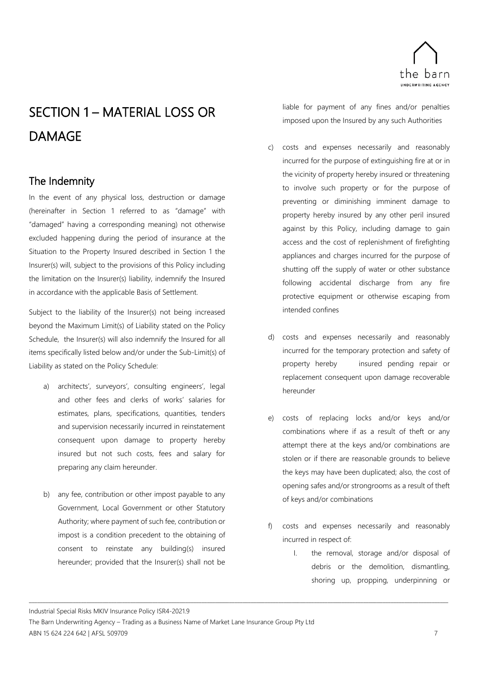

## <span id="page-12-0"></span>SECTION 1 – MATERIAL LOSS OR DAMAGE

## <span id="page-12-1"></span>The Indemnity

In the event of any physical loss, destruction or damage (hereinafter in Section 1 referred to as "damage" with "damaged" having a corresponding meaning) not otherwise excluded happening during the period of insurance at the Situation to the Property Insured described in Section 1 the Insurer(s) will, subject to the provisions of this Policy including the limitation on the Insurer(s) liability, indemnify the Insured in accordance with the applicable Basis of Settlement.

Subject to the liability of the Insurer(s) not being increased beyond the Maximum Limit(s) of Liability stated on the Policy Schedule, the Insurer(s) will also indemnify the Insured for all items specifically listed below and/or under the Sub-Limit(s) of Liability as stated on the Policy Schedule:

- architects', surveyors', consulting engineers', legal and other fees and clerks of works' salaries for estimates, plans, specifications, quantities, tenders and supervision necessarily incurred in reinstatement consequent upon damage to property hereby insured but not such costs, fees and salary for preparing any claim hereunder.
- b) any fee, contribution or other impost payable to any Government, Local Government or other Statutory Authority; where payment of such fee, contribution or impost is a condition precedent to the obtaining of consent to reinstate any building(s) insured hereunder; provided that the Insurer(s) shall not be

liable for payment of any fines and/or penalties imposed upon the Insured by any such Authorities

- c) costs and expenses necessarily and reasonably incurred for the purpose of extinguishing fire at or in the vicinity of property hereby insured or threatening to involve such property or for the purpose of preventing or diminishing imminent damage to property hereby insured by any other peril insured against by this Policy, including damage to gain access and the cost of replenishment of firefighting appliances and charges incurred for the purpose of shutting off the supply of water or other substance following accidental discharge from any fire protective equipment or otherwise escaping from intended confines
- d) costs and expenses necessarily and reasonably incurred for the temporary protection and safety of property hereby insured pending repair or replacement consequent upon damage recoverable hereunder
- e) costs of replacing locks and/or keys and/or combinations where if as a result of theft or any attempt there at the keys and/or combinations are stolen or if there are reasonable grounds to believe the keys may have been duplicated; also, the cost of opening safes and/or strongrooms as a result of theft of keys and/or combinations
- f) costs and expenses necessarily and reasonably incurred in respect of:
	- I. the removal, storage and/or disposal of debris or the demolition, dismantling, shoring up, propping, underpinning or

Industrial Special Risks MKIV Insurance Policy ISR4-2021.9

The Barn Underwriting Agency – Trading as a Business Name of Market Lane Insurance Group Pty Ltd ABN 15 624 224 642 | AFSL 509709 7 7 7 7 7 8 9 7 7 7 8 9 7 7 8 9 7 7 8 9 7 7 8 9 7 7 8 9 7 7 8 9 7 7 8 9 7 7 8 9 7 7 8 9 7 7 8 9 7 8 9 7 8 9 7 8 9 7 8 9 7 8 9 7 8 9 7 8 9 7 8 9 7 8 9 7 8 9 7 8 9 7 8 9 7 8 9 7 8 9 7 8 9 7 8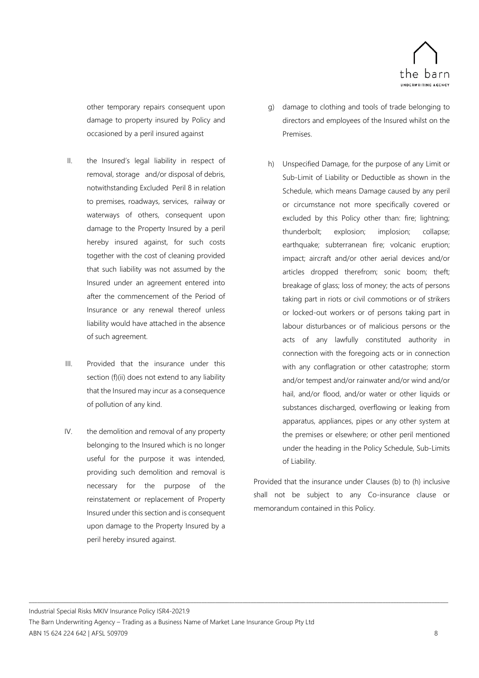

other temporary repairs consequent upon damage to property insured by Policy and occasioned by a peril insured against

- II. the Insured's legal liability in respect of removal, storage and/or disposal of debris, notwithstanding Excluded Peril 8 in relation to premises, roadways, services, railway or waterways of others, consequent upon damage to the Property Insured by a peril hereby insured against, for such costs together with the cost of cleaning provided that such liability was not assumed by the Insured under an agreement entered into after the commencement of the Period of Insurance or any renewal thereof unless liability would have attached in the absence of such agreement.
- III. Provided that the insurance under this section (f)(ii) does not extend to any liability that the Insured may incur as a consequence of pollution of any kind.
- IV. the demolition and removal of any property belonging to the Insured which is no longer useful for the purpose it was intended, providing such demolition and removal is necessary for the purpose of the reinstatement or replacement of Property Insured under this section and is consequent upon damage to the Property Insured by a peril hereby insured against.
- g) damage to clothing and tools of trade belonging to directors and employees of the Insured whilst on the Premises.
- h) Unspecified Damage, for the purpose of any Limit or Sub-Limit of Liability or Deductible as shown in the Schedule, which means Damage caused by any peril or circumstance not more specifically covered or excluded by this Policy other than: fire; lightning; thunderbolt; explosion; implosion; collapse; earthquake; subterranean fire; volcanic eruption; impact; aircraft and/or other aerial devices and/or articles dropped therefrom; sonic boom; theft; breakage of glass; loss of money; the acts of persons taking part in riots or civil commotions or of strikers or locked-out workers or of persons taking part in labour disturbances or of malicious persons or the acts of any lawfully constituted authority in connection with the foregoing acts or in connection with any conflagration or other catastrophe; storm and/or tempest and/or rainwater and/or wind and/or hail, and/or flood, and/or water or other liquids or substances discharged, overflowing or leaking from apparatus, appliances, pipes or any other system at the premises or elsewhere; or other peril mentioned under the heading in the Policy Schedule, Sub-Limits of Liability.

Provided that the insurance under Clauses (b) to (h) inclusive shall not be subject to any Co-insurance clause or memorandum contained in this Policy.

Industrial Special Risks MKIV Insurance Policy ISR4-2021.9 The Barn Underwriting Agency – Trading as a Business Name of Market Lane Insurance Group Pty Ltd ABN 15 624 224 642 | AFSL 509709 8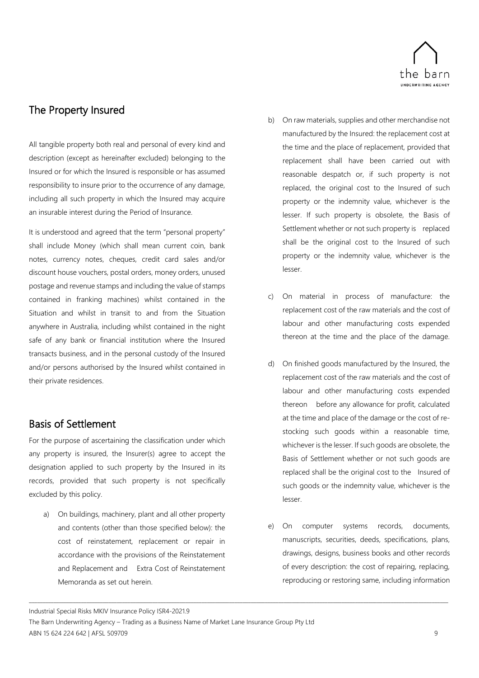

## <span id="page-14-0"></span>The Property Insured

All tangible property both real and personal of every kind and description (except as hereinafter excluded) belonging to the Insured or for which the Insured is responsible or has assumed responsibility to insure prior to the occurrence of any damage, including all such property in which the Insured may acquire an insurable interest during the Period of Insurance.

It is understood and agreed that the term "personal property" shall include Money (which shall mean current coin, bank notes, currency notes, cheques, credit card sales and/or discount house vouchers, postal orders, money orders, unused postage and revenue stamps and including the value of stamps contained in franking machines) whilst contained in the Situation and whilst in transit to and from the Situation anywhere in Australia, including whilst contained in the night safe of any bank or financial institution where the Insured transacts business, and in the personal custody of the Insured and/or persons authorised by the Insured whilst contained in their private residences.

## <span id="page-14-1"></span>Basis of Settlement

For the purpose of ascertaining the classification under which any property is insured, the Insurer(s) agree to accept the designation applied to such property by the Insured in its records, provided that such property is not specifically excluded by this policy.

a) On buildings, machinery, plant and all other property and contents (other than those specified below): the cost of reinstatement, replacement or repair in accordance with the provisions of the Reinstatement and Replacement and Extra Cost of Reinstatement Memoranda as set out herein.

- b) On raw materials, supplies and other merchandise not manufactured by the Insured: the replacement cost at the time and the place of replacement, provided that replacement shall have been carried out with reasonable despatch or, if such property is not replaced, the original cost to the Insured of such property or the indemnity value, whichever is the lesser. If such property is obsolete, the Basis of Settlement whether or not such property is replaced shall be the original cost to the Insured of such property or the indemnity value, whichever is the lesser.
- c) On material in process of manufacture: the replacement cost of the raw materials and the cost of labour and other manufacturing costs expended thereon at the time and the place of the damage.
- d) On finished goods manufactured by the Insured, the replacement cost of the raw materials and the cost of labour and other manufacturing costs expended thereon before any allowance for profit, calculated at the time and place of the damage or the cost of restocking such goods within a reasonable time, whichever is the lesser. If such goods are obsolete, the Basis of Settlement whether or not such goods are replaced shall be the original cost to the Insured of such goods or the indemnity value, whichever is the lesser.
- e) On computer systems records, documents, manuscripts, securities, deeds, specifications, plans, drawings, designs, business books and other records of every description: the cost of repairing, replacing, reproducing or restoring same, including information

Industrial Special Risks MKIV Insurance Policy ISR4-2021.9

The Barn Underwriting Agency – Trading as a Business Name of Market Lane Insurance Group Pty Ltd ABN 15 624 224 642 | AFSL 509709 9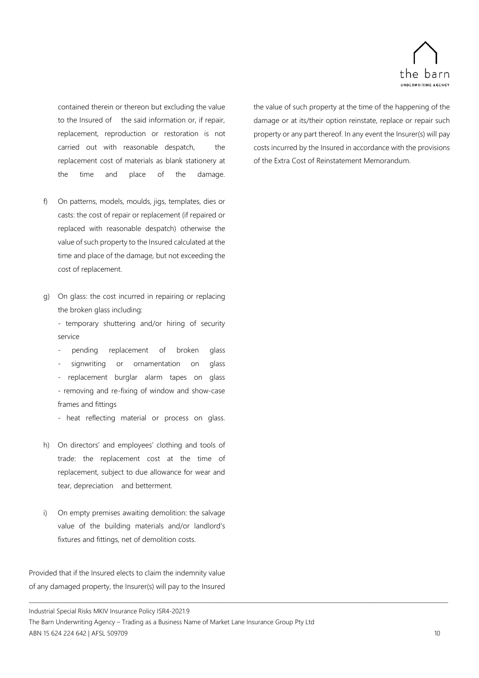

contained therein or thereon but excluding the value to the Insured of the said information or, if repair, replacement, reproduction or restoration is not carried out with reasonable despatch, the replacement cost of materials as blank stationery at the time and place of the damage.

- f) On patterns, models, moulds, jigs, templates, dies or casts: the cost of repair or replacement (if repaired or replaced with reasonable despatch) otherwise the value of such property to the Insured calculated at the time and place of the damage, but not exceeding the cost of replacement.
- g) On glass: the cost incurred in repairing or replacing the broken glass including:

- temporary shuttering and/or hiring of security service

- pending replacement of broken glass
- signwriting or ornamentation on glass

replacement burglar alarm tapes on glass - removing and re-fixing of window and show-case frames and fittings

- heat reflecting material or process on glass.

- h) On directors' and employees' clothing and tools of trade: the replacement cost at the time of replacement, subject to due allowance for wear and tear, depreciation and betterment.
- i) On empty premises awaiting demolition: the salvage value of the building materials and/or landlord's fixtures and fittings, net of demolition costs.

Provided that if the Insured elects to claim the indemnity value of any damaged property, the Insurer(s) will pay to the Insured

the value of such property at the time of the happening of the damage or at its/their option reinstate, replace or repair such property or any part thereof. In any event the Insurer(s) will pay costs incurred by the Insured in accordance with the provisions of the Extra Cost of Reinstatement Memorandum.

Industrial Special Risks MKIV Insurance Policy ISR4-2021.9

The Barn Underwriting Agency – Trading as a Business Name of Market Lane Insurance Group Pty Ltd ABN 15 624 224 642 | AFSL 509709 10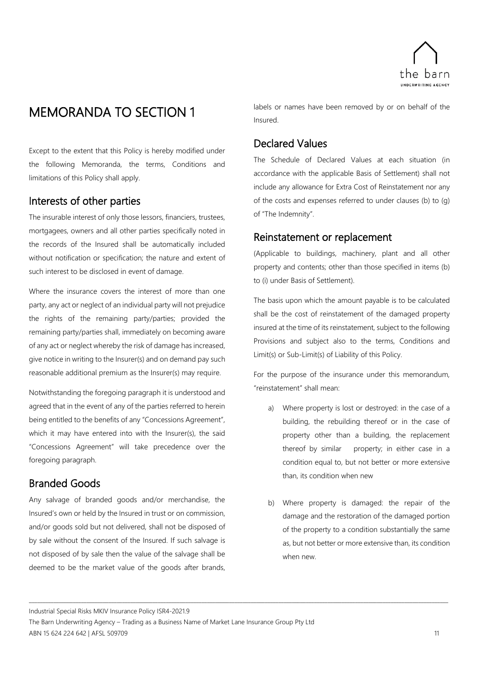

## <span id="page-16-0"></span>MEMORANDA TO SECTION 1

Except to the extent that this Policy is hereby modified under the following Memoranda, the terms, Conditions and limitations of this Policy shall apply.

## <span id="page-16-1"></span>Interests of other parties

The insurable interest of only those lessors, financiers, trustees, mortgagees, owners and all other parties specifically noted in the records of the Insured shall be automatically included without notification or specification; the nature and extent of such interest to be disclosed in event of damage.

Where the insurance covers the interest of more than one party, any act or neglect of an individual party will not prejudice the rights of the remaining party/parties; provided the remaining party/parties shall, immediately on becoming aware of any act or neglect whereby the risk of damage has increased, give notice in writing to the Insurer(s) and on demand pay such reasonable additional premium as the Insurer(s) may require.

Notwithstanding the foregoing paragraph it is understood and agreed that in the event of any of the parties referred to herein being entitled to the benefits of any "Concessions Agreement", which it may have entered into with the Insurer(s), the said "Concessions Agreement" will take precedence over the foregoing paragraph.

## <span id="page-16-2"></span>Branded Goods

Any salvage of branded goods and/or merchandise, the Insured's own or held by the Insured in trust or on commission, and/or goods sold but not delivered, shall not be disposed of by sale without the consent of the Insured. If such salvage is not disposed of by sale then the value of the salvage shall be deemed to be the market value of the goods after brands, labels or names have been removed by or on behalf of the Insured.

## <span id="page-16-3"></span>Declared Values

The Schedule of Declared Values at each situation (in accordance with the applicable Basis of Settlement) shall not include any allowance for Extra Cost of Reinstatement nor any of the costs and expenses referred to under clauses (b) to (g) of "The Indemnity".

## <span id="page-16-4"></span>Reinstatement or replacement

(Applicable to buildings, machinery, plant and all other property and contents; other than those specified in items (b) to (i) under Basis of Settlement).

The basis upon which the amount payable is to be calculated shall be the cost of reinstatement of the damaged property insured at the time of its reinstatement, subject to the following Provisions and subject also to the terms, Conditions and Limit(s) or Sub-Limit(s) of Liability of this Policy.

For the purpose of the insurance under this memorandum, "reinstatement" shall mean:

- a) Where property is lost or destroyed: in the case of a building, the rebuilding thereof or in the case of property other than a building, the replacement thereof by similar property; in either case in a condition equal to, but not better or more extensive than, its condition when new
- b) Where property is damaged: the repair of the damage and the restoration of the damaged portion of the property to a condition substantially the same as, but not better or more extensive than, its condition when new.

Industrial Special Risks MKIV Insurance Policy ISR4-2021.9

The Barn Underwriting Agency – Trading as a Business Name of Market Lane Insurance Group Pty Ltd ABN 15 624 224 642 | AFSL 509709 11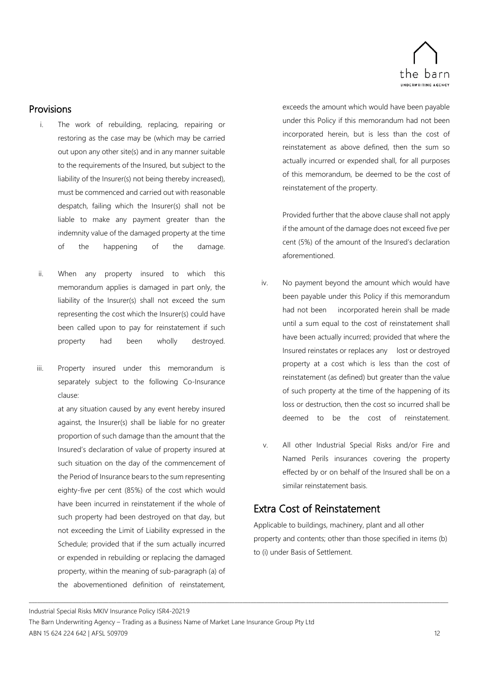

### Provisions

- i. The work of rebuilding, replacing, repairing or restoring as the case may be (which may be carried out upon any other site(s) and in any manner suitable to the requirements of the Insured, but subject to the liability of the Insurer(s) not being thereby increased), must be commenced and carried out with reasonable despatch, failing which the Insurer(s) shall not be liable to make any payment greater than the indemnity value of the damaged property at the time of the happening of the damage.
- ii. When any property insured to which this memorandum applies is damaged in part only, the liability of the Insurer(s) shall not exceed the sum representing the cost which the Insurer(s) could have been called upon to pay for reinstatement if such property had been wholly destroyed.
- iii. Property insured under this memorandum is separately subject to the following Co-Insurance clause:

at any situation caused by any event hereby insured against, the Insurer(s) shall be liable for no greater proportion of such damage than the amount that the Insured's declaration of value of property insured at such situation on the day of the commencement of the Period of Insurance bears to the sum representing eighty-five per cent (85%) of the cost which would have been incurred in reinstatement if the whole of such property had been destroyed on that day, but not exceeding the Limit of Liability expressed in the Schedule; provided that if the sum actually incurred or expended in rebuilding or replacing the damaged property, within the meaning of sub-paragraph (a) of the abovementioned definition of reinstatement,

exceeds the amount which would have been payable under this Policy if this memorandum had not been incorporated herein, but is less than the cost of reinstatement as above defined, then the sum so actually incurred or expended shall, for all purposes of this memorandum, be deemed to be the cost of reinstatement of the property.

Provided further that the above clause shall not apply if the amount of the damage does not exceed five per cent (5%) of the amount of the Insured's declaration aforementioned.

- iv. No payment beyond the amount which would have been payable under this Policy if this memorandum had not been incorporated herein shall be made until a sum equal to the cost of reinstatement shall have been actually incurred; provided that where the Insured reinstates or replaces any lost or destroyed property at a cost which is less than the cost of reinstatement (as defined) but greater than the value of such property at the time of the happening of its loss or destruction, then the cost so incurred shall be deemed to be the cost of reinstatement.
- v. All other Industrial Special Risks and/or Fire and Named Perils insurances covering the property effected by or on behalf of the Insured shall be on a similar reinstatement basis.

## <span id="page-17-0"></span>Extra Cost of Reinstatement

Applicable to buildings, machinery, plant and all other property and contents; other than those specified in items (b) to (i) under Basis of Settlement.

Industrial Special Risks MKIV Insurance Policy ISR4-2021.9

The Barn Underwriting Agency – Trading as a Business Name of Market Lane Insurance Group Pty Ltd ABN 15 624 224 642 | AFSL 509709 12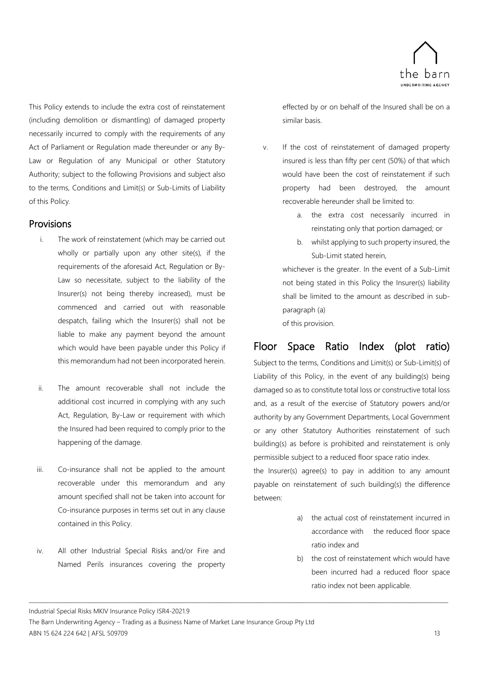

This Policy extends to include the extra cost of reinstatement (including demolition or dismantling) of damaged property necessarily incurred to comply with the requirements of any Act of Parliament or Regulation made thereunder or any By-Law or Regulation of any Municipal or other Statutory Authority; subject to the following Provisions and subject also to the terms, Conditions and Limit(s) or Sub-Limits of Liability of this Policy.

### Provisions

- i. The work of reinstatement (which may be carried out wholly or partially upon any other site(s), if the requirements of the aforesaid Act, Regulation or By-Law so necessitate, subject to the liability of the Insurer(s) not being thereby increased), must be commenced and carried out with reasonable despatch, failing which the Insurer(s) shall not be liable to make any payment beyond the amount which would have been payable under this Policy if this memorandum had not been incorporated herein.
- ii. The amount recoverable shall not include the additional cost incurred in complying with any such Act, Regulation, By-Law or requirement with which the Insured had been required to comply prior to the happening of the damage.
- iii. Co-insurance shall not be applied to the amount recoverable under this memorandum and any amount specified shall not be taken into account for Co-insurance purposes in terms set out in any clause contained in this Policy.
- iv. All other Industrial Special Risks and/or Fire and Named Perils insurances covering the property

effected by or on behalf of the Insured shall be on a similar basis.

- v. If the cost of reinstatement of damaged property insured is less than fifty per cent (50%) of that which would have been the cost of reinstatement if such property had been destroyed, the amount recoverable hereunder shall be limited to:
	- a. the extra cost necessarily incurred in reinstating only that portion damaged; or
	- b. whilst applying to such property insured, the Sub-Limit stated herein,

whichever is the greater. In the event of a Sub-Limit not being stated in this Policy the Insurer(s) liability shall be limited to the amount as described in subparagraph (a)

of this provision.

## <span id="page-18-0"></span>Floor Space Ratio Index (plot ratio)

Subject to the terms, Conditions and Limit(s) or Sub-Limit(s) of Liability of this Policy, in the event of any building(s) being damaged so as to constitute total loss or constructive total loss and, as a result of the exercise of Statutory powers and/or authority by any Government Departments, Local Government or any other Statutory Authorities reinstatement of such building(s) as before is prohibited and reinstatement is only permissible subject to a reduced floor space ratio index.

the Insurer(s) agree(s) to pay in addition to any amount payable on reinstatement of such building(s) the difference between:

- a) the actual cost of reinstatement incurred in accordance with the reduced floor space ratio index and
- b) the cost of reinstatement which would have been incurred had a reduced floor space ratio index not been applicable.

Industrial Special Risks MKIV Insurance Policy ISR4-2021.9

The Barn Underwriting Agency – Trading as a Business Name of Market Lane Insurance Group Pty Ltd ABN 15 624 224 642 | AFSL 509709 13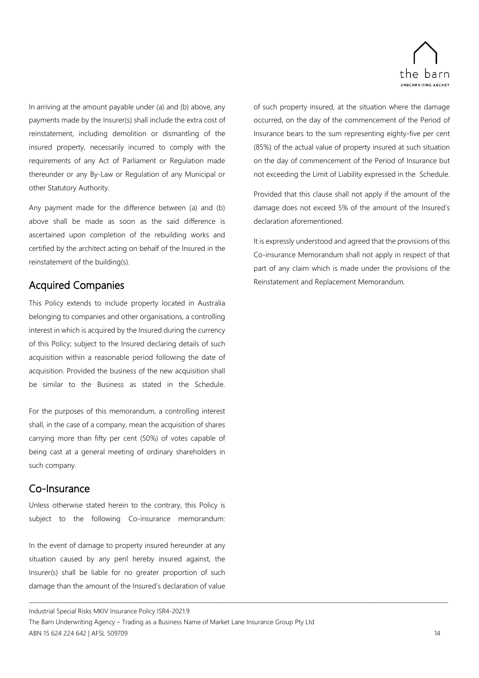

In arriving at the amount payable under (a) and (b) above, any payments made by the Insurer(s) shall include the extra cost of reinstatement, including demolition or dismantling of the insured property, necessarily incurred to comply with the requirements of any Act of Parliament or Regulation made thereunder or any By-Law or Regulation of any Municipal or other Statutory Authority.

Any payment made for the difference between (a) and (b) above shall be made as soon as the said difference is ascertained upon completion of the rebuilding works and certified by the architect acting on behalf of the Insured in the reinstatement of the building(s).

## <span id="page-19-0"></span>Acquired Companies

This Policy extends to include property located in Australia belonging to companies and other organisations, a controlling interest in which is acquired by the Insured during the currency of this Policy; subject to the Insured declaring details of such acquisition within a reasonable period following the date of acquisition. Provided the business of the new acquisition shall be similar to the Business as stated in the Schedule.

For the purposes of this memorandum, a controlling interest shall, in the case of a company, mean the acquisition of shares carrying more than fifty per cent (50%) of votes capable of being cast at a general meeting of ordinary shareholders in such company.

### <span id="page-19-1"></span>Co-Insurance

Unless otherwise stated herein to the contrary, this Policy is subject to the following Co-insurance memorandum:

In the event of damage to property insured hereunder at any situation caused by any peril hereby insured against, the Insurer(s) shall be liable for no greater proportion of such damage than the amount of the Insured's declaration of value of such property insured, at the situation where the damage occurred, on the day of the commencement of the Period of Insurance bears to the sum representing eighty-five per cent (85%) of the actual value of property insured at such situation on the day of commencement of the Period of Insurance but not exceeding the Limit of Liability expressed in the Schedule.

Provided that this clause shall not apply if the amount of the damage does not exceed 5% of the amount of the Insured's declaration aforementioned.

It is expressly understood and agreed that the provisions of this Co-insurance Memorandum shall not apply in respect of that part of any claim which is made under the provisions of the Reinstatement and Replacement Memorandum.

Industrial Special Risks MKIV Insurance Policy ISR4-2021.9

The Barn Underwriting Agency – Trading as a Business Name of Market Lane Insurance Group Pty Ltd ABN 15 624 224 642 | AFSL 509709 14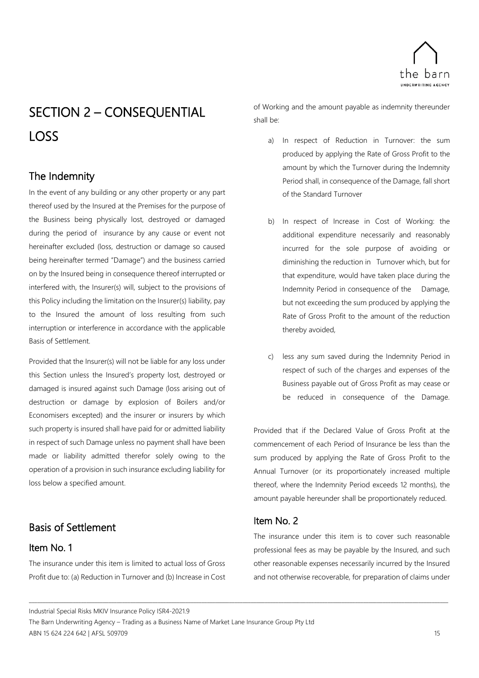

## <span id="page-20-0"></span>SECTION 2 – CONSEQUENTIAL LOSS

## <span id="page-20-1"></span>The Indemnity

In the event of any building or any other property or any part thereof used by the Insured at the Premises for the purpose of the Business being physically lost, destroyed or damaged during the period of insurance by any cause or event not hereinafter excluded (loss, destruction or damage so caused being hereinafter termed "Damage") and the business carried on by the Insured being in consequence thereof interrupted or interfered with, the Insurer(s) will, subject to the provisions of this Policy including the limitation on the Insurer(s) liability, pay to the Insured the amount of loss resulting from such interruption or interference in accordance with the applicable Basis of Settlement.

Provided that the Insurer(s) will not be liable for any loss under this Section unless the Insured's property lost, destroyed or damaged is insured against such Damage (loss arising out of destruction or damage by explosion of Boilers and/or Economisers excepted) and the insurer or insurers by which such property is insured shall have paid for or admitted liability in respect of such Damage unless no payment shall have been made or liability admitted therefor solely owing to the operation of a provision in such insurance excluding liability for loss below a specified amount.

## <span id="page-20-2"></span>Basis of Settlement

### <span id="page-20-3"></span>Item No. 1

The insurance under this item is limited to actual loss of Gross Profit due to: (a) Reduction in Turnover and (b) Increase in Cost of Working and the amount payable as indemnity thereunder shall be:

- a) In respect of Reduction in Turnover: the sum produced by applying the Rate of Gross Profit to the amount by which the Turnover during the Indemnity Period shall, in consequence of the Damage, fall short of the Standard Turnover
- b) In respect of Increase in Cost of Working: the additional expenditure necessarily and reasonably incurred for the sole purpose of avoiding or diminishing the reduction in Turnover which, but for that expenditure, would have taken place during the Indemnity Period in consequence of the Damage, but not exceeding the sum produced by applying the Rate of Gross Profit to the amount of the reduction thereby avoided,
- c) less any sum saved during the Indemnity Period in respect of such of the charges and expenses of the Business payable out of Gross Profit as may cease or be reduced in consequence of the Damage.

Provided that if the Declared Value of Gross Profit at the commencement of each Period of Insurance be less than the sum produced by applying the Rate of Gross Profit to the Annual Turnover (or its proportionately increased multiple thereof, where the Indemnity Period exceeds 12 months), the amount payable hereunder shall be proportionately reduced.

## <span id="page-20-4"></span>Item No. 2

\_\_\_\_\_\_\_\_\_\_\_\_\_\_\_\_\_\_\_\_\_\_\_\_\_\_\_\_\_\_\_\_\_\_\_\_\_\_\_\_\_\_\_\_\_\_\_\_\_\_\_\_\_\_\_\_\_\_\_\_\_\_\_\_\_\_\_\_\_\_\_\_\_\_\_\_\_\_\_\_\_\_\_\_\_\_\_\_\_\_\_\_\_\_\_\_\_\_\_\_\_\_\_\_\_\_\_\_\_\_\_\_\_\_\_\_\_\_\_\_\_\_\_\_\_\_\_\_\_\_\_\_\_\_\_\_\_\_\_\_\_\_\_\_\_\_\_\_\_\_\_\_\_

The insurance under this item is to cover such reasonable professional fees as may be payable by the Insured, and such other reasonable expenses necessarily incurred by the Insured and not otherwise recoverable, for preparation of claims under

Industrial Special Risks MKIV Insurance Policy ISR4-2021.9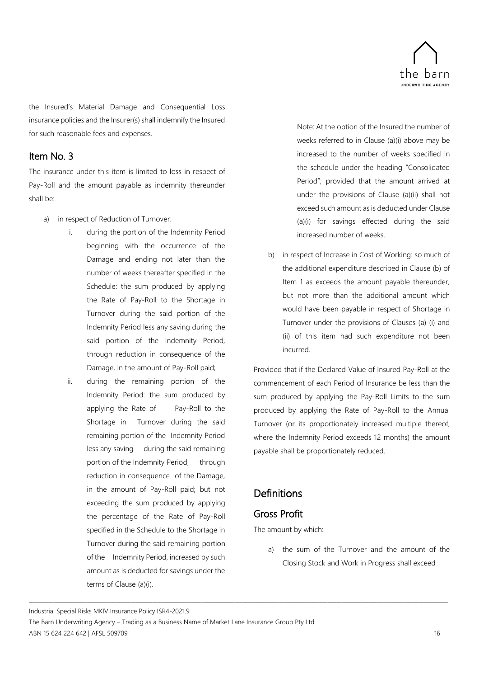

the Insured's Material Damage and Consequential Loss insurance policies and the Insurer(s) shall indemnify the Insured for such reasonable fees and expenses.

## <span id="page-21-0"></span>Item No. 3

The insurance under this item is limited to loss in respect of Pay-Roll and the amount payable as indemnity thereunder shall be:

- a) in respect of Reduction of Turnover:
	- i. during the portion of the Indemnity Period beginning with the occurrence of the Damage and ending not later than the number of weeks thereafter specified in the Schedule: the sum produced by applying the Rate of Pay-Roll to the Shortage in Turnover during the said portion of the Indemnity Period less any saving during the said portion of the Indemnity Period, through reduction in consequence of the Damage, in the amount of Pay-Roll paid;
	- ii. during the remaining portion of the Indemnity Period: the sum produced by applying the Rate of Pay-Roll to the Shortage in Turnover during the said remaining portion of the Indemnity Period less any saving during the said remaining portion of the Indemnity Period, through reduction in consequence of the Damage, in the amount of Pay-Roll paid; but not exceeding the sum produced by applying the percentage of the Rate of Pay-Roll specified in the Schedule to the Shortage in Turnover during the said remaining portion of the Indemnity Period, increased by such amount as is deducted for savings under the terms of Clause (a)(i).

Note: At the option of the Insured the number of weeks referred to in Clause (a)(i) above may be increased to the number of weeks specified in the schedule under the heading "Consolidated Period"; provided that the amount arrived at under the provisions of Clause (a)(ii) shall not exceed such amount as is deducted under Clause (a)(i) for savings effected during the said increased number of weeks.

b) in respect of Increase in Cost of Working: so much of the additional expenditure described in Clause (b) of Item 1 as exceeds the amount payable thereunder, but not more than the additional amount which would have been payable in respect of Shortage in Turnover under the provisions of Clauses (a) (i) and (ii) of this item had such expenditure not been incurred.

Provided that if the Declared Value of Insured Pay-Roll at the commencement of each Period of Insurance be less than the sum produced by applying the Pay-Roll Limits to the sum produced by applying the Rate of Pay-Roll to the Annual Turnover (or its proportionately increased multiple thereof, where the Indemnity Period exceeds 12 months) the amount payable shall be proportionately reduced.

## <span id="page-21-1"></span>**Definitions**

## <span id="page-21-2"></span>Gross Profit

\_\_\_\_\_\_\_\_\_\_\_\_\_\_\_\_\_\_\_\_\_\_\_\_\_\_\_\_\_\_\_\_\_\_\_\_\_\_\_\_\_\_\_\_\_\_\_\_\_\_\_\_\_\_\_\_\_\_\_\_\_\_\_\_\_\_\_\_\_\_\_\_\_\_\_\_\_\_\_\_\_\_\_\_\_\_\_\_\_\_\_\_\_\_\_\_\_\_\_\_\_\_\_\_\_\_\_\_\_\_\_\_\_\_\_\_\_\_\_\_\_\_\_\_\_\_\_\_\_\_\_\_\_\_\_\_\_\_\_\_\_\_\_\_\_\_\_\_\_\_\_\_\_

The amount by which:

a) the sum of the Turnover and the amount of the Closing Stock and Work in Progress shall exceed

Industrial Special Risks MKIV Insurance Policy ISR4-2021.9

The Barn Underwriting Agency – Trading as a Business Name of Market Lane Insurance Group Pty Ltd ABN 15 624 224 642 | AFSL 509709 16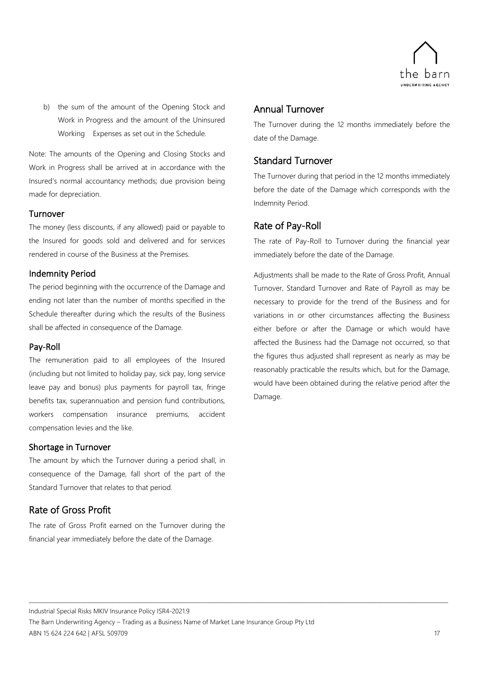

b) the sum of the amount of the Opening Stock and Work in Progress and the amount of the Uninsured Working Expenses as set out in the Schedule.

Note: The amounts of the Opening and Closing Stocks and Work in Progress shall be arrived at in accordance with the Insured's normal accountancy methods; due provision being made for depreciation.

### <span id="page-22-0"></span>Turnover

The money (less discounts, if any allowed) paid or payable to the Insured for goods sold and delivered and for services rendered in course of the Business at the Premises.

### <span id="page-22-1"></span>Indemnity Period

The period beginning with the occurrence of the Damage and ending not later than the number of months specified in the Schedule thereafter during which the results of the Business shall be affected in consequence of the Damage.

### <span id="page-22-2"></span>Pay-Roll

The remuneration paid to all employees of the Insured (including but not limited to holiday pay, sick pay, long service leave pay and bonus) plus payments for payroll tax, fringe benefits tax, superannuation and pension fund contributions, workers compensation insurance premiums, accident compensation levies and the like.

### <span id="page-22-3"></span>Shortage in Turnover

The amount by which the Turnover during a period shall, in consequence of the Damage, fall short of the part of the Standard Turnover that relates to that period.

### <span id="page-22-4"></span>Rate of Gross Profit

The rate of Gross Profit earned on the Turnover during the financial year immediately before the date of the Damage.

### <span id="page-22-5"></span>Annual Turnover

The Turnover during the 12 months immediately before the date of the Damage.

### <span id="page-22-6"></span>Standard Turnover

The Turnover during that period in the 12 months immediately before the date of the Damage which corresponds with the Indemnity Period.

### <span id="page-22-7"></span>Rate of Pay-Roll

The rate of Pay-Roll to Turnover during the financial year immediately before the date of the Damage.

Adjustments shall be made to the Rate of Gross Profit, Annual Turnover, Standard Turnover and Rate of Payroll as may be necessary to provide for the trend of the Business and for variations in or other circumstances affecting the Business either before or after the Damage or which would have affected the Business had the Damage not occurred, so that the figures thus adjusted shall represent as nearly as may be reasonably practicable the results which, but for the Damage, would have been obtained during the relative period after the Damage.

Industrial Special Risks MKIV Insurance Policy ISR4-2021.9

The Barn Underwriting Agency – Trading as a Business Name of Market Lane Insurance Group Pty Ltd ABN 15 624 224 642 | AFSL 509709 17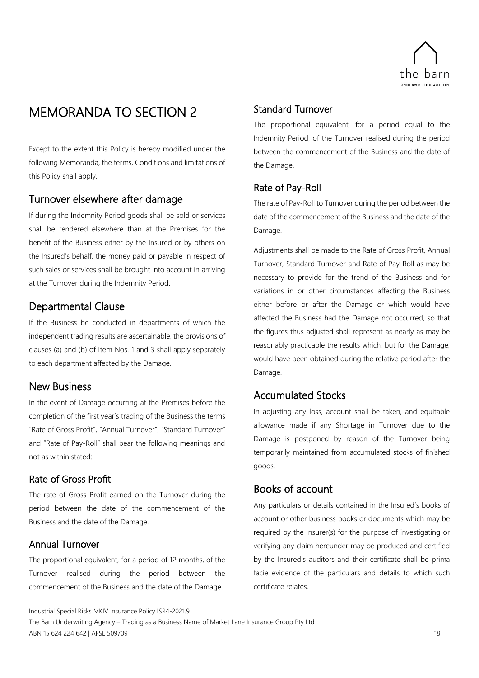

## <span id="page-23-0"></span>MEMORANDA TO SECTION 2

Except to the extent this Policy is hereby modified under the following Memoranda, the terms, Conditions and limitations of this Policy shall apply.

### <span id="page-23-1"></span>Turnover elsewhere after damage

If during the Indemnity Period goods shall be sold or services shall be rendered elsewhere than at the Premises for the benefit of the Business either by the Insured or by others on the Insured's behalf, the money paid or payable in respect of such sales or services shall be brought into account in arriving at the Turnover during the Indemnity Period.

## <span id="page-23-2"></span>Departmental Clause

If the Business be conducted in departments of which the independent trading results are ascertainable, the provisions of clauses (a) and (b) of Item Nos. 1 and 3 shall apply separately to each department affected by the Damage.

## <span id="page-23-3"></span>New Business

In the event of Damage occurring at the Premises before the completion of the first year's trading of the Business the terms "Rate of Gross Profit", "Annual Turnover", "Standard Turnover" and "Rate of Pay-Roll" shall bear the following meanings and not as within stated:

### <span id="page-23-4"></span>Rate of Gross Profit

The rate of Gross Profit earned on the Turnover during the period between the date of the commencement of the Business and the date of the Damage.

## <span id="page-23-5"></span>Annual Turnover

The proportional equivalent, for a period of 12 months, of the Turnover realised during the period between the commencement of the Business and the date of the Damage.

### <span id="page-23-6"></span>Standard Turnover

The proportional equivalent, for a period equal to the Indemnity Period, of the Turnover realised during the period between the commencement of the Business and the date of the Damage.

## <span id="page-23-7"></span>Rate of Pay-Roll

The rate of Pay-Roll to Turnover during the period between the date of the commencement of the Business and the date of the Damage.

Adjustments shall be made to the Rate of Gross Profit, Annual Turnover, Standard Turnover and Rate of Pay-Roll as may be necessary to provide for the trend of the Business and for variations in or other circumstances affecting the Business either before or after the Damage or which would have affected the Business had the Damage not occurred, so that the figures thus adjusted shall represent as nearly as may be reasonably practicable the results which, but for the Damage, would have been obtained during the relative period after the Damage.

## <span id="page-23-8"></span>Accumulated Stocks

In adjusting any loss, account shall be taken, and equitable allowance made if any Shortage in Turnover due to the Damage is postponed by reason of the Turnover being temporarily maintained from accumulated stocks of finished goods.

## <span id="page-23-9"></span>Books of account

Any particulars or details contained in the Insured's books of account or other business books or documents which may be required by the Insurer(s) for the purpose of investigating or verifying any claim hereunder may be produced and certified by the Insured's auditors and their certificate shall be prima facie evidence of the particulars and details to which such certificate relates.

Industrial Special Risks MKIV Insurance Policy ISR4-2021.9

The Barn Underwriting Agency – Trading as a Business Name of Market Lane Insurance Group Pty Ltd ABN 15 624 224 642 | AFSL 509709 18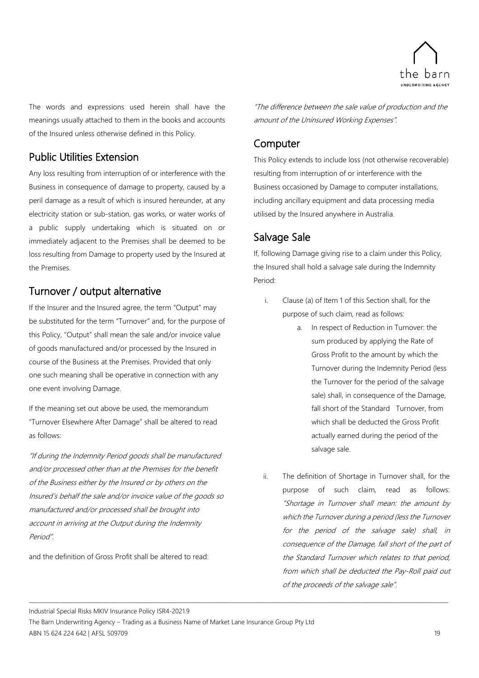

The words and expressions used herein shall have the meanings usually attached to them in the books and accounts of the Insured unless otherwise defined in this Policy.

## <span id="page-24-0"></span>Public Utilities Extension

Any loss resulting from interruption of or interference with the Business in consequence of damage to property, caused by a peril damage as a result of which is insured hereunder, at any electricity station or sub-station, gas works, or water works of a public supply undertaking which is situated on or immediately adjacent to the Premises shall be deemed to be loss resulting from Damage to property used by the Insured at the Premises.

## <span id="page-24-1"></span>Turnover / output alternative

If the Insurer and the Insured agree, the term "Output" may be substituted for the term "Turnover" and, for the purpose of this Policy, "Output" shall mean the sale and/or invoice value of goods manufactured and/or processed by the Insured in course of the Business at the Premises. Provided that only one such meaning shall be operative in connection with any one event involving Damage.

If the meaning set out above be used, the memorandum "Turnover Elsewhere After Damage" shall be altered to read as follows:

"If during the Indemnity Period goods shall be manufactured and/or processed other than at the Premises for the benefit of the Business either by the Insured or by others on the Insured's behalf the sale and/or invoice value of the goods so manufactured and/or processed shall be brought into account in arriving at the Output during the Indemnity Period".

and the definition of Gross Profit shall be altered to read:

"The difference between the sale value of production and the amount of the Uninsured Working Expenses".

## <span id="page-24-2"></span>**Computer**

This Policy extends to include loss (not otherwise recoverable) resulting from interruption of or interference with the Business occasioned by Damage to computer installations, including ancillary equipment and data processing media utilised by the Insured anywhere in Australia.

## <span id="page-24-3"></span>Salvage Sale

If, following Damage giving rise to a claim under this Policy, the Insured shall hold a salvage sale during the Indemnity Period:

- i. Clause (a) of Item 1 of this Section shall, for the purpose of such claim, read as follows:
	- a. In respect of Reduction in Turnover: the sum produced by applying the Rate of Gross Profit to the amount by which the Turnover during the Indemnity Period (less the Turnover for the period of the salvage sale) shall, in consequence of the Damage, fall short of the Standard Turnover, from which shall be deducted the Gross Profit actually earned during the period of the salvage sale.
- ii. The definition of Shortage in Turnover shall, for the purpose of such claim, read as follows: "Shortage in Turnover shall mean: the amount by which the Turnover during a period (less the Turnover for the period of the salvage sale) shall, in consequence of the Damage, fall short of the part of the Standard Turnover which relates to that period, from which shall be deducted the Pay-Roll paid out of the proceeds of the salvage sale".

Industrial Special Risks MKIV Insurance Policy ISR4-2021.9

The Barn Underwriting Agency – Trading as a Business Name of Market Lane Insurance Group Pty Ltd ABN 15 624 224 642 | AFSL 509709 19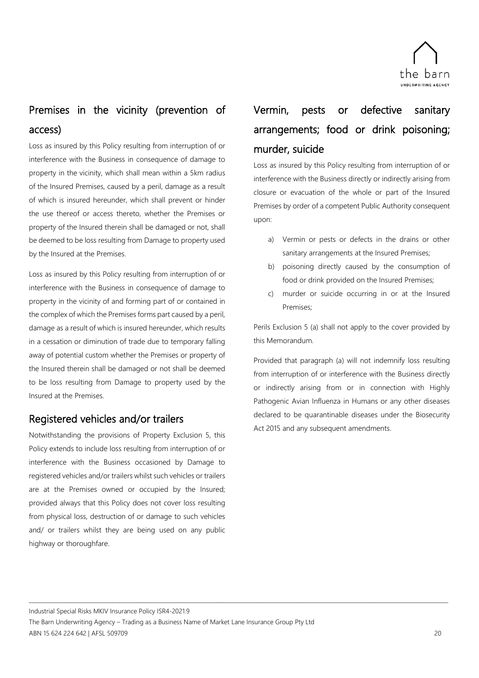

## <span id="page-25-0"></span>Premises in the vicinity (prevention of access)

Loss as insured by this Policy resulting from interruption of or interference with the Business in consequence of damage to property in the vicinity, which shall mean within a 5km radius of the Insured Premises, caused by a peril, damage as a result of which is insured hereunder, which shall prevent or hinder the use thereof or access thereto, whether the Premises or property of the Insured therein shall be damaged or not, shall be deemed to be loss resulting from Damage to property used by the Insured at the Premises.

Loss as insured by this Policy resulting from interruption of or interference with the Business in consequence of damage to property in the vicinity of and forming part of or contained in the complex of which the Premises forms part caused by a peril, damage as a result of which is insured hereunder, which results in a cessation or diminution of trade due to temporary falling away of potential custom whether the Premises or property of the Insured therein shall be damaged or not shall be deemed to be loss resulting from Damage to property used by the Insured at the Premises.

## <span id="page-25-1"></span>Registered vehicles and/or trailers

Notwithstanding the provisions of Property Exclusion 5, this Policy extends to include loss resulting from interruption of or interference with the Business occasioned by Damage to registered vehicles and/or trailers whilst such vehicles or trailers are at the Premises owned or occupied by the Insured; provided always that this Policy does not cover loss resulting from physical loss, destruction of or damage to such vehicles and/ or trailers whilst they are being used on any public highway or thoroughfare.

## <span id="page-25-2"></span>Vermin, pests or defective sanitary arrangements; food or drink poisoning; murder, suicide

Loss as insured by this Policy resulting from interruption of or interference with the Business directly or indirectly arising from closure or evacuation of the whole or part of the Insured Premises by order of a competent Public Authority consequent upon:

- a) Vermin or pests or defects in the drains or other sanitary arrangements at the Insured Premises;
- b) poisoning directly caused by the consumption of food or drink provided on the Insured Premises;
- c) murder or suicide occurring in or at the Insured Premises;

Perils Exclusion 5 (a) shall not apply to the cover provided by this Memorandum.

Provided that paragraph (a) will not indemnify loss resulting from interruption of or interference with the Business directly or indirectly arising from or in connection with Highly Pathogenic Avian Influenza in Humans or any other diseases declared to be quarantinable diseases under the Biosecurity Act 2015 and any subsequent amendments.

Industrial Special Risks MKIV Insurance Policy ISR4-2021.9

The Barn Underwriting Agency – Trading as a Business Name of Market Lane Insurance Group Pty Ltd ABN 15 624 224 642 | AFSL 509709 20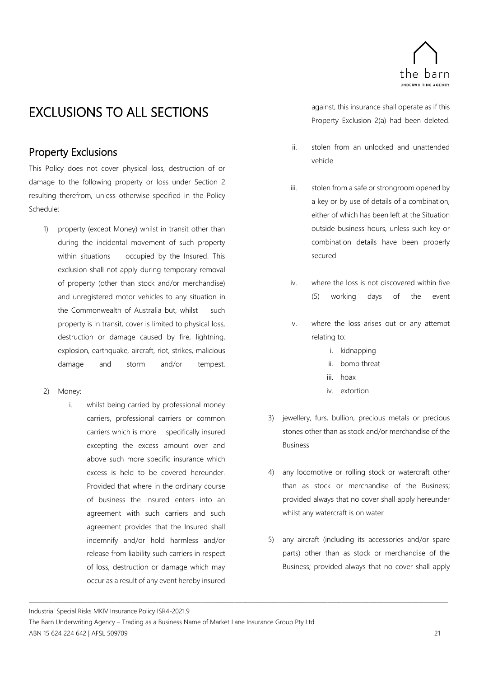

## <span id="page-26-0"></span>EXCLUSIONS TO ALL SECTIONS

## <span id="page-26-1"></span>Property Exclusions

This Policy does not cover physical loss, destruction of or damage to the following property or loss under Section 2 resulting therefrom, unless otherwise specified in the Policy Schedule:

- 1) property (except Money) whilst in transit other than during the incidental movement of such property within situations occupied by the Insured. This exclusion shall not apply during temporary removal of property (other than stock and/or merchandise) and unregistered motor vehicles to any situation in the Commonwealth of Australia but, whilst such property is in transit, cover is limited to physical loss, destruction or damage caused by fire, lightning, explosion, earthquake, aircraft, riot, strikes, malicious damage and storm and/or tempest.
- 2) Money:
	- i. whilst being carried by professional money carriers, professional carriers or common carriers which is more specifically insured excepting the excess amount over and above such more specific insurance which excess is held to be covered hereunder. Provided that where in the ordinary course of business the Insured enters into an agreement with such carriers and such agreement provides that the Insured shall indemnify and/or hold harmless and/or release from liability such carriers in respect of loss, destruction or damage which may occur as a result of any event hereby insured

against, this insurance shall operate as if this Property Exclusion 2(a) had been deleted.

- ii. stolen from an unlocked and unattended vehicle
- iii. stolen from a safe or strongroom opened by a key or by use of details of a combination, either of which has been left at the Situation outside business hours, unless such key or combination details have been properly secured
- iv. where the loss is not discovered within five (5) working days of the event
- v. where the loss arises out or any attempt relating to:
	- i. kidnapping
	- ii. bomb threat
	- iii. hoax
	- iv. extortion
- 3) jewellery, furs, bullion, precious metals or precious stones other than as stock and/or merchandise of the Business
- 4) any locomotive or rolling stock or watercraft other than as stock or merchandise of the Business; provided always that no cover shall apply hereunder whilst any watercraft is on water
- 5) any aircraft (including its accessories and/or spare parts) other than as stock or merchandise of the Business; provided always that no cover shall apply

Industrial Special Risks MKIV Insurance Policy ISR4-2021.9

The Barn Underwriting Agency – Trading as a Business Name of Market Lane Insurance Group Pty Ltd ABN 15 624 224 642 | AFSL 509709 21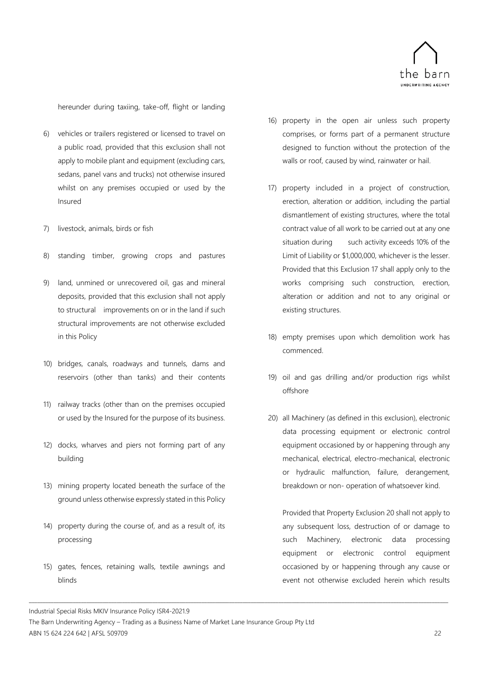

hereunder during taxiing, take-off, flight or landing

- 6) vehicles or trailers registered or licensed to travel on a public road, provided that this exclusion shall not apply to mobile plant and equipment (excluding cars, sedans, panel vans and trucks) not otherwise insured whilst on any premises occupied or used by the Insured
- 7) livestock, animals, birds or fish
- 8) standing timber, growing crops and pastures
- 9) land, unmined or unrecovered oil, gas and mineral deposits, provided that this exclusion shall not apply to structural improvements on or in the land if such structural improvements are not otherwise excluded in this Policy
- 10) bridges, canals, roadways and tunnels, dams and reservoirs (other than tanks) and their contents
- 11) railway tracks (other than on the premises occupied or used by the Insured for the purpose of its business.
- 12) docks, wharves and piers not forming part of any building
- 13) mining property located beneath the surface of the ground unless otherwise expressly stated in this Policy
- 14) property during the course of, and as a result of, its processing
- 15) gates, fences, retaining walls, textile awnings and blinds
- 16) property in the open air unless such property comprises, or forms part of a permanent structure designed to function without the protection of the walls or roof, caused by wind, rainwater or hail.
- 17) property included in a project of construction, erection, alteration or addition, including the partial dismantlement of existing structures, where the total contract value of all work to be carried out at any one situation during such activity exceeds 10% of the Limit of Liability or \$1,000,000, whichever is the lesser. Provided that this Exclusion 17 shall apply only to the works comprising such construction, erection, alteration or addition and not to any original or existing structures.
- 18) empty premises upon which demolition work has commenced.
- 19) oil and gas drilling and/or production rigs whilst offshore
- 20) all Machinery (as defined in this exclusion), electronic data processing equipment or electronic control equipment occasioned by or happening through any mechanical, electrical, electro-mechanical, electronic or hydraulic malfunction, failure, derangement, breakdown or non- operation of whatsoever kind.

Provided that Property Exclusion 20 shall not apply to any subsequent loss, destruction of or damage to such Machinery, electronic data processing equipment or electronic control equipment occasioned by or happening through any cause or event not otherwise excluded herein which results

Industrial Special Risks MKIV Insurance Policy ISR4-2021.9

The Barn Underwriting Agency – Trading as a Business Name of Market Lane Insurance Group Pty Ltd ABN 15 624 224 642 | AFSL 509709 22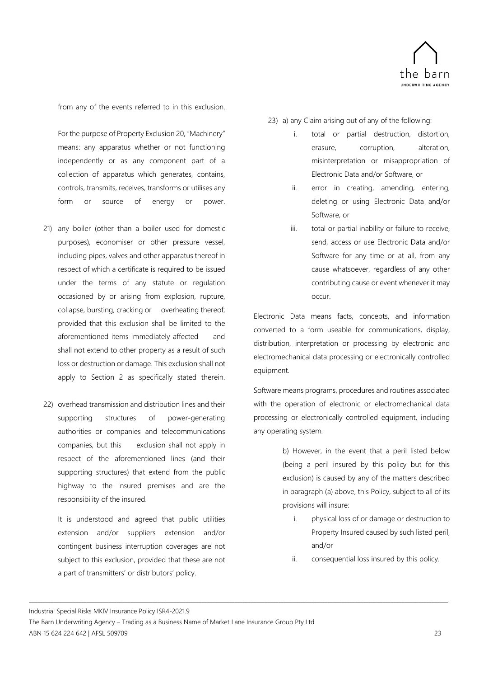

from any of the events referred to in this exclusion.

For the purpose of Property Exclusion 20, "Machinery" means: any apparatus whether or not functioning independently or as any component part of a collection of apparatus which generates, contains, controls, transmits, receives, transforms or utilises any form or source of energy or power.

- 21) any boiler (other than a boiler used for domestic purposes), economiser or other pressure vessel, including pipes, valves and other apparatus thereof in respect of which a certificate is required to be issued under the terms of any statute or regulation occasioned by or arising from explosion, rupture, collapse, bursting, cracking or overheating thereof; provided that this exclusion shall be limited to the aforementioned items immediately affected and shall not extend to other property as a result of such loss or destruction or damage. This exclusion shall not apply to Section 2 as specifically stated therein.
- 22) overhead transmission and distribution lines and their supporting structures of power-generating authorities or companies and telecommunications companies, but this exclusion shall not apply in respect of the aforementioned lines (and their supporting structures) that extend from the public highway to the insured premises and are the responsibility of the insured.

It is understood and agreed that public utilities extension and/or suppliers extension and/or contingent business interruption coverages are not subject to this exclusion, provided that these are not a part of transmitters' or distributors' policy.

23) a) any Claim arising out of any of the following:

- i. total or partial destruction, distortion, erasure, corruption, alteration, misinterpretation or misappropriation of Electronic Data and/or Software, or
- ii. error in creating, amending, entering, deleting or using Electronic Data and/or Software, or
- iii. total or partial inability or failure to receive, send, access or use Electronic Data and/or Software for any time or at all, from any cause whatsoever, regardless of any other contributing cause or event whenever it may occur.

Electronic Data means facts, concepts, and information converted to a form useable for communications, display, distribution, interpretation or processing by electronic and electromechanical data processing or electronically controlled equipment.

Software means programs, procedures and routines associated with the operation of electronic or electromechanical data processing or electronically controlled equipment, including any operating system.

> b) However, in the event that a peril listed below (being a peril insured by this policy but for this exclusion) is caused by any of the matters described in paragraph (a) above, this Policy, subject to all of its provisions will insure:

- i. physical loss of or damage or destruction to Property Insured caused by such listed peril, and/or
- ii. consequential loss insured by this policy.

Industrial Special Risks MKIV Insurance Policy ISR4-2021.9

The Barn Underwriting Agency – Trading as a Business Name of Market Lane Insurance Group Pty Ltd ABN 15 624 224 642 | AFSL 509709 23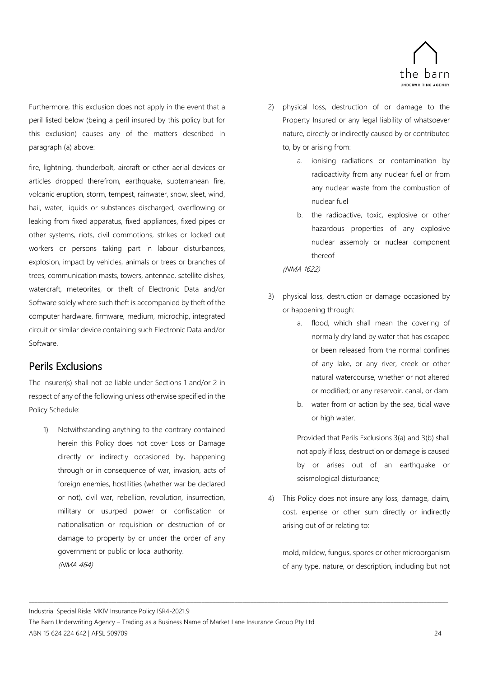

Furthermore, this exclusion does not apply in the event that a peril listed below (being a peril insured by this policy but for this exclusion) causes any of the matters described in paragraph (a) above:

fire, lightning, thunderbolt, aircraft or other aerial devices or articles dropped therefrom, earthquake, subterranean fire, volcanic eruption, storm, tempest, rainwater, snow, sleet, wind, hail, water, liquids or substances discharged, overflowing or leaking from fixed apparatus, fixed appliances, fixed pipes or other systems, riots, civil commotions, strikes or locked out workers or persons taking part in labour disturbances, explosion, impact by vehicles, animals or trees or branches of trees, communication masts, towers, antennae, satellite dishes, watercraft, meteorites, or theft of Electronic Data and/or Software solely where such theft is accompanied by theft of the computer hardware, firmware, medium, microchip, integrated circuit or similar device containing such Electronic Data and/or Software.

## <span id="page-29-0"></span>Perils Exclusions

The Insurer(s) shall not be liable under Sections 1 and/or 2 in respect of any of the following unless otherwise specified in the Policy Schedule:

1) Notwithstanding anything to the contrary contained herein this Policy does not cover Loss or Damage directly or indirectly occasioned by, happening through or in consequence of war, invasion, acts of foreign enemies, hostilities (whether war be declared or not), civil war, rebellion, revolution, insurrection, military or usurped power or confiscation or nationalisation or requisition or destruction of or damage to property by or under the order of any government or public or local authority. (NMA 464)

- 2) physical loss, destruction of or damage to the Property Insured or any legal liability of whatsoever nature, directly or indirectly caused by or contributed to, by or arising from:
	- a. ionising radiations or contamination by radioactivity from any nuclear fuel or from any nuclear waste from the combustion of nuclear fuel
	- b. the radioactive, toxic, explosive or other hazardous properties of any explosive nuclear assembly or nuclear component thereof

(NMA 1622)

- 3) physical loss, destruction or damage occasioned by or happening through:
	- a. flood, which shall mean the covering of normally dry land by water that has escaped or been released from the normal confines of any lake, or any river, creek or other natural watercourse, whether or not altered or modified; or any reservoir, canal, or dam.
	- b. water from or action by the sea, tidal wave or high water.

Provided that Perils Exclusions 3(a) and 3(b) shall not apply if loss, destruction or damage is caused by or arises out of an earthquake or seismological disturbance;

4) This Policy does not insure any loss, damage, claim, cost, expense or other sum directly or indirectly arising out of or relating to:

mold, mildew, fungus, spores or other microorganism of any type, nature, or description, including but not

Industrial Special Risks MKIV Insurance Policy ISR4-2021.9

The Barn Underwriting Agency – Trading as a Business Name of Market Lane Insurance Group Pty Ltd ABN 15 624 224 642 | AFSL 509709 24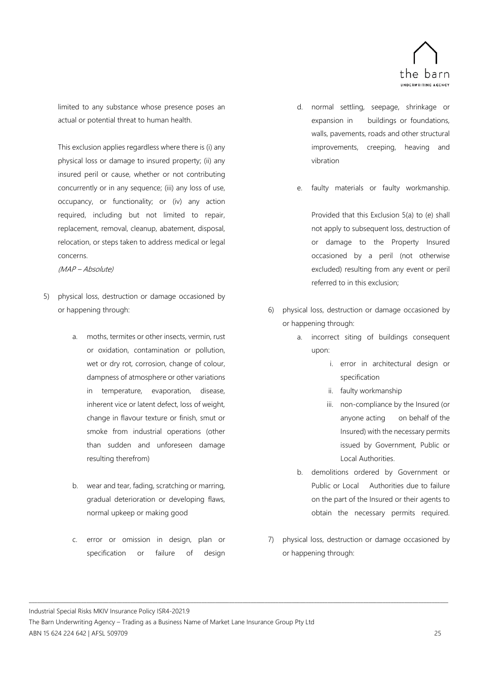

limited to any substance whose presence poses an actual or potential threat to human health.

This exclusion applies regardless where there is (i) any physical loss or damage to insured property; (ii) any insured peril or cause, whether or not contributing concurrently or in any sequence; (iii) any loss of use, occupancy, or functionality; or (iv) any action required, including but not limited to repair, replacement, removal, cleanup, abatement, disposal, relocation, or steps taken to address medical or legal concerns.

(MAP – Absolute)

- 5) physical loss, destruction or damage occasioned by or happening through:
	- a. moths, termites or other insects, vermin, rust or oxidation, contamination or pollution, wet or dry rot, corrosion, change of colour, dampness of atmosphere or other variations in temperature, evaporation, disease, inherent vice or latent defect, loss of weight, change in flavour texture or finish, smut or smoke from industrial operations (other than sudden and unforeseen damage resulting therefrom)
	- b. wear and tear, fading, scratching or marring, gradual deterioration or developing flaws, normal upkeep or making good
	- c. error or omission in design, plan or specification or failure of design
- d. normal settling, seepage, shrinkage or expansion in buildings or foundations, walls, pavements, roads and other structural improvements, creeping, heaving and vibration
- e. faulty materials or faulty workmanship.

Provided that this Exclusion 5(a) to (e) shall not apply to subsequent loss, destruction of or damage to the Property Insured occasioned by a peril (not otherwise excluded) resulting from any event or peril referred to in this exclusion;

- 6) physical loss, destruction or damage occasioned by or happening through:
	- a. incorrect siting of buildings consequent upon:
		- i. error in architectural design or specification
		- ii. faulty workmanship
		- iii. non-compliance by the Insured (or anyone acting on behalf of the Insured) with the necessary permits issued by Government, Public or Local Authorities.
	- b. demolitions ordered by Government or Public or Local Authorities due to failure on the part of the Insured or their agents to obtain the necessary permits required.
- 7) physical loss, destruction or damage occasioned by or happening through:

Industrial Special Risks MKIV Insurance Policy ISR4-2021.9

The Barn Underwriting Agency – Trading as a Business Name of Market Lane Insurance Group Pty Ltd ABN 15 624 224 642 | AFSL 509709 25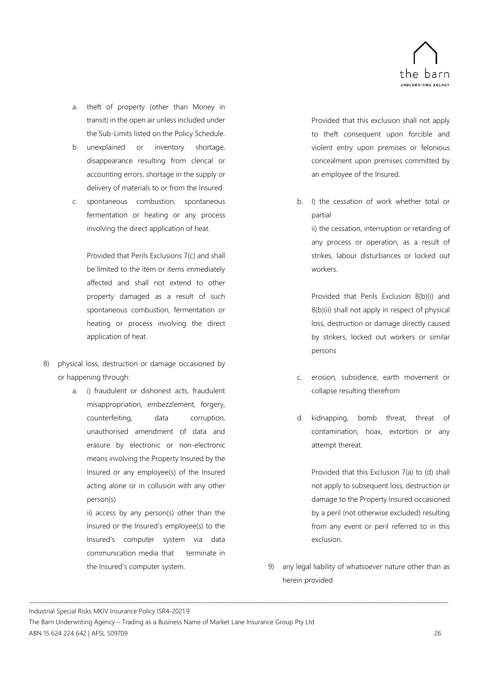

- a. theft of property (other than Money in transit) in the open air unless included under the Sub-Limits listed on the Policy Schedule.
- b. unexplained or inventory shortage, disappearance resulting from clerical or accounting errors, shortage in the supply or delivery of materials to or from the Insured
- c. spontaneous combustion, spontaneous fermentation or heating or any process involving the direct application of heat.

Provided that Perils Exclusions 7(c) and shall be limited to the item or items immediately affected and shall not extend to other property damaged as a result of such spontaneous combustion, fermentation or heating or process involving the direct application of heat.

- 8) physical loss, destruction or damage occasioned by or happening through:
	- a. i) fraudulent or dishonest acts, fraudulent misappropriation, embezzlement, forgery, counterfeiting, data corruption, unauthorised amendment of data and erasure by electronic or non-electronic means involving the Property Insured by the Insured or any employee(s) of the Insured acting alone or in collusion with any other person(s)

ii) access by any person(s) other than the Insured or the Insured's employee(s) to the Insured's computer system via data communication media that terminate in the Insured's computer system.

Provided that this exclusion shall not apply to theft consequent upon forcible and violent entry upon premises or felonious concealment upon premises committed by an employee of the Insured.

b. I) the cessation of work whether total or partial

ii) the cessation, interruption or retarding of any process or operation, as a result of strikes, labour disturbances or locked out workers.

Provided that Perils Exclusion 8(b)(i) and 8(b)(ii) shall not apply in respect of physical loss, destruction or damage directly caused by strikers, locked out workers or similar persons

- c. erosion, subsidence, earth movement or collapse resulting therefrom
- d. kidnapping, bomb threat, threat of contamination, hoax, extortion or any attempt thereat.

Provided that this Exclusion 7(a) to (d) shall not apply to subsequent loss, destruction or damage to the Property Insured occasioned by a peril (not otherwise excluded) resulting from any event or peril referred to in this exclusion.

9) any legal liability of whatsoever nature other than as herein provided

Industrial Special Risks MKIV Insurance Policy ISR4-2021.9

The Barn Underwriting Agency – Trading as a Business Name of Market Lane Insurance Group Pty Ltd ABN 15 624 224 642 | AFSL 509709 26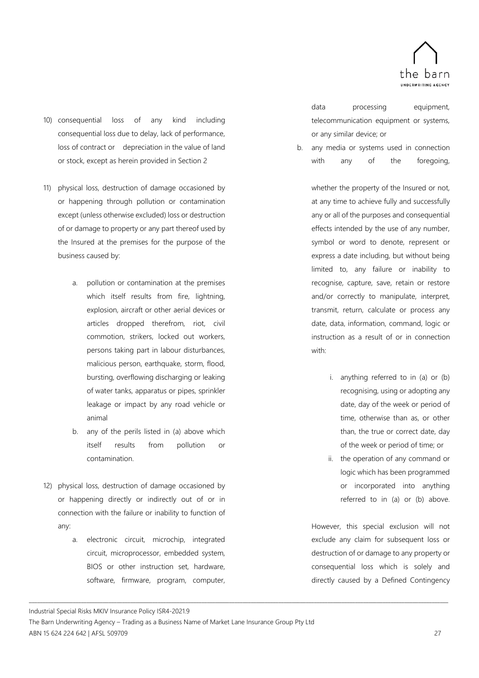

- 10) consequential loss of any kind including consequential loss due to delay, lack of performance, loss of contract or depreciation in the value of land or stock, except as herein provided in Section 2
- 11) physical loss, destruction of damage occasioned by or happening through pollution or contamination except (unless otherwise excluded) loss or destruction of or damage to property or any part thereof used by the Insured at the premises for the purpose of the business caused by:
	- a. pollution or contamination at the premises which itself results from fire, lightning, explosion, aircraft or other aerial devices or articles dropped therefrom, riot, civil commotion, strikers, locked out workers, persons taking part in labour disturbances, malicious person, earthquake, storm, flood, bursting, overflowing discharging or leaking of water tanks, apparatus or pipes, sprinkler leakage or impact by any road vehicle or animal
	- b. any of the perils listed in (a) above which itself results from pollution or contamination.
- 12) physical loss, destruction of damage occasioned by or happening directly or indirectly out of or in connection with the failure or inability to function of any:
	- a. electronic circuit, microchip, integrated circuit, microprocessor, embedded system, BIOS or other instruction set, hardware, software, firmware, program, computer,

data processing equipment, telecommunication equipment or systems, or any similar device; or

b. any media or systems used in connection with any of the foregoing,

> whether the property of the Insured or not, at any time to achieve fully and successfully any or all of the purposes and consequential effects intended by the use of any number, symbol or word to denote, represent or express a date including, but without being limited to, any failure or inability to recognise, capture, save, retain or restore and/or correctly to manipulate, interpret, transmit, return, calculate or process any date, data, information, command, logic or instruction as a result of or in connection with:

- i. anything referred to in (a) or (b) recognising, using or adopting any date, day of the week or period of time, otherwise than as, or other than, the true or correct date, day of the week or period of time; or
- ii. the operation of any command or logic which has been programmed or incorporated into anything referred to in (a) or (b) above.

However, this special exclusion will not exclude any claim for subsequent loss or destruction of or damage to any property or consequential loss which is solely and directly caused by a Defined Contingency

Industrial Special Risks MKIV Insurance Policy ISR4-2021.9

The Barn Underwriting Agency – Trading as a Business Name of Market Lane Insurance Group Pty Ltd ABN 15 624 224 642 | AFSL 509709 27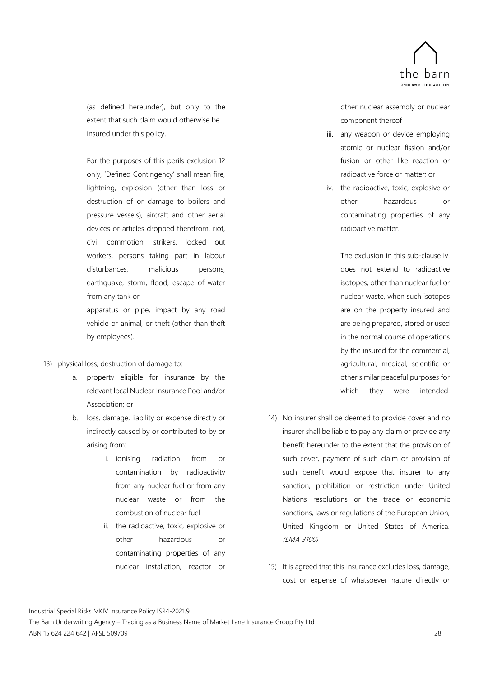

(as defined hereunder), but only to the extent that such claim would otherwise be insured under this policy.

For the purposes of this perils exclusion 12 only, 'Defined Contingency' shall mean fire, lightning, explosion (other than loss or destruction of or damage to boilers and pressure vessels), aircraft and other aerial devices or articles dropped therefrom, riot, civil commotion, strikers, locked out workers, persons taking part in labour disturbances, malicious persons, earthquake, storm, flood, escape of water from any tank or apparatus or pipe, impact by any road vehicle or animal, or theft (other than theft

13) physical loss, destruction of damage to:

by employees).

- a. property eligible for insurance by the relevant local Nuclear Insurance Pool and/or Association; or
- b. loss, damage, liability or expense directly or indirectly caused by or contributed to by or arising from:
	- i. ionising radiation from or contamination by radioactivity from any nuclear fuel or from any nuclear waste or from the combustion of nuclear fuel
	- ii. the radioactive, toxic, explosive or other hazardous or contaminating properties of any nuclear installation, reactor or

other nuclear assembly or nuclear component thereof

- iii. any weapon or device employing atomic or nuclear fission and/or fusion or other like reaction or radioactive force or matter; or
- iv. the radioactive, toxic, explosive or other hazardous or contaminating properties of any radioactive matter.

The exclusion in this sub-clause iv. does not extend to radioactive isotopes, other than nuclear fuel or nuclear waste, when such isotopes are on the property insured and are being prepared, stored or used in the normal course of operations by the insured for the commercial, agricultural, medical, scientific or other similar peaceful purposes for which they were intended.

- 14) No insurer shall be deemed to provide cover and no insurer shall be liable to pay any claim or provide any benefit hereunder to the extent that the provision of such cover, payment of such claim or provision of such benefit would expose that insurer to any sanction, prohibition or restriction under United Nations resolutions or the trade or economic sanctions, laws or regulations of the European Union, United Kingdom or United States of America. (LMA 3100)
- 15) It is agreed that this Insurance excludes loss, damage, cost or expense of whatsoever nature directly or

Industrial Special Risks MKIV Insurance Policy ISR4-2021.9

The Barn Underwriting Agency – Trading as a Business Name of Market Lane Insurance Group Pty Ltd ABN 15 624 224 642 | AFSL 509709 28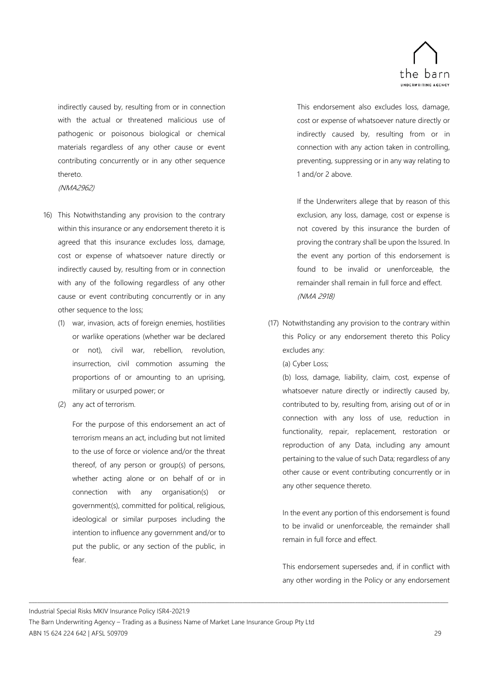

indirectly caused by, resulting from or in connection with the actual or threatened malicious use of pathogenic or poisonous biological or chemical materials regardless of any other cause or event contributing concurrently or in any other sequence thereto.

(NMA2962)

- 16) This Notwithstanding any provision to the contrary within this insurance or any endorsement thereto it is agreed that this insurance excludes loss, damage, cost or expense of whatsoever nature directly or indirectly caused by, resulting from or in connection with any of the following regardless of any other cause or event contributing concurrently or in any other sequence to the loss;
	- (1) war, invasion, acts of foreign enemies, hostilities or warlike operations (whether war be declared or not), civil war, rebellion, revolution, insurrection, civil commotion assuming the proportions of or amounting to an uprising, military or usurped power; or
	- (2) any act of terrorism.

For the purpose of this endorsement an act of terrorism means an act, including but not limited to the use of force or violence and/or the threat thereof, of any person or group(s) of persons, whether acting alone or on behalf of or in connection with any organisation(s) or government(s), committed for political, religious, ideological or similar purposes including the intention to influence any government and/or to put the public, or any section of the public, in fear.

This endorsement also excludes loss, damage, cost or expense of whatsoever nature directly or indirectly caused by, resulting from or in connection with any action taken in controlling, preventing, suppressing or in any way relating to 1 and/or 2 above.

If the Underwriters allege that by reason of this exclusion, any loss, damage, cost or expense is not covered by this insurance the burden of proving the contrary shall be upon the Issured. In the event any portion of this endorsement is found to be invalid or unenforceable, the remainder shall remain in full force and effect. (NMA 2918)

(17) Notwithstanding any provision to the contrary within this Policy or any endorsement thereto this Policy excludes any:

(a) Cyber Loss;

(b) loss, damage, liability, claim, cost, expense of whatsoever nature directly or indirectly caused by, contributed to by, resulting from, arising out of or in connection with any loss of use, reduction in functionality, repair, replacement, restoration or reproduction of any Data, including any amount pertaining to the value of such Data; regardless of any other cause or event contributing concurrently or in any other sequence thereto.

In the event any portion of this endorsement is found to be invalid or unenforceable, the remainder shall remain in full force and effect.

This endorsement supersedes and, if in conflict with any other wording in the Policy or any endorsement

Industrial Special Risks MKIV Insurance Policy ISR4-2021.9

The Barn Underwriting Agency – Trading as a Business Name of Market Lane Insurance Group Pty Ltd ABN 15 624 224 642 | AFSL 509709 29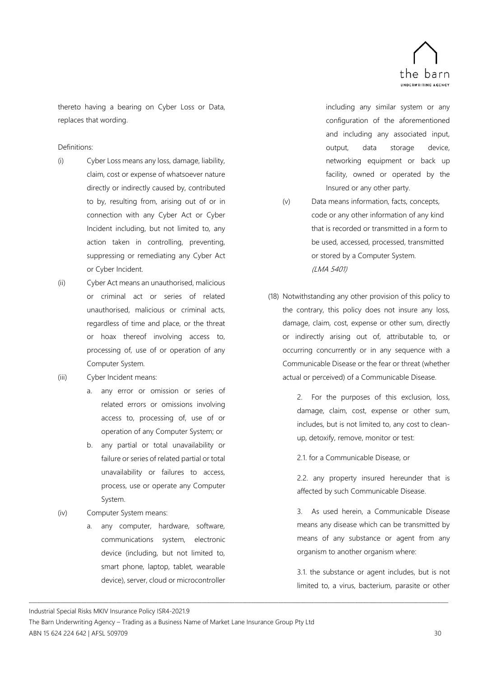

thereto having a bearing on Cyber Loss or Data, replaces that wording.

### Definitions:

- (i) Cyber Loss means any loss, damage, liability, claim, cost or expense of whatsoever nature directly or indirectly caused by, contributed to by, resulting from, arising out of or in connection with any Cyber Act or Cyber Incident including, but not limited to, any action taken in controlling, preventing, suppressing or remediating any Cyber Act or Cyber Incident.
- (ii) Cyber Act means an unauthorised, malicious or criminal act or series of related unauthorised, malicious or criminal acts, regardless of time and place, or the threat or hoax thereof involving access to, processing of, use of or operation of any Computer System.
- (iii) Cyber Incident means:
	- a. any error or omission or series of related errors or omissions involving access to, processing of, use of or operation of any Computer System; or
	- b. any partial or total unavailability or failure or series of related partial or total unavailability or failures to access, process, use or operate any Computer System.
- (iv) Computer System means:
	- a. any computer, hardware, software, communications system, electronic device (including, but not limited to, smart phone, laptop, tablet, wearable device), server, cloud or microcontroller

including any similar system or any configuration of the aforementioned and including any associated input, output, data storage device, networking equipment or back up facility, owned or operated by the Insured or any other party.

- (v) Data means information, facts, concepts, code or any other information of any kind that is recorded or transmitted in a form to be used, accessed, processed, transmitted or stored by a Computer System. (LMA 5401)
- (18) Notwithstanding any other provision of this policy to the contrary, this policy does not insure any loss, damage, claim, cost, expense or other sum, directly or indirectly arising out of, attributable to, or occurring concurrently or in any sequence with a Communicable Disease or the fear or threat (whether actual or perceived) of a Communicable Disease.

2. For the purposes of this exclusion, loss, damage, claim, cost, expense or other sum, includes, but is not limited to, any cost to cleanup, detoxify, remove, monitor or test:

2.1. for a Communicable Disease, or

2.2. any property insured hereunder that is affected by such Communicable Disease.

3. As used herein, a Communicable Disease means any disease which can be transmitted by means of any substance or agent from any organism to another organism where:

3.1. the substance or agent includes, but is not limited to, a virus, bacterium, parasite or other

Industrial Special Risks MKIV Insurance Policy ISR4-2021.9

The Barn Underwriting Agency – Trading as a Business Name of Market Lane Insurance Group Pty Ltd ABN 15 624 224 642 | AFSL 509709 30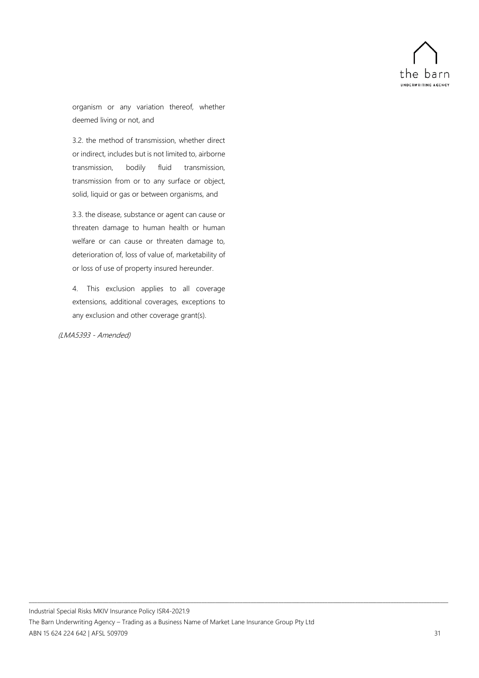

organism or any variation thereof, whether deemed living or not, and

3.2. the method of transmission, whether direct or indirect, includes but is not limited to, airborne transmission, bodily fluid transmission, transmission from or to any surface or object, solid, liquid or gas or between organisms, and

3.3. the disease, substance or agent can cause or threaten damage to human health or human welfare or can cause or threaten damage to, deterioration of, loss of value of, marketability of or loss of use of property insured hereunder.

4. This exclusion applies to all coverage extensions, additional coverages, exceptions to any exclusion and other coverage grant(s).

### (LMA5393 - Amended)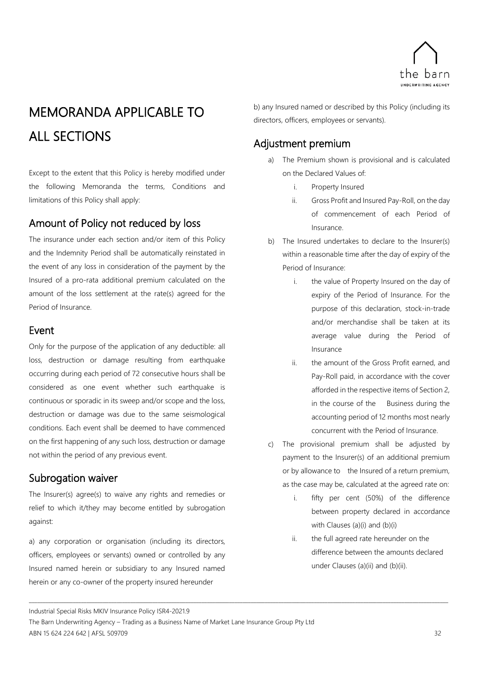

## <span id="page-37-0"></span>MEMORANDA APPLICABLE TO ALL SECTIONS

Except to the extent that this Policy is hereby modified under the following Memoranda the terms, Conditions and limitations of this Policy shall apply:

## <span id="page-37-1"></span>Amount of Policy not reduced by loss

The insurance under each section and/or item of this Policy and the Indemnity Period shall be automatically reinstated in the event of any loss in consideration of the payment by the Insured of a pro-rata additional premium calculated on the amount of the loss settlement at the rate(s) agreed for the Period of Insurance.

## <span id="page-37-2"></span>Event

Only for the purpose of the application of any deductible: all loss, destruction or damage resulting from earthquake occurring during each period of 72 consecutive hours shall be considered as one event whether such earthquake is continuous or sporadic in its sweep and/or scope and the loss, destruction or damage was due to the same seismological conditions. Each event shall be deemed to have commenced on the first happening of any such loss, destruction or damage not within the period of any previous event.

## <span id="page-37-3"></span>Subrogation waiver

The Insurer(s) agree(s) to waive any rights and remedies or relief to which it/they may become entitled by subrogation against:

a) any corporation or organisation (including its directors, officers, employees or servants) owned or controlled by any Insured named herein or subsidiary to any Insured named herein or any co-owner of the property insured hereunder

b) any Insured named or described by this Policy (including its directors, officers, employees or servants).

## <span id="page-37-4"></span>Adjustment premium

- a) The Premium shown is provisional and is calculated on the Declared Values of:
	- i. Property Insured
	- ii. Gross Profit and Insured Pay-Roll, on the day of commencement of each Period of Insurance.
- b) The Insured undertakes to declare to the Insurer(s) within a reasonable time after the day of expiry of the Period of Insurance:
	- i. the value of Property Insured on the day of expiry of the Period of Insurance. For the purpose of this declaration, stock-in-trade and/or merchandise shall be taken at its average value during the Period of Insurance
	- ii. the amount of the Gross Profit earned, and Pay-Roll paid, in accordance with the cover afforded in the respective items of Section 2, in the course of the Business during the accounting period of 12 months most nearly concurrent with the Period of Insurance.
- c) The provisional premium shall be adjusted by payment to the Insurer(s) of an additional premium or by allowance to the Insured of a return premium, as the case may be, calculated at the agreed rate on:
	- i. fifty per cent (50%) of the difference between property declared in accordance with Clauses (a)(i) and (b)(i)
	- ii. the full agreed rate hereunder on the difference between the amounts declared under Clauses (a)(ii) and (b)(ii).

Industrial Special Risks MKIV Insurance Policy ISR4-2021.9

The Barn Underwriting Agency – Trading as a Business Name of Market Lane Insurance Group Pty Ltd ABN 15 624 224 642 | AFSL 509709 32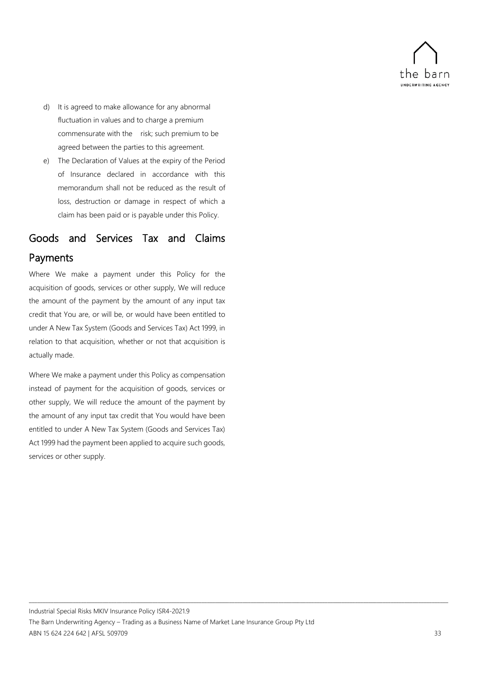

- d) It is agreed to make allowance for any abnormal fluctuation in values and to charge a premium commensurate with the risk; such premium to be agreed between the parties to this agreement.
- e) The Declaration of Values at the expiry of the Period of Insurance declared in accordance with this memorandum shall not be reduced as the result of loss, destruction or damage in respect of which a claim has been paid or is payable under this Policy.

## <span id="page-38-0"></span>Goods and Services Tax and Claims Payments

Where We make a payment under this Policy for the acquisition of goods, services or other supply, We will reduce the amount of the payment by the amount of any input tax credit that You are, or will be, or would have been entitled to under A New Tax System (Goods and Services Tax) Act 1999, in relation to that acquisition, whether or not that acquisition is actually made.

Where We make a payment under this Policy as compensation instead of payment for the acquisition of goods, services or other supply, We will reduce the amount of the payment by the amount of any input tax credit that You would have been entitled to under A New Tax System (Goods and Services Tax) Act 1999 had the payment been applied to acquire such goods, services or other supply.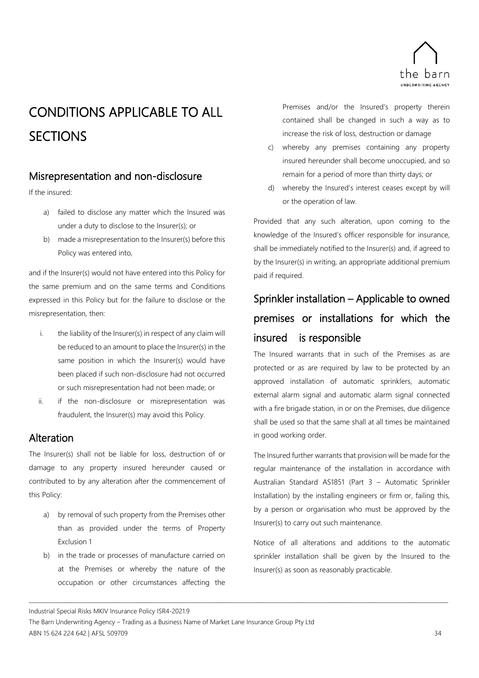

## <span id="page-39-0"></span>CONDITIONS APPLICABLE TO ALL **SECTIONS**

## <span id="page-39-1"></span>Misrepresentation and non-disclosure

If the insured:

- a) failed to disclose any matter which the Insured was under a duty to disclose to the Insurer(s); or
- b) made a misrepresentation to the Insurer(s) before this Policy was entered into,

and if the Insurer(s) would not have entered into this Policy for the same premium and on the same terms and Conditions expressed in this Policy but for the failure to disclose or the misrepresentation, then:

- i. the liability of the Insurer(s) in respect of any claim will be reduced to an amount to place the Insurer(s) in the same position in which the Insurer(s) would have been placed if such non-disclosure had not occurred or such misrepresentation had not been made; or
- ii. if the non-disclosure or misrepresentation was fraudulent, the Insurer(s) may avoid this Policy.

## <span id="page-39-2"></span>Alteration

The Insurer(s) shall not be liable for loss, destruction of or damage to any property insured hereunder caused or contributed to by any alteration after the commencement of this Policy:

- a) by removal of such property from the Premises other than as provided under the terms of Property Exclusion 1
- b) in the trade or processes of manufacture carried on at the Premises or whereby the nature of the occupation or other circumstances affecting the

Premises and/or the Insured's property therein contained shall be changed in such a way as to increase the risk of loss, destruction or damage

- c) whereby any premises containing any property insured hereunder shall become unoccupied, and so remain for a period of more than thirty days; or
- d) whereby the Insured's interest ceases except by will or the operation of law.

Provided that any such alteration, upon coming to the knowledge of the Insured's officer responsible for insurance, shall be immediately notified to the Insurer(s) and, if agreed to by the Insurer(s) in writing, an appropriate additional premium paid if required.

## <span id="page-39-3"></span>Sprinkler installation – Applicable to owned premises or installations for which the insured is responsible

The Insured warrants that in such of the Premises as are protected or as are required by law to be protected by an approved installation of automatic sprinklers, automatic external alarm signal and automatic alarm signal connected with a fire brigade station, in or on the Premises, due diligence shall be used so that the same shall at all times be maintained in good working order.

The Insured further warrants that provision will be made for the regular maintenance of the installation in accordance with Australian Standard AS1851 (Part 3 – Automatic Sprinkler Installation) by the installing engineers or firm or, failing this, by a person or organisation who must be approved by the Insurer(s) to carry out such maintenance.

Notice of all alterations and additions to the automatic sprinkler installation shall be given by the Insured to the Insurer(s) as soon as reasonably practicable.

Industrial Special Risks MKIV Insurance Policy ISR4-2021.9

The Barn Underwriting Agency – Trading as a Business Name of Market Lane Insurance Group Pty Ltd ABN 15 624 224 642 | AFSL 509709 34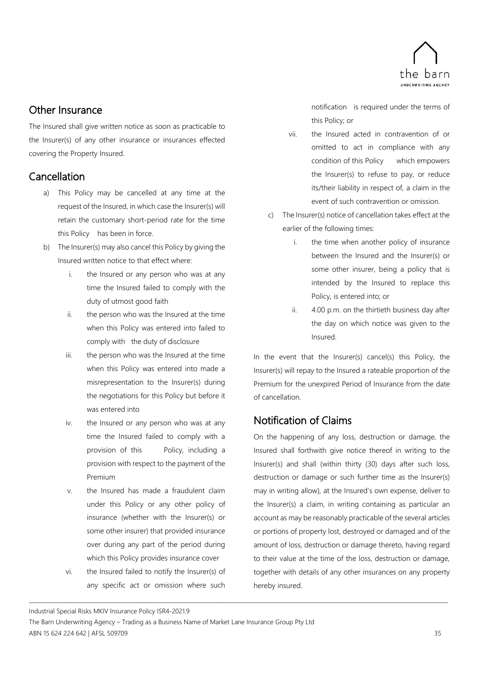

## <span id="page-40-0"></span>Other Insurance

The Insured shall give written notice as soon as practicable to the Insurer(s) of any other insurance or insurances effected covering the Property Insured.

## <span id="page-40-1"></span>Cancellation

- a) This Policy may be cancelled at any time at the request of the Insured, in which case the Insurer(s) will retain the customary short-period rate for the time this Policy has been in force.
- b) The Insurer(s) may also cancel this Policy by giving the Insured written notice to that effect where:
	- i. the Insured or any person who was at any time the Insured failed to comply with the duty of utmost good faith
	- ii. the person who was the Insured at the time when this Policy was entered into failed to comply with the duty of disclosure
	- iii. the person who was the Insured at the time when this Policy was entered into made a misrepresentation to the Insurer(s) during the negotiations for this Policy but before it was entered into
	- iv. the Insured or any person who was at any time the Insured failed to comply with a provision of this Policy, including a provision with respect to the payment of the Premium
	- v. the Insured has made a fraudulent claim under this Policy or any other policy of insurance (whether with the Insurer(s) or some other insurer) that provided insurance over during any part of the period during which this Policy provides insurance cover
	- vi. the Insured failed to notify the Insurer(s) of any specific act or omission where such

notification is required under the terms of this Policy; or

- vii. the Insured acted in contravention of or omitted to act in compliance with any condition of this Policy which empowers the Insurer(s) to refuse to pay, or reduce its/their liability in respect of, a claim in the event of such contravention or omission.
- c) The Insurer(s) notice of cancellation takes effect at the earlier of the following times:
	- i. the time when another policy of insurance between the Insured and the Insurer(s) or some other insurer, being a policy that is intended by the Insured to replace this Policy, is entered into; or
	- ii. 4.00 p.m. on the thirtieth business day after the day on which notice was given to the Insured.

In the event that the Insurer(s) cancel(s) this Policy, the Insurer(s) will repay to the Insured a rateable proportion of the Premium for the unexpired Period of Insurance from the date of cancellation.

## <span id="page-40-2"></span>Notification of Claims

On the happening of any loss, destruction or damage, the Insured shall forthwith give notice thereof in writing to the Insurer(s) and shall (within thirty (30) days after such loss, destruction or damage or such further time as the Insurer(s) may in writing allow), at the Insured's own expense, deliver to the Insurer(s) a claim, in writing containing as particular an account as may be reasonably practicable of the several articles or portions of property lost, destroyed or damaged and of the amount of loss, destruction or damage thereto, having regard to their value at the time of the loss, destruction or damage, together with details of any other insurances on any property hereby insured.

Industrial Special Risks MKIV Insurance Policy ISR4-2021.9

The Barn Underwriting Agency – Trading as a Business Name of Market Lane Insurance Group Pty Ltd ABN 15 624 224 642 | AFSL 509709 35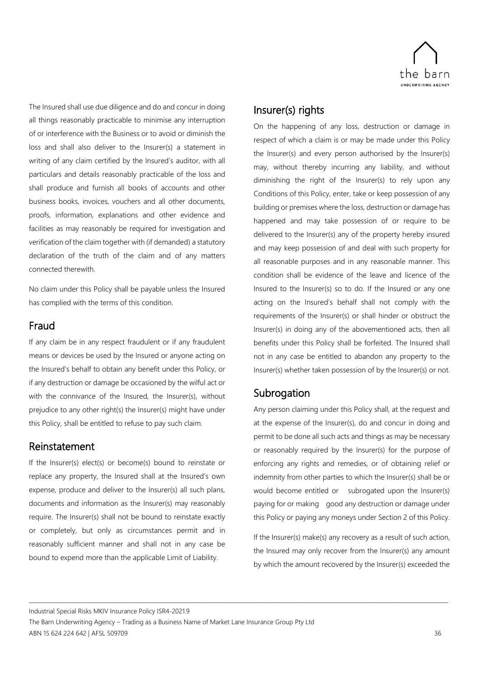

The Insured shall use due diligence and do and concur in doing all things reasonably practicable to minimise any interruption of or interference with the Business or to avoid or diminish the loss and shall also deliver to the Insurer(s) a statement in writing of any claim certified by the Insured's auditor, with all particulars and details reasonably practicable of the loss and shall produce and furnish all books of accounts and other business books, invoices, vouchers and all other documents, proofs, information, explanations and other evidence and facilities as may reasonably be required for investigation and verification of the claim together with (if demanded) a statutory declaration of the truth of the claim and of any matters connected therewith.

No claim under this Policy shall be payable unless the Insured has complied with the terms of this condition.

## <span id="page-41-0"></span>Fraud

If any claim be in any respect fraudulent or if any fraudulent means or devices be used by the Insured or anyone acting on the Insured's behalf to obtain any benefit under this Policy, or if any destruction or damage be occasioned by the wilful act or with the connivance of the Insured, the Insurer(s), without prejudice to any other right(s) the Insurer(s) might have under this Policy, shall be entitled to refuse to pay such claim.

### <span id="page-41-1"></span>Reinstatement

If the Insurer(s) elect(s) or become(s) bound to reinstate or replace any property, the Insured shall at the Insured's own expense, produce and deliver to the Insurer(s) all such plans, documents and information as the Insurer(s) may reasonably require. The Insurer(s) shall not be bound to reinstate exactly or completely, but only as circumstances permit and in reasonably sufficient manner and shall not in any case be bound to expend more than the applicable Limit of Liability.

## <span id="page-41-2"></span>Insurer(s) rights

On the happening of any loss, destruction or damage in respect of which a claim is or may be made under this Policy the Insurer(s) and every person authorised by the Insurer(s) may, without thereby incurring any liability, and without diminishing the right of the Insurer(s) to rely upon any Conditions of this Policy, enter, take or keep possession of any building or premises where the loss, destruction or damage has happened and may take possession of or require to be delivered to the Insurer(s) any of the property hereby insured and may keep possession of and deal with such property for all reasonable purposes and in any reasonable manner. This condition shall be evidence of the leave and licence of the Insured to the Insurer(s) so to do. If the Insured or any one acting on the Insured's behalf shall not comply with the requirements of the Insurer(s) or shall hinder or obstruct the Insurer(s) in doing any of the abovementioned acts, then all benefits under this Policy shall be forfeited. The Insured shall not in any case be entitled to abandon any property to the Insurer(s) whether taken possession of by the Insurer(s) or not.

## <span id="page-41-3"></span>**Subrogation**

Any person claiming under this Policy shall, at the request and at the expense of the Insurer(s), do and concur in doing and permit to be done all such acts and things as may be necessary or reasonably required by the Insurer(s) for the purpose of enforcing any rights and remedies, or of obtaining relief or indemnity from other parties to which the Insurer(s) shall be or would become entitled or subrogated upon the Insurer(s) paying for or making good any destruction or damage under this Policy or paying any moneys under Section 2 of this Policy.

If the Insurer(s) make(s) any recovery as a result of such action, the Insured may only recover from the Insurer(s) any amount by which the amount recovered by the Insurer(s) exceeded the

Industrial Special Risks MKIV Insurance Policy ISR4-2021.9

The Barn Underwriting Agency – Trading as a Business Name of Market Lane Insurance Group Pty Ltd ABN 15 624 224 642 | AFSL 509709 36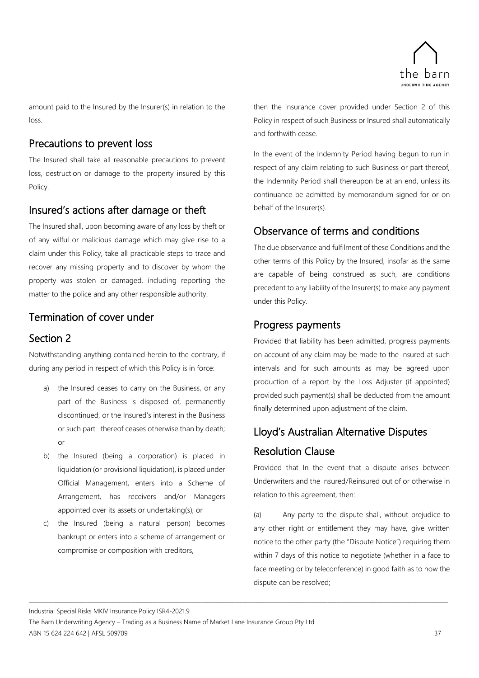

amount paid to the Insured by the Insurer(s) in relation to the loss.

## <span id="page-42-0"></span>Precautions to prevent loss

The Insured shall take all reasonable precautions to prevent loss, destruction or damage to the property insured by this Policy.

## <span id="page-42-1"></span>Insured's actions after damage or theft

The Insured shall, upon becoming aware of any loss by theft or of any wilful or malicious damage which may give rise to a claim under this Policy, take all practicable steps to trace and recover any missing property and to discover by whom the property was stolen or damaged, including reporting the matter to the police and any other responsible authority.

## <span id="page-42-2"></span>Termination of cover under

## <span id="page-42-3"></span>Section 2

Notwithstanding anything contained herein to the contrary, if during any period in respect of which this Policy is in force:

- a) the Insured ceases to carry on the Business, or any part of the Business is disposed of, permanently discontinued, or the Insured's interest in the Business or such part thereof ceases otherwise than by death; or
- b) the Insured (being a corporation) is placed in liquidation (or provisional liquidation), is placed under Official Management, enters into a Scheme of Arrangement, has receivers and/or Managers appointed over its assets or undertaking(s); or
- c) the Insured (being a natural person) becomes bankrupt or enters into a scheme of arrangement or compromise or composition with creditors,

then the insurance cover provided under Section 2 of this Policy in respect of such Business or Insured shall automatically and forthwith cease.

In the event of the Indemnity Period having begun to run in respect of any claim relating to such Business or part thereof, the Indemnity Period shall thereupon be at an end, unless its continuance be admitted by memorandum signed for or on behalf of the Insurer(s).

## <span id="page-42-4"></span>Observance of terms and conditions

The due observance and fulfilment of these Conditions and the other terms of this Policy by the Insured, insofar as the same are capable of being construed as such, are conditions precedent to any liability of the Insurer(s) to make any payment under this Policy.

## <span id="page-42-5"></span>Progress payments

Provided that liability has been admitted, progress payments on account of any claim may be made to the Insured at such intervals and for such amounts as may be agreed upon production of a report by the Loss Adjuster (if appointed) provided such payment(s) shall be deducted from the amount finally determined upon adjustment of the claim.

## <span id="page-42-6"></span>Lloyd's Australian Alternative Disputes Resolution Clause

Provided that In the event that a dispute arises between Underwriters and the Insured/Reinsured out of or otherwise in relation to this agreement, then:

(a) Any party to the dispute shall, without prejudice to any other right or entitlement they may have, give written notice to the other party (the "Dispute Notice") requiring them within 7 days of this notice to negotiate (whether in a face to face meeting or by teleconference) in good faith as to how the dispute can be resolved;

Industrial Special Risks MKIV Insurance Policy ISR4-2021.9

The Barn Underwriting Agency – Trading as a Business Name of Market Lane Insurance Group Pty Ltd ABN 15 624 224 642 | AFSL 509709 37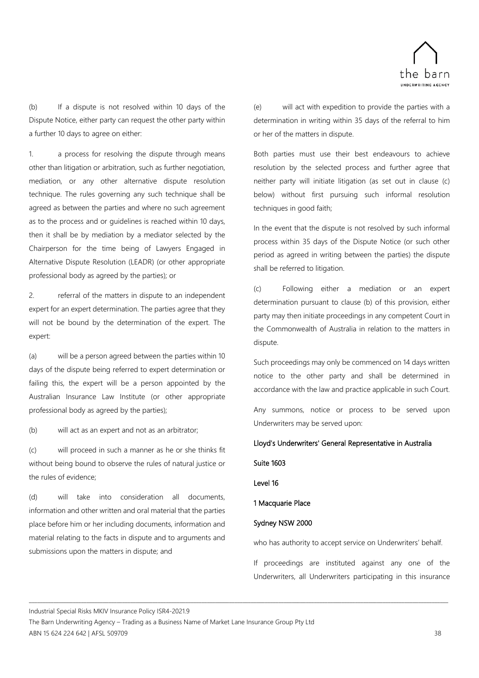

(b) If a dispute is not resolved within 10 days of the Dispute Notice, either party can request the other party within a further 10 days to agree on either:

1. a process for resolving the dispute through means other than litigation or arbitration, such as further negotiation, mediation, or any other alternative dispute resolution technique. The rules governing any such technique shall be agreed as between the parties and where no such agreement as to the process and or guidelines is reached within 10 days, then it shall be by mediation by a mediator selected by the Chairperson for the time being of Lawyers Engaged in Alternative Dispute Resolution (LEADR) (or other appropriate professional body as agreed by the parties); or

2. referral of the matters in dispute to an independent expert for an expert determination. The parties agree that they will not be bound by the determination of the expert. The expert:

(a) will be a person agreed between the parties within 10 days of the dispute being referred to expert determination or failing this, the expert will be a person appointed by the Australian Insurance Law Institute (or other appropriate professional body as agreed by the parties);

(b) will act as an expert and not as an arbitrator;

(c) will proceed in such a manner as he or she thinks fit without being bound to observe the rules of natural justice or the rules of evidence;

(d) will take into consideration all documents, information and other written and oral material that the parties place before him or her including documents, information and material relating to the facts in dispute and to arguments and submissions upon the matters in dispute; and

(e) will act with expedition to provide the parties with a determination in writing within 35 days of the referral to him or her of the matters in dispute.

Both parties must use their best endeavours to achieve resolution by the selected process and further agree that neither party will initiate litigation (as set out in clause (c) below) without first pursuing such informal resolution techniques in good faith;

In the event that the dispute is not resolved by such informal process within 35 days of the Dispute Notice (or such other period as agreed in writing between the parties) the dispute shall be referred to litigation.

(c) Following either a mediation or an expert determination pursuant to clause (b) of this provision, either party may then initiate proceedings in any competent Court in the Commonwealth of Australia in relation to the matters in dispute.

Such proceedings may only be commenced on 14 days written notice to the other party and shall be determined in accordance with the law and practice applicable in such Court.

Any summons, notice or process to be served upon Underwriters may be served upon:

### Lloyd's Underwriters' General Representative in Australia

### Suite 1603

Level 16

\_\_\_\_\_\_\_\_\_\_\_\_\_\_\_\_\_\_\_\_\_\_\_\_\_\_\_\_\_\_\_\_\_\_\_\_\_\_\_\_\_\_\_\_\_\_\_\_\_\_\_\_\_\_\_\_\_\_\_\_\_\_\_\_\_\_\_\_\_\_\_\_\_\_\_\_\_\_\_\_\_\_\_\_\_\_\_\_\_\_\_\_\_\_\_\_\_\_\_\_\_\_\_\_\_\_\_\_\_\_\_\_\_\_\_\_\_\_\_\_\_\_\_\_\_\_\_\_\_\_\_\_\_\_\_\_\_\_\_\_\_\_\_\_\_\_\_\_\_\_\_\_\_

### 1 Macquarie Place

### Sydney NSW 2000

who has authority to accept service on Underwriters' behalf.

If proceedings are instituted against any one of the Underwriters, all Underwriters participating in this insurance

Industrial Special Risks MKIV Insurance Policy ISR4-2021.9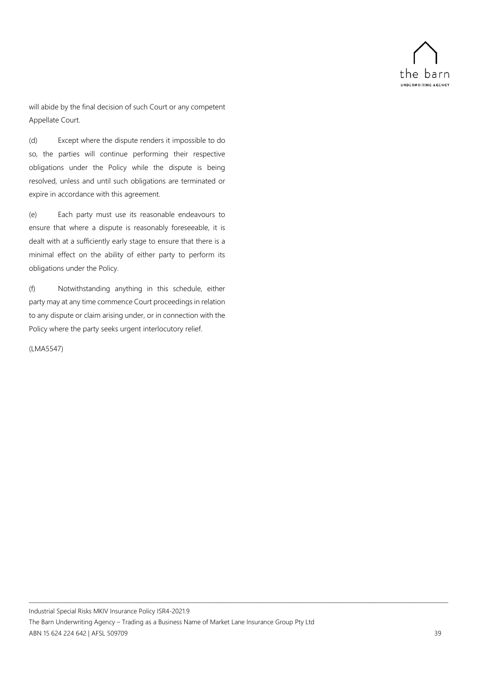

will abide by the final decision of such Court or any competent Appellate Court.

(d) Except where the dispute renders it impossible to do so, the parties will continue performing their respective obligations under the Policy while the dispute is being resolved, unless and until such obligations are terminated or expire in accordance with this agreement.

(e) Each party must use its reasonable endeavours to ensure that where a dispute is reasonably foreseeable, it is dealt with at a sufficiently early stage to ensure that there is a minimal effect on the ability of either party to perform its obligations under the Policy.

(f) Notwithstanding anything in this schedule, either party may at any time commence Court proceedings in relation to any dispute or claim arising under, or in connection with the Policy where the party seeks urgent interlocutory relief.

### (LMA5547)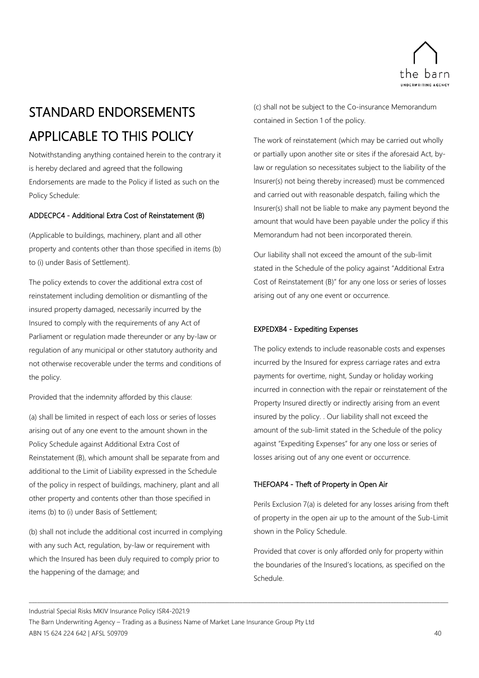

## <span id="page-45-0"></span>STANDARD ENDORSEMENTS APPLICABLE TO THIS POLICY

Notwithstanding anything contained herein to the contrary it is hereby declared and agreed that the following Endorsements are made to the Policy if listed as such on the Policy Schedule:

### ADDECPC4 - Additional Extra Cost of Reinstatement (B)

(Applicable to buildings, machinery, plant and all other property and contents other than those specified in items (b) to (i) under Basis of Settlement).

The policy extends to cover the additional extra cost of reinstatement including demolition or dismantling of the insured property damaged, necessarily incurred by the Insured to comply with the requirements of any Act of Parliament or regulation made thereunder or any by-law or regulation of any municipal or other statutory authority and not otherwise recoverable under the terms and conditions of the policy.

Provided that the indemnity afforded by this clause:

(a) shall be limited in respect of each loss or series of losses arising out of any one event to the amount shown in the Policy Schedule against Additional Extra Cost of Reinstatement (B), which amount shall be separate from and additional to the Limit of Liability expressed in the Schedule of the policy in respect of buildings, machinery, plant and all other property and contents other than those specified in items (b) to (i) under Basis of Settlement;

(b) shall not include the additional cost incurred in complying with any such Act, regulation, by-law or requirement with which the Insured has been duly required to comply prior to the happening of the damage; and

(c) shall not be subject to the Co-insurance Memorandum contained in Section 1 of the policy.

The work of reinstatement (which may be carried out wholly or partially upon another site or sites if the aforesaid Act, bylaw or regulation so necessitates subject to the liability of the Insurer(s) not being thereby increased) must be commenced and carried out with reasonable despatch, failing which the Insurer(s) shall not be liable to make any payment beyond the amount that would have been payable under the policy if this Memorandum had not been incorporated therein.

Our liability shall not exceed the amount of the sub-limit stated in the Schedule of the policy against "Additional Extra Cost of Reinstatement (B)" for any one loss or series of losses arising out of any one event or occurrence.

### EXPEDXB4 - Expediting Expenses

The policy extends to include reasonable costs and expenses incurred by the Insured for express carriage rates and extra payments for overtime, night, Sunday or holiday working incurred in connection with the repair or reinstatement of the Property Insured directly or indirectly arising from an event insured by the policy. . Our liability shall not exceed the amount of the sub-limit stated in the Schedule of the policy against "Expediting Expenses" for any one loss or series of losses arising out of any one event or occurrence.

### THEFOAP4 - Theft of Property in Open Air

Perils Exclusion 7(a) is deleted for any losses arising from theft of property in the open air up to the amount of the Sub-Limit shown in the Policy Schedule.

Provided that cover is only afforded only for property within the boundaries of the Insured's locations, as specified on the Schedule.

Industrial Special Risks MKIV Insurance Policy ISR4-2021.9

The Barn Underwriting Agency – Trading as a Business Name of Market Lane Insurance Group Pty Ltd ABN 15 624 224 642 | AFSL 509709 40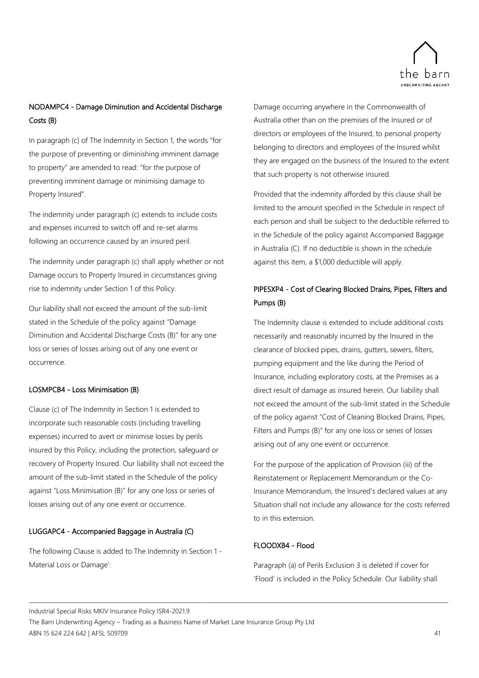

## NODAMPC4 - Damage Diminution and Accidental Discharge Costs (B)

In paragraph (c) of The Indemnity in Section 1, the words "for the purpose of preventing or diminishing imminent damage to property" are amended to read: "for the purpose of preventing imminent damage or minimising damage to Property Insured".

The indemnity under paragraph (c) extends to include costs and expenses incurred to switch off and re-set alarms following an occurrence caused by an insured peril.

The indemnity under paragraph (c) shall apply whether or not Damage occurs to Property Insured in circumstances giving rise to indemnity under Section 1 of this Policy.

Our liability shall not exceed the amount of the sub-limit stated in the Schedule of the policy against "Damage Diminution and Accidental Discharge Costs (B)" for any one loss or series of losses arising out of any one event or occurrence.

### LOSMPCB4 - Loss Minimisation (B)

Clause (c) of The Indemnity in Section 1 is extended to incorporate such reasonable costs (including travelling expenses) incurred to avert or minimise losses by perils insured by this Policy, including the protection, safeguard or recovery of Property Insured. Our liability shall not exceed the amount of the sub-limit stated in the Schedule of the policy against "Loss Minimisation (B)" for any one loss or series of losses arising out of any one event or occurrence.

### LUGGAPC4 - Accompanied Baggage in Australia (C)

The following Clause is added to The Indemnity in Section 1 - Material Loss or Damage':

Damage occurring anywhere in the Commonwealth of Australia other than on the premises of the Insured or of directors or employees of the Insured, to personal property belonging to directors and employees of the Insured whilst they are engaged on the business of the Insured to the extent that such property is not otherwise insured.

Provided that the indemnity afforded by this clause shall be limited to the amount specified in the Schedule in respect of each person and shall be subject to the deductible referred to in the Schedule of the policy against Accompanied Baggage in Australia (C). If no deductible is shown in the schedule against this item, a \$1,000 deductible will apply.

## PIPESXP4 - Cost of Clearing Blocked Drains, Pipes, Filters and Pumps (B)

The Indemnity clause is extended to include additional costs necessarily and reasonably incurred by the Insured in the clearance of blocked pipes, drains, gutters, sewers, filters, pumping equipment and the like during the Period of Insurance, including exploratory costs, at the Premises as a direct result of damage as insured herein. Our liability shall not exceed the amount of the sub-limit stated in the Schedule of the policy against "Cost of Cleaning Blocked Drains, Pipes, Filters and Pumps (B)" for any one loss or series of losses arising out of any one event or occurrence.

For the purpose of the application of Provision (iii) of the Reinstatement or Replacement Memorandum or the Co-Insurance Memorandum, the Insured's declared values at any Situation shall not include any allowance for the costs referred to in this extension.

### FLOODXB4 - Flood

\_\_\_\_\_\_\_\_\_\_\_\_\_\_\_\_\_\_\_\_\_\_\_\_\_\_\_\_\_\_\_\_\_\_\_\_\_\_\_\_\_\_\_\_\_\_\_\_\_\_\_\_\_\_\_\_\_\_\_\_\_\_\_\_\_\_\_\_\_\_\_\_\_\_\_\_\_\_\_\_\_\_\_\_\_\_\_\_\_\_\_\_\_\_\_\_\_\_\_\_\_\_\_\_\_\_\_\_\_\_\_\_\_\_\_\_\_\_\_\_\_\_\_\_\_\_\_\_\_\_\_\_\_\_\_\_\_\_\_\_\_\_\_\_\_\_\_\_\_\_\_\_\_

Paragraph (a) of Perils Exclusion 3 is deleted if cover for 'Flood' is included in the Policy Schedule. Our liability shall

Industrial Special Risks MKIV Insurance Policy ISR4-2021.9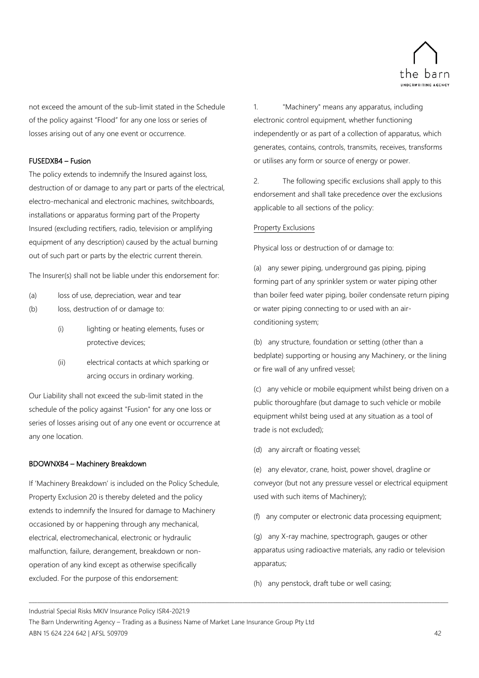

not exceed the amount of the sub-limit stated in the Schedule of the policy against "Flood" for any one loss or series of losses arising out of any one event or occurrence.

### FUSEDXB4 – Fusion

The policy extends to indemnify the Insured against loss, destruction of or damage to any part or parts of the electrical, electro-mechanical and electronic machines, switchboards, installations or apparatus forming part of the Property Insured (excluding rectifiers, radio, television or amplifying equipment of any description) caused by the actual burning out of such part or parts by the electric current therein.

The Insurer(s) shall not be liable under this endorsement for:

- (a) loss of use, depreciation, wear and tear
- (b) loss, destruction of or damage to:
	- (i) lighting or heating elements, fuses or protective devices;
	- (ii) electrical contacts at which sparking or arcing occurs in ordinary working.

Our Liability shall not exceed the sub-limit stated in the schedule of the policy against "Fusion" for any one loss or series of losses arising out of any one event or occurrence at any one location.

### BDOWNXB4 – Machinery Breakdown

If 'Machinery Breakdown' is included on the Policy Schedule, Property Exclusion 20 is thereby deleted and the policy extends to indemnify the Insured for damage to Machinery occasioned by or happening through any mechanical, electrical, electromechanical, electronic or hydraulic malfunction, failure, derangement, breakdown or nonoperation of any kind except as otherwise specifically excluded. For the purpose of this endorsement:

1. "Machinery" means any apparatus, including electronic control equipment, whether functioning independently or as part of a collection of apparatus, which generates, contains, controls, transmits, receives, transforms or utilises any form or source of energy or power.

2. The following specific exclusions shall apply to this endorsement and shall take precedence over the exclusions applicable to all sections of the policy:

### Property Exclusions

Physical loss or destruction of or damage to:

(a) any sewer piping, underground gas piping, piping forming part of any sprinkler system or water piping other than boiler feed water piping, boiler condensate return piping or water piping connecting to or used with an airconditioning system;

(b) any structure, foundation or setting (other than a bedplate) supporting or housing any Machinery, or the Iining or fire wall of any unfired vessel;

(c) any vehicle or mobile equipment whilst being driven on a public thoroughfare (but damage to such vehicle or mobile equipment whilst being used at any situation as a tool of trade is not excluded);

(d) any aircraft or floating vessel;

(e) any elevator, crane, hoist, power shovel, dragline or conveyor (but not any pressure vessel or electrical equipment used with such items of Machinery);

(f) any computer or electronic data processing equipment;

(g) any X-ray machine, spectrograph, gauges or other apparatus using radioactive materials, any radio or television apparatus;

(h) any penstock, draft tube or well casing;

Industrial Special Risks MKIV Insurance Policy ISR4-2021.9

The Barn Underwriting Agency – Trading as a Business Name of Market Lane Insurance Group Pty Ltd ABN 15 624 224 642 | AFSL 509709 42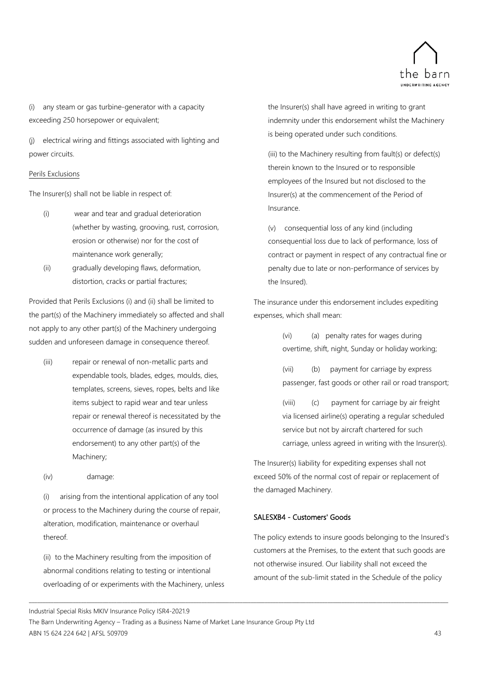

(i) any steam or gas turbine-generator with a capacity exceeding 250 horsepower or equivalent;

(j) electrical wiring and fittings associated with lighting and power circuits.

### Perils Exclusions

The Insurer(s) shall not be liable in respect of:

- (i) wear and tear and gradual deterioration (whether by wasting, grooving, rust, corrosion, erosion or otherwise) nor for the cost of maintenance work generally;
- (ii) gradually developing flaws, deformation, distortion, cracks or partial fractures;

Provided that Perils Exclusions (i) and (ii) shall be limited to the part(s) of the Machinery immediately so affected and shall not apply to any other part(s) of the Machinery undergoing sudden and unforeseen damage in consequence thereof.

- (iii) repair or renewal of non-metallic parts and expendable tools, blades, edges, moulds, dies, templates, screens, sieves, ropes, belts and like items subject to rapid wear and tear unless repair or renewal thereof is necessitated by the occurrence of damage (as insured by this endorsement) to any other part(s) of the Machinery;
- (iv) damage:

(i) arising from the intentional application of any tool or process to the Machinery during the course of repair, alteration, modification, maintenance or overhaul thereof.

(ii) to the Machinery resulting from the imposition of abnormal conditions relating to testing or intentional overloading of or experiments with the Machinery, unless the Insurer(s) shall have agreed in writing to grant indemnity under this endorsement whilst the Machinery is being operated under such conditions.

(iii) to the Machinery resulting from fault(s) or defect(s) therein known to the Insured or to responsible employees of the Insured but not disclosed to the Insurer(s) at the commencement of the Period of Insurance.

(v) consequential loss of any kind (including consequential loss due to lack of performance, loss of contract or payment in respect of any contractual fine or penalty due to late or non-performance of services by the Insured).

The insurance under this endorsement includes expediting expenses, which shall mean:

> (vi) (a) penalty rates for wages during overtime, shift, night, Sunday or holiday working;

(vii) (b) payment for carriage by express passenger, fast goods or other rail or road transport;

(viii) (c) payment for carriage by air freight via licensed airline(s) operating a regular scheduled service but not by aircraft chartered for such carriage, unless agreed in writing with the Insurer(s).

The Insurer(s) liability for expediting expenses shall not exceed 50% of the normal cost of repair or replacement of the damaged Machinery.

### SALESXB4 - Customers' Goods

The policy extends to insure goods belonging to the Insured's customers at the Premises, to the extent that such goods are not otherwise insured. Our liability shall not exceed the amount of the sub-limit stated in the Schedule of the policy

Industrial Special Risks MKIV Insurance Policy ISR4-2021.9

The Barn Underwriting Agency – Trading as a Business Name of Market Lane Insurance Group Pty Ltd ABN 15 624 224 642 | AFSL 509709 43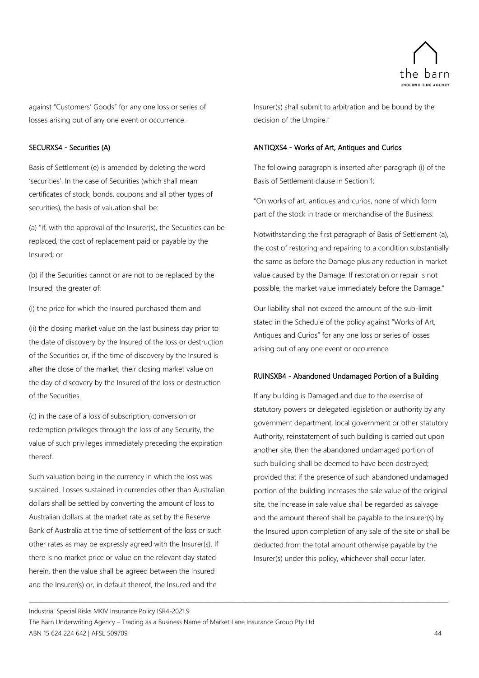

against "Customers' Goods" for any one loss or series of losses arising out of any one event or occurrence.

### SECURXS4 - Securities (A)

Basis of Settlement (e) is amended by deleting the word 'securities'. In the case of Securities (which shall mean certificates of stock, bonds, coupons and all other types of securities), the basis of valuation shall be:

(a) "if, with the approval of the Insurer(s), the Securities can be replaced, the cost of replacement paid or payable by the Insured; or

(b) if the Securities cannot or are not to be replaced by the Insured, the greater of:

(i) the price for which the Insured purchased them and

(ii) the closing market value on the last business day prior to the date of discovery by the Insured of the loss or destruction of the Securities or, if the time of discovery by the Insured is after the close of the market, their closing market value on the day of discovery by the Insured of the loss or destruction of the Securities.

(c) in the case of a loss of subscription, conversion or redemption privileges through the loss of any Security, the value of such privileges immediately preceding the expiration thereof.

Such valuation being in the currency in which the loss was sustained. Losses sustained in currencies other than Australian dollars shall be settled by converting the amount of loss to Australian dollars at the market rate as set by the Reserve Bank of Australia at the time of settlement of the loss or such other rates as may be expressly agreed with the Insurer(s). If there is no market price or value on the relevant day stated herein, then the value shall be agreed between the Insured and the Insurer(s) or, in default thereof, the Insured and the

Insurer(s) shall submit to arbitration and be bound by the decision of the Umpire."

### ANTIQXS4 - Works of Art, Antiques and Curios

The following paragraph is inserted after paragraph (i) of the Basis of Settlement clause in Section 1:

"On works of art, antiques and curios, none of which form part of the stock in trade or merchandise of the Business:

Notwithstanding the first paragraph of Basis of Settlement (a), the cost of restoring and repairing to a condition substantially the same as before the Damage plus any reduction in market value caused by the Damage. If restoration or repair is not possible, the market value immediately before the Damage."

Our liability shall not exceed the amount of the sub-limit stated in the Schedule of the policy against "Works of Art, Antiques and Curios" for any one loss or series of losses arising out of any one event or occurrence.

### RUINSXB4 - Abandoned Undamaged Portion of a Building

If any building is Damaged and due to the exercise of statutory powers or delegated legislation or authority by any government department, local government or other statutory Authority, reinstatement of such building is carried out upon another site, then the abandoned undamaged portion of such building shall be deemed to have been destroyed; provided that if the presence of such abandoned undamaged portion of the building increases the sale value of the original site, the increase in sale value shall be regarded as salvage and the amount thereof shall be payable to the Insurer(s) by the Insured upon completion of any sale of the site or shall be deducted from the total amount otherwise payable by the Insurer(s) under this policy, whichever shall occur later.

Industrial Special Risks MKIV Insurance Policy ISR4-2021.9

The Barn Underwriting Agency – Trading as a Business Name of Market Lane Insurance Group Pty Ltd ABN 15 624 224 642 | AFSL 509709 44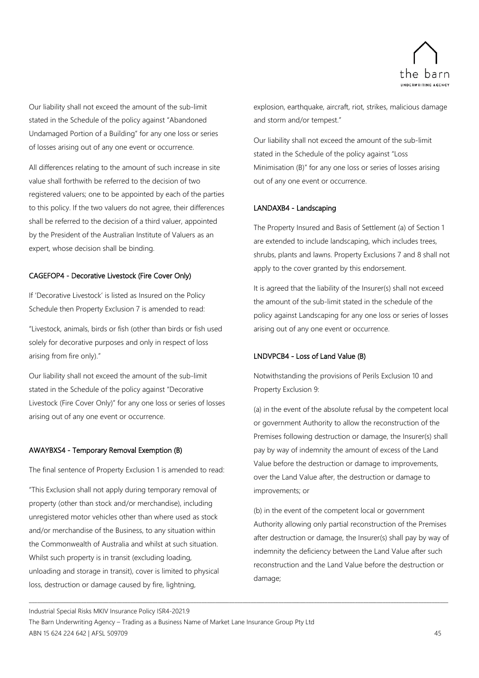

Our liability shall not exceed the amount of the sub-limit stated in the Schedule of the policy against "Abandoned Undamaged Portion of a Building" for any one loss or series of losses arising out of any one event or occurrence.

All differences relating to the amount of such increase in site value shall forthwith be referred to the decision of two registered valuers; one to be appointed by each of the parties to this policy. If the two valuers do not agree, their differences shall be referred to the decision of a third valuer, appointed by the President of the Australian Institute of Valuers as an expert, whose decision shall be binding.

### CAGEFOP4 - Decorative Livestock (Fire Cover Only)

If 'Decorative Livestock' is listed as Insured on the Policy Schedule then Property Exclusion 7 is amended to read:

"Livestock, animals, birds or fish (other than birds or fish used solely for decorative purposes and only in respect of loss arising from fire only)."

Our liability shall not exceed the amount of the sub-limit stated in the Schedule of the policy against "Decorative Livestock (Fire Cover Only)" for any one loss or series of losses arising out of any one event or occurrence.

### AWAYBXS4 - Temporary Removal Exemption (B)

The final sentence of Property Exclusion 1 is amended to read:

"This Exclusion shall not apply during temporary removal of property (other than stock and/or merchandise), including unregistered motor vehicles other than where used as stock and/or merchandise of the Business, to any situation within the Commonwealth of Australia and whilst at such situation. Whilst such property is in transit (excluding loading, unloading and storage in transit), cover is limited to physical loss, destruction or damage caused by fire, lightning,

explosion, earthquake, aircraft, riot, strikes, malicious damage and storm and/or tempest."

Our liability shall not exceed the amount of the sub-limit stated in the Schedule of the policy against "Loss Minimisation (B)" for any one loss or series of losses arising out of any one event or occurrence.

### LANDAXB4 - Landscaping

The Property Insured and Basis of Settlement (a) of Section 1 are extended to include landscaping, which includes trees, shrubs, plants and lawns. Property Exclusions 7 and 8 shall not apply to the cover granted by this endorsement.

It is agreed that the liability of the Insurer(s) shall not exceed the amount of the sub-limit stated in the schedule of the policy against Landscaping for any one loss or series of losses arising out of any one event or occurrence.

### LNDVPCB4 - Loss of Land Value (B)

Notwithstanding the provisions of Perils Exclusion 10 and Property Exclusion 9:

(a) in the event of the absolute refusal by the competent local or government Authority to allow the reconstruction of the Premises following destruction or damage, the Insurer(s) shall pay by way of indemnity the amount of excess of the Land Value before the destruction or damage to improvements, over the Land Value after, the destruction or damage to improvements; or

(b) in the event of the competent local or government Authority allowing only partial reconstruction of the Premises after destruction or damage, the Insurer(s) shall pay by way of indemnity the deficiency between the Land Value after such reconstruction and the Land Value before the destruction or damage;

Industrial Special Risks MKIV Insurance Policy ISR4-2021.9

The Barn Underwriting Agency – Trading as a Business Name of Market Lane Insurance Group Pty Ltd ABN 15 624 224 642 | AFSL 509709 45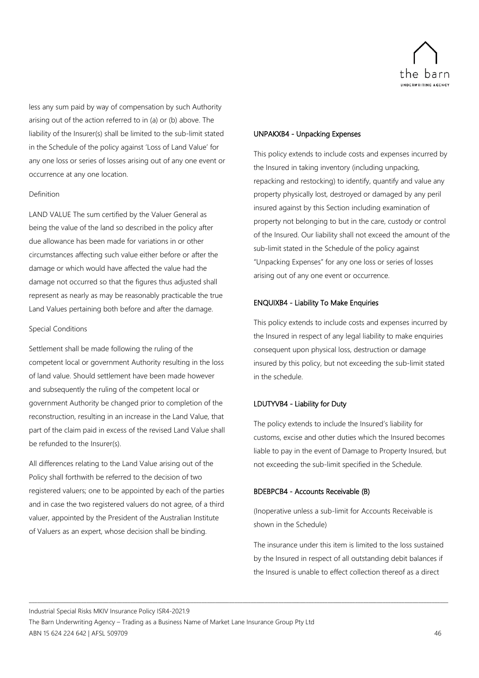

less any sum paid by way of compensation by such Authority arising out of the action referred to in (a) or (b) above. The liability of the Insurer(s) shall be limited to the sub-limit stated in the Schedule of the policy against 'Loss of Land Value' for any one loss or series of losses arising out of any one event or occurrence at any one location.

### Definition

LAND VALUE The sum certified by the Valuer General as being the value of the land so described in the policy after due allowance has been made for variations in or other circumstances affecting such value either before or after the damage or which would have affected the value had the damage not occurred so that the figures thus adjusted shall represent as nearly as may be reasonably practicable the true Land Values pertaining both before and after the damage.

### Special Conditions

Settlement shall be made following the ruling of the competent local or government Authority resulting in the loss of land value. Should settlement have been made however and subsequently the ruling of the competent local or government Authority be changed prior to completion of the reconstruction, resulting in an increase in the Land Value, that part of the claim paid in excess of the revised Land Value shall be refunded to the Insurer(s).

All differences relating to the Land Value arising out of the Policy shall forthwith be referred to the decision of two registered valuers; one to be appointed by each of the parties and in case the two registered valuers do not agree, of a third valuer, appointed by the President of the Australian Institute of Valuers as an expert, whose decision shall be binding.

### UNPAKXB4 - Unpacking Expenses

This policy extends to include costs and expenses incurred by the Insured in taking inventory (including unpacking, repacking and restocking) to identify, quantify and value any property physically lost, destroyed or damaged by any peril insured against by this Section including examination of property not belonging to but in the care, custody or control of the Insured. Our liability shall not exceed the amount of the sub-limit stated in the Schedule of the policy against "Unpacking Expenses" for any one loss or series of losses arising out of any one event or occurrence.

### ENQUIXB4 - Liability To Make Enquiries

This policy extends to include costs and expenses incurred by the Insured in respect of any legal liability to make enquiries consequent upon physical loss, destruction or damage insured by this policy, but not exceeding the sub-limit stated in the schedule.

### LDUTYVB4 - Liability for Duty

The policy extends to include the Insured's liability for customs, excise and other duties which the Insured becomes liable to pay in the event of Damage to Property Insured, but not exceeding the sub-limit specified in the Schedule.

### BDEBPCB4 - Accounts Receivable (B)

(Inoperative unless a sub-limit for Accounts Receivable is shown in the Schedule)

The insurance under this item is limited to the loss sustained by the Insured in respect of all outstanding debit balances if the Insured is unable to effect collection thereof as a direct

Industrial Special Risks MKIV Insurance Policy ISR4-2021.9

The Barn Underwriting Agency – Trading as a Business Name of Market Lane Insurance Group Pty Ltd ABN 15 624 224 642 | AFSL 509709 46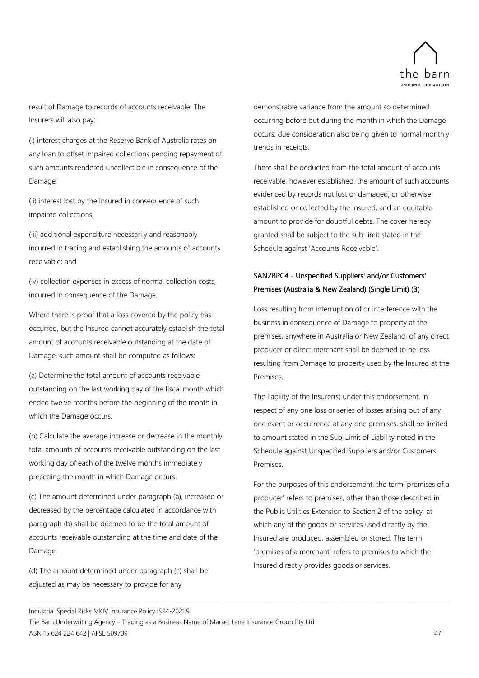

result of Damage to records of accounts receivable. The Insurers will also pay:

(i) interest charges at the Reserve Bank of Australia rates on any loan to offset impaired collections pending repayment of such amounts rendered uncollectible in consequence of the Damage;

(ii) interest lost by the Insured in consequence of such impaired collections;

(iii) additional expenditure necessarily and reasonably incurred in tracing and establishing the amounts of accounts receivable; and

(iv) collection expenses in excess of normal collection costs, incurred in consequence of the Damage.

Where there is proof that a loss covered by the policy has occurred, but the Insured cannot accurately establish the total amount of accounts receivable outstanding at the date of Damage, such amount shall be computed as follows:

(a) Determine the total amount of accounts receivable outstanding on the last working day of the fiscal month which ended twelve months before the beginning of the month in which the Damage occurs.

(b) Calculate the average increase or decrease in the monthly total amounts of accounts receivable outstanding on the last working day of each of the twelve months immediately preceding the month in which Damage occurs.

(c) The amount determined under paragraph (a), increased or decreased by the percentage calculated in accordance with paragraph (b) shall be deemed to be the total amount of accounts receivable outstanding at the time and date of the Damage.

(d) The amount determined under paragraph (c) shall be adjusted as may be necessary to provide for any

demonstrable variance from the amount so determined occurring before but during the month in which the Damage occurs; due consideration also being given to normal monthly trends in receipts.

There shall be deducted from the total amount of accounts receivable, however established, the amount of such accounts evidenced by records not lost or damaged, or otherwise established or collected by the Insured, and an equitable amount to provide for doubtful debts. The cover hereby granted shall be subject to the sub-limit stated in the Schedule against 'Accounts Receivable'.

### SANZBPC4 - Unspecified Suppliers' and/or Customers' Premises (Australia & New Zealand) (Single Limit) (B)

Loss resulting from interruption of or interference with the business in consequence of Damage to property at the premises, anywhere in Australia or New Zealand, of any direct producer or direct merchant shall be deemed to be loss resulting from Damage to property used by the Insured at the Premises.

The liability of the Insurer(s) under this endorsement, in respect of any one loss or series of losses arising out of any one event or occurrence at any one premises, shall be limited to amount stated in the Sub-Limit of Liability noted in the Schedule against Unspecified Suppliers and/or Customers Premises.

For the purposes of this endorsement, the term 'premises of a producer' refers to premises, other than those described in the Public Utilities Extension to Section 2 of the policy, at which any of the goods or services used directly by the Insured are produced, assembled or stored. The term 'premises of a merchant' refers to premises to which the Insured directly provides goods or services.

Industrial Special Risks MKIV Insurance Policy ISR4-2021.9

The Barn Underwriting Agency – Trading as a Business Name of Market Lane Insurance Group Pty Ltd ABN 15 624 224 642 | AFSL 509709 47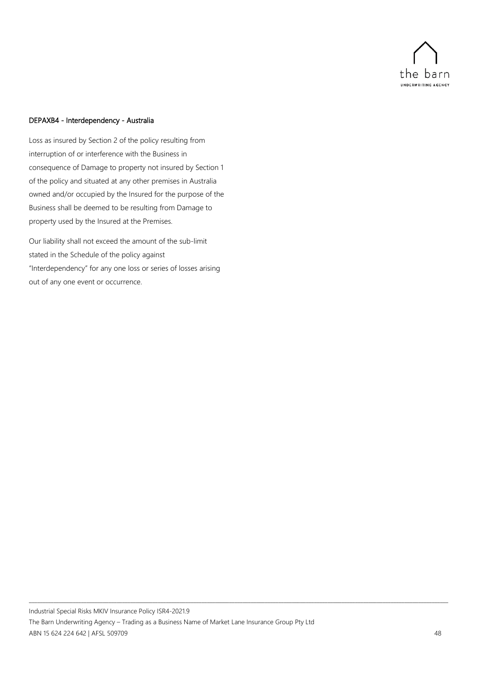

### DEPAXB4 - Interdependency - Australia

Loss as insured by Section 2 of the policy resulting from interruption of or interference with the Business in consequence of Damage to property not insured by Section 1 of the policy and situated at any other premises in Australia owned and/or occupied by the Insured for the purpose of the Business shall be deemed to be resulting from Damage to property used by the Insured at the Premises.

Our liability shall not exceed the amount of the sub-limit stated in the Schedule of the policy against "Interdependency" for any one loss or series of losses arising out of any one event or occurrence.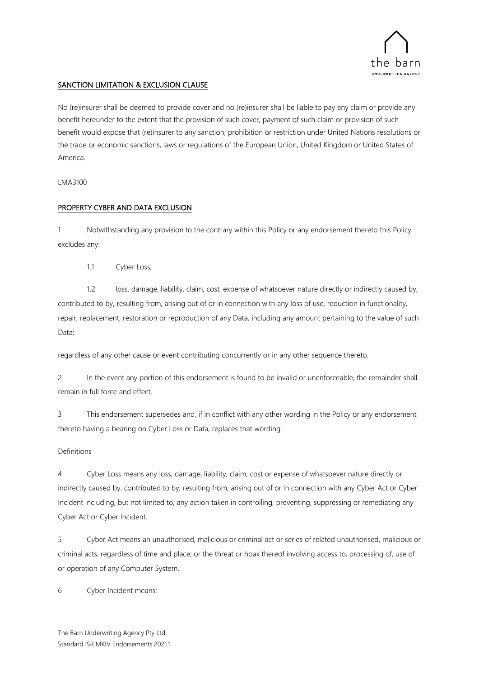

### SANCTION LIMITATION & EXCLUSION CLAUSE

No (re)insurer shall be deemed to provide cover and no (re)insurer shall be liable to pay any claim or provide any benefit hereunder to the extent that the provision of such cover, payment of such claim or provision of such benefit would expose that (re)insurer to any sanction, prohibition or restriction under United Nations resolutions or the trade or economic sanctions, laws or regulations of the European Union, United Kingdom or United States of America.

### LMA3100

### PROPERTY CYBER AND DATA EXCLUSION

1 Notwithstanding any provision to the contrary within this Policy or any endorsement thereto this Policy excludes any:

1.1 Cyber Loss;

1.2 loss, damage, liability, claim, cost, expense of whatsoever nature directly or indirectly caused by, contributed to by, resulting from, arising out of or in connection with any loss of use, reduction in functionality, repair, replacement, restoration or reproduction of any Data, including any amount pertaining to the value of such Data;

regardless of any other cause or event contributing concurrently or in any other sequence thereto.

2 In the event any portion of this endorsement is found to be invalid or unenforceable, the remainder shall remain in full force and effect.

3 This endorsement supersedes and, if in conflict with any other wording in the Policy or any endorsement thereto having a bearing on Cyber Loss or Data, replaces that wording.

### Definitions

4 Cyber Loss means any loss, damage, liability, claim, cost or expense of whatsoever nature directly or indirectly caused by, contributed to by, resulting from, arising out of or in connection with any Cyber Act or Cyber Incident including, but not limited to, any action taken in controlling, preventing, suppressing or remediating any Cyber Act or Cyber Incident.

5 Cyber Act means an unauthorised, malicious or criminal act or series of related unauthorised, malicious or criminal acts, regardless of time and place, or the threat or hoax thereof involving access to, processing of, use of or operation of any Computer System.

6 Cyber Incident means: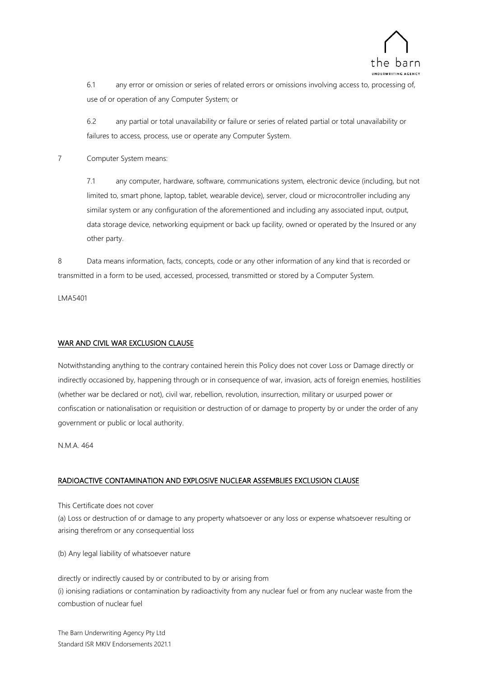

6.1 any error or omission or series of related errors or omissions involving access to, processing of, use of or operation of any Computer System; or

6.2 any partial or total unavailability or failure or series of related partial or total unavailability or failures to access, process, use or operate any Computer System.

7 Computer System means:

7.1 any computer, hardware, software, communications system, electronic device (including, but not limited to, smart phone, laptop, tablet, wearable device), server, cloud or microcontroller including any similar system or any configuration of the aforementioned and including any associated input, output, data storage device, networking equipment or back up facility, owned or operated by the Insured or any other party.

8 Data means information, facts, concepts, code or any other information of any kind that is recorded or transmitted in a form to be used, accessed, processed, transmitted or stored by a Computer System.

LMA5401

### WAR AND CIVIL WAR EXCLUSION CLAUSE

Notwithstanding anything to the contrary contained herein this Policy does not cover Loss or Damage directly or indirectly occasioned by, happening through or in consequence of war, invasion, acts of foreign enemies, hostilities (whether war be declared or not), civil war, rebellion, revolution, insurrection, military or usurped power or confiscation or nationalisation or requisition or destruction of or damage to property by or under the order of any government or public or local authority.

N.M.A. 464

### RADIOACTIVE CONTAMINATION AND EXPLOSIVE NUCLEAR ASSEMBLIES EXCLUSION CLAUSE

This Certificate does not cover

(a) Loss or destruction of or damage to any property whatsoever or any loss or expense whatsoever resulting or arising therefrom or any consequential loss

(b) Any legal liability of whatsoever nature

directly or indirectly caused by or contributed to by or arising from (i) ionising radiations or contamination by radioactivity from any nuclear fuel or from any nuclear waste from the combustion of nuclear fuel

The Barn Underwriting Agency Pty Ltd Standard ISR MKIV Endorsements 2021.1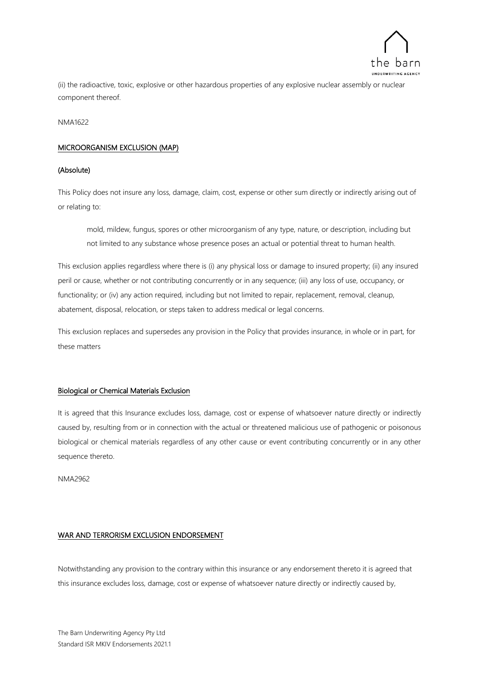

(ii) the radioactive, toxic, explosive or other hazardous properties of any explosive nuclear assembly or nuclear component thereof.

NMA1622

### MICROORGANISM EXCLUSION (MAP)

### (Absolute)

This Policy does not insure any loss, damage, claim, cost, expense or other sum directly or indirectly arising out of or relating to:

mold, mildew, fungus, spores or other microorganism of any type, nature, or description, including but not limited to any substance whose presence poses an actual or potential threat to human health.

This exclusion applies regardless where there is (i) any physical loss or damage to insured property; (ii) any insured peril or cause, whether or not contributing concurrently or in any sequence; (iii) any loss of use, occupancy, or functionality; or (iv) any action required, including but not limited to repair, replacement, removal, cleanup, abatement, disposal, relocation, or steps taken to address medical or legal concerns.

This exclusion replaces and supersedes any provision in the Policy that provides insurance, in whole or in part, for these matters

### Biological or Chemical Materials Exclusion

It is agreed that this Insurance excludes loss, damage, cost or expense of whatsoever nature directly or indirectly caused by, resulting from or in connection with the actual or threatened malicious use of pathogenic or poisonous biological or chemical materials regardless of any other cause or event contributing concurrently or in any other sequence thereto.

NMA2962

### WAR AND TERRORISM EXCLUSION ENDORSEMENT

Notwithstanding any provision to the contrary within this insurance or any endorsement thereto it is agreed that this insurance excludes loss, damage, cost or expense of whatsoever nature directly or indirectly caused by,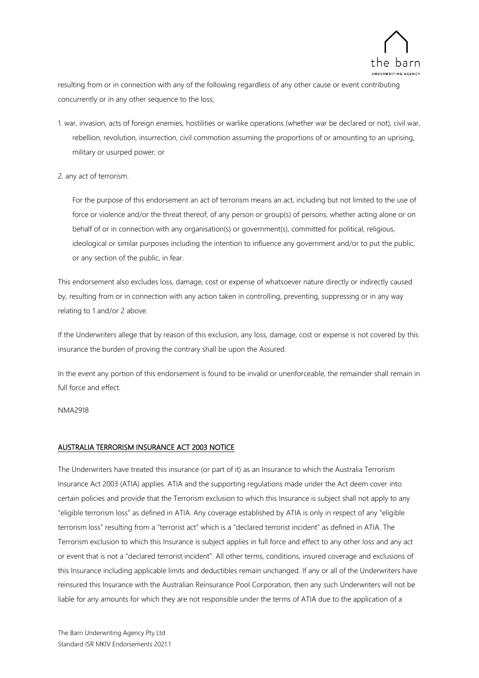

resulting from or in connection with any of the following regardless of any other cause or event contributing concurrently or in any other sequence to the loss;

1. war, invasion, acts of foreign enemies, hostilities or warlike operations (whether war be declared or not), civil war, rebellion, revolution, insurrection, civil commotion assuming the proportions of or amounting to an uprising, military or usurped power; or

### 2. any act of terrorism.

For the purpose of this endorsement an act of terrorism means an act, including but not limited to the use of force or violence and/or the threat thereof, of any person or group(s) of persons, whether acting alone or on behalf of or in connection with any organisation(s) or government(s), committed for political, religious, ideological or similar purposes including the intention to influence any government and/or to put the public, or any section of the public, in fear.

This endorsement also excludes loss, damage, cost or expense of whatsoever nature directly or indirectly caused by, resulting from or in connection with any action taken in controlling, preventing, suppressing or in any way relating to 1 and/or 2 above.

If the Underwriters allege that by reason of this exclusion, any loss, damage, cost or expense is not covered by this insurance the burden of proving the contrary shall be upon the Assured.

In the event any portion of this endorsement is found to be invalid or unenforceable, the remainder shall remain in full force and effect.

NMA2918

### AUSTRALIA TERRORISM INSURANCE ACT 2003 NOTICE

The Underwriters have treated this insurance (or part of it) as an Insurance to which the Australia Terrorism Insurance Act 2003 (ATIA) applies. ATIA and the supporting regulations made under the Act deem cover into certain policies and provide that the Terrorism exclusion to which this Insurance is subject shall not apply to any "eligible terrorism loss" as defined in ATIA. Any coverage established by ATIA is only in respect of any "eligible terrorism loss" resulting from a "terrorist act" which is a "declared terrorist incident" as defined in ATIA. The Terrorism exclusion to which this Insurance is subject applies in full force and effect to any other loss and any act or event that is not a "declared terrorist incident". All other terms, conditions, insured coverage and exclusions of this Insurance including applicable limits and deductibles remain unchanged. If any or all of the Underwriters have reinsured this Insurance with the Australian Reinsurance Pool Corporation, then any such Underwriters will not be liable for any amounts for which they are not responsible under the terms of ATIA due to the application of a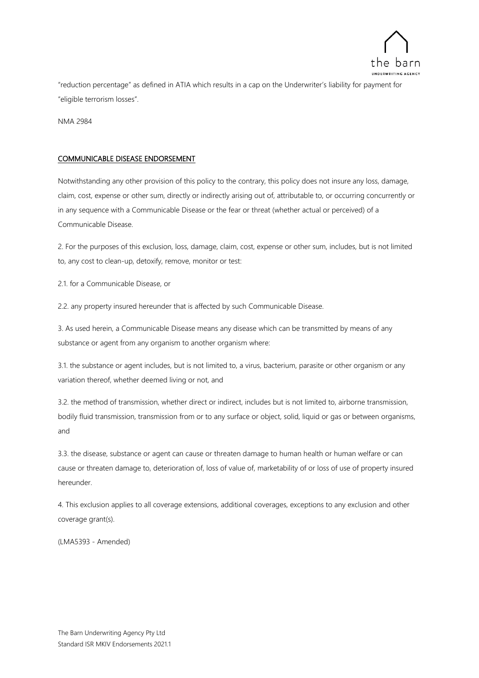

"reduction percentage" as defined in ATIA which results in a cap on the Underwriter's liability for payment for "eligible terrorism losses".

NMA 2984

### COMMUNICABLE DISEASE ENDORSEMENT

Notwithstanding any other provision of this policy to the contrary, this policy does not insure any loss, damage, claim, cost, expense or other sum, directly or indirectly arising out of, attributable to, or occurring concurrently or in any sequence with a Communicable Disease or the fear or threat (whether actual or perceived) of a Communicable Disease.

2. For the purposes of this exclusion, loss, damage, claim, cost, expense or other sum, includes, but is not limited to, any cost to clean-up, detoxify, remove, monitor or test:

2.1. for a Communicable Disease, or

2.2. any property insured hereunder that is affected by such Communicable Disease.

3. As used herein, a Communicable Disease means any disease which can be transmitted by means of any substance or agent from any organism to another organism where:

3.1. the substance or agent includes, but is not limited to, a virus, bacterium, parasite or other organism or any variation thereof, whether deemed living or not, and

3.2. the method of transmission, whether direct or indirect, includes but is not limited to, airborne transmission, bodily fluid transmission, transmission from or to any surface or object, solid, liquid or gas or between organisms, and

3.3. the disease, substance or agent can cause or threaten damage to human health or human welfare or can cause or threaten damage to, deterioration of, loss of value of, marketability of or loss of use of property insured hereunder.

4. This exclusion applies to all coverage extensions, additional coverages, exceptions to any exclusion and other coverage grant(s).

(LMA5393 - Amended)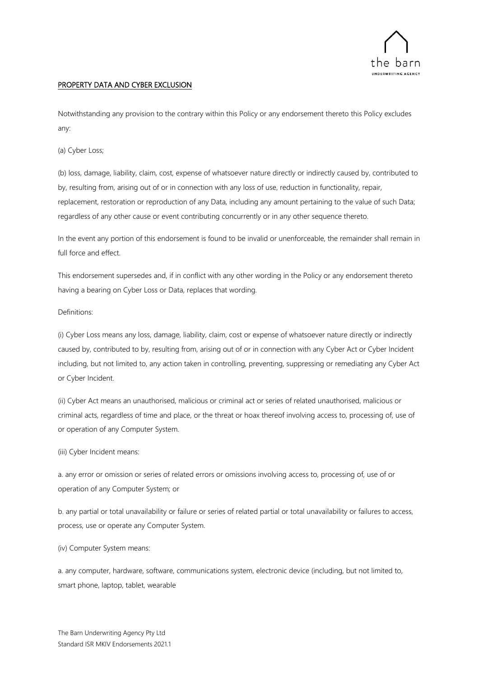

### PROPERTY DATA AND CYBER EXCLUSION

Notwithstanding any provision to the contrary within this Policy or any endorsement thereto this Policy excludes any:

(a) Cyber Loss;

(b) loss, damage, liability, claim, cost, expense of whatsoever nature directly or indirectly caused by, contributed to by, resulting from, arising out of or in connection with any loss of use, reduction in functionality, repair, replacement, restoration or reproduction of any Data, including any amount pertaining to the value of such Data; regardless of any other cause or event contributing concurrently or in any other sequence thereto.

In the event any portion of this endorsement is found to be invalid or unenforceable, the remainder shall remain in full force and effect.

This endorsement supersedes and, if in conflict with any other wording in the Policy or any endorsement thereto having a bearing on Cyber Loss or Data, replaces that wording.

### Definitions:

(i) Cyber Loss means any loss, damage, liability, claim, cost or expense of whatsoever nature directly or indirectly caused by, contributed to by, resulting from, arising out of or in connection with any Cyber Act or Cyber Incident including, but not limited to, any action taken in controlling, preventing, suppressing or remediating any Cyber Act or Cyber Incident.

(ii) Cyber Act means an unauthorised, malicious or criminal act or series of related unauthorised, malicious or criminal acts, regardless of time and place, or the threat or hoax thereof involving access to, processing of, use of or operation of any Computer System.

#### (iii) Cyber Incident means:

a. any error or omission or series of related errors or omissions involving access to, processing of, use of or operation of any Computer System; or

b. any partial or total unavailability or failure or series of related partial or total unavailability or failures to access, process, use or operate any Computer System.

#### (iv) Computer System means:

a. any computer, hardware, software, communications system, electronic device (including, but not limited to, smart phone, laptop, tablet, wearable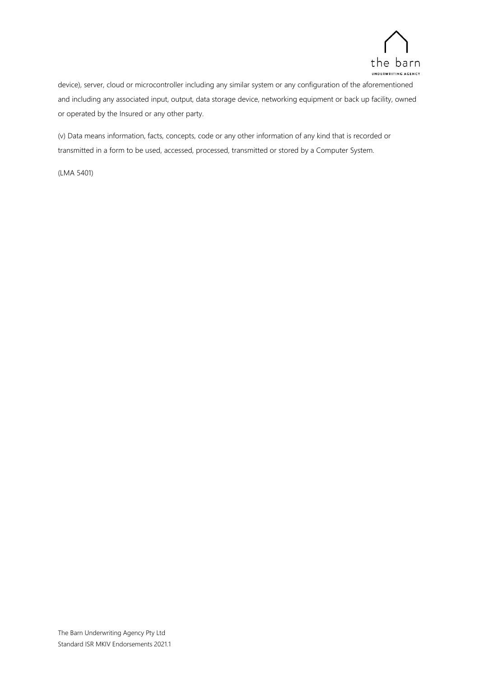

device), server, cloud or microcontroller including any similar system or any configuration of the aforementioned and including any associated input, output, data storage device, networking equipment or back up facility, owned or operated by the Insured or any other party.

(v) Data means information, facts, concepts, code or any other information of any kind that is recorded or transmitted in a form to be used, accessed, processed, transmitted or stored by a Computer System.

(LMA 5401)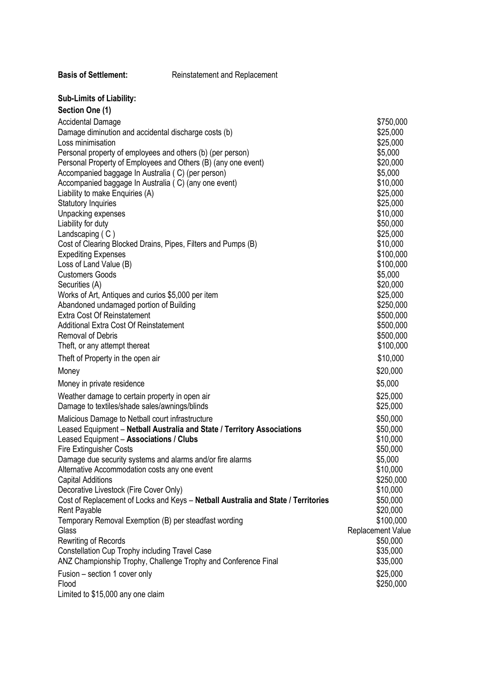| <b>Basis of Settlement:</b> | Reinstatement and Replacement |
|-----------------------------|-------------------------------|
|                             |                               |

## **Sub-Limits of Liability:**

| Section One (1)                                                                                                                                                                                                                                                                                                                                                                                                                                                                                                                                                                                                                                                                                                                                                                                                                                |                                                                                                                                                                                                                                                             |
|------------------------------------------------------------------------------------------------------------------------------------------------------------------------------------------------------------------------------------------------------------------------------------------------------------------------------------------------------------------------------------------------------------------------------------------------------------------------------------------------------------------------------------------------------------------------------------------------------------------------------------------------------------------------------------------------------------------------------------------------------------------------------------------------------------------------------------------------|-------------------------------------------------------------------------------------------------------------------------------------------------------------------------------------------------------------------------------------------------------------|
| <b>Accidental Damage</b><br>Damage diminution and accidental discharge costs (b)<br>Loss minimisation<br>Personal property of employees and others (b) (per person)<br>Personal Property of Employees and Others (B) (any one event)<br>Accompanied baggage In Australia (C) (per person)<br>Accompanied baggage In Australia (C) (any one event)<br>Liability to make Enquiries (A)<br><b>Statutory Inquiries</b><br>Unpacking expenses<br>Liability for duty<br>Landscaping (C)<br>Cost of Clearing Blocked Drains, Pipes, Filters and Pumps (B)<br><b>Expediting Expenses</b><br>Loss of Land Value (B)<br><b>Customers Goods</b><br>Securities (A)<br>Works of Art, Antiques and curios \$5,000 per item<br>Abandoned undamaged portion of Building<br><b>Extra Cost Of Reinstatement</b><br><b>Additional Extra Cost Of Reinstatement</b> | \$750,000<br>\$25,000<br>\$25,000<br>\$5,000<br>\$20,000<br>\$5,000<br>\$10,000<br>\$25,000<br>\$25,000<br>\$10,000<br>\$50,000<br>\$25,000<br>\$10,000<br>\$100,000<br>\$100,000<br>\$5,000<br>\$20,000<br>\$25,000<br>\$250,000<br>\$500,000<br>\$500,000 |
| <b>Removal of Debris</b>                                                                                                                                                                                                                                                                                                                                                                                                                                                                                                                                                                                                                                                                                                                                                                                                                       | \$500,000                                                                                                                                                                                                                                                   |
| Theft, or any attempt thereat                                                                                                                                                                                                                                                                                                                                                                                                                                                                                                                                                                                                                                                                                                                                                                                                                  | \$100,000                                                                                                                                                                                                                                                   |
| Theft of Property in the open air                                                                                                                                                                                                                                                                                                                                                                                                                                                                                                                                                                                                                                                                                                                                                                                                              | \$10,000                                                                                                                                                                                                                                                    |
| Money                                                                                                                                                                                                                                                                                                                                                                                                                                                                                                                                                                                                                                                                                                                                                                                                                                          | \$20,000                                                                                                                                                                                                                                                    |
| Money in private residence                                                                                                                                                                                                                                                                                                                                                                                                                                                                                                                                                                                                                                                                                                                                                                                                                     | \$5,000                                                                                                                                                                                                                                                     |
| Weather damage to certain property in open air<br>Damage to textiles/shade sales/awnings/blinds                                                                                                                                                                                                                                                                                                                                                                                                                                                                                                                                                                                                                                                                                                                                                | \$25,000<br>\$25,000                                                                                                                                                                                                                                        |
| Leased Equipment - Netball Australia and State / Territory Associations<br>Leased Equipment - Associations / Clubs<br><b>Fire Extinguisher Costs</b><br>Damage due security systems and alarms and/or fire alarms<br>Alternative Accommodation costs any one event<br><b>Capital Additions</b><br>Decorative Livestock (Fire Cover Only)<br>Cost of Replacement of Locks and Keys - Netball Australia and State / Territories<br>Rent Payable<br>Temporary Removal Exemption (B) per steadfast wording<br>Glass<br><b>Rewriting of Records</b><br><b>Constellation Cup Trophy including Travel Case</b><br>ANZ Championship Trophy, Challenge Trophy and Conference Final<br>Fusion – section 1 cover only                                                                                                                                     | \$50,000<br>\$10,000<br>\$50,000<br>\$5,000<br>\$10,000<br>\$250,000<br>\$10,000<br>\$50,000<br>\$20,000<br>\$100,000<br><b>Replacement Value</b><br>\$50,000<br>\$35,000<br>\$35,000<br>\$25,000                                                           |
| Flood<br>Limited to \$15,000 any one claim                                                                                                                                                                                                                                                                                                                                                                                                                                                                                                                                                                                                                                                                                                                                                                                                     | \$250,000                                                                                                                                                                                                                                                   |